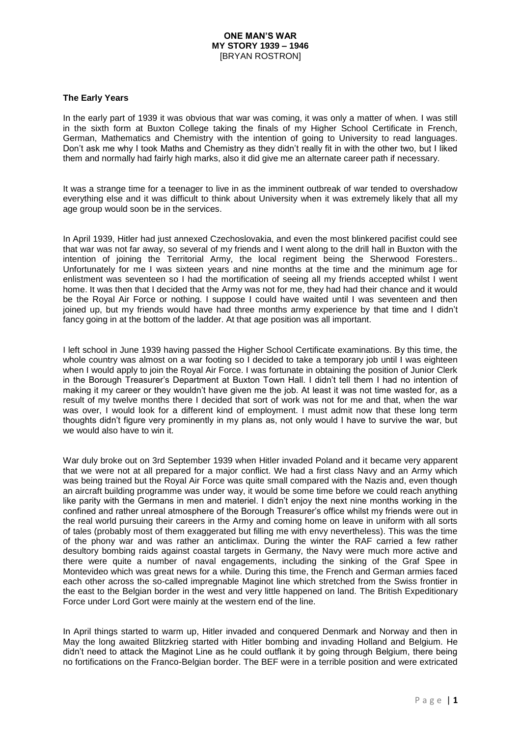### **The Early Years**

In the early part of 1939 it was obvious that war was coming, it was only a matter of when. I was still in the sixth form at Buxton College taking the finals of my Higher School Certificate in French, German, Mathematics and Chemistry with the intention of going to University to read languages. Don't ask me why I took Maths and Chemistry as they didn't really fit in with the other two, but I liked them and normally had fairly high marks, also it did give me an alternate career path if necessary.

It was a strange time for a teenager to live in as the imminent outbreak of war tended to overshadow everything else and it was difficult to think about University when it was extremely likely that all my age group would soon be in the services.

In April 1939, Hitler had just annexed Czechoslovakia, and even the most blinkered pacifist could see that war was not far away, so several of my friends and I went along to the drill hall in Buxton with the intention of joining the Territorial Army, the local regiment being the Sherwood Foresters.. Unfortunately for me I was sixteen years and nine months at the time and the minimum age for enlistment was seventeen so I had the mortification of seeing all my friends accepted whilst I went home. It was then that I decided that the Army was not for me, they had had their chance and it would be the Royal Air Force or nothing. I suppose I could have waited until I was seventeen and then joined up, but my friends would have had three months army experience by that time and I didn't fancy going in at the bottom of the ladder. At that age position was all important.

I left school in June 1939 having passed the Higher School Certificate examinations. By this time, the whole country was almost on a war footing so I decided to take a temporary job until I was eighteen when I would apply to join the Royal Air Force. I was fortunate in obtaining the position of Junior Clerk in the Borough Treasurer's Department at Buxton Town Hall. I didn't tell them I had no intention of making it my career or they wouldn't have given me the job. At least it was not time wasted for, as a result of my twelve months there I decided that sort of work was not for me and that, when the war was over, I would look for a different kind of employment. I must admit now that these long term thoughts didn't figure very prominently in my plans as, not only would I have to survive the war, but we would also have to win it.

War duly broke out on 3rd September 1939 when Hitler invaded Poland and it became very apparent that we were not at all prepared for a major conflict. We had a first class Navy and an Army which was being trained but the Royal Air Force was quite small compared with the Nazis and, even though an aircraft building programme was under way, it would be some time before we could reach anything like parity with the Germans in men and materiel. I didn't enjoy the next nine months working in the confined and rather unreal atmosphere of the Borough Treasurer's office whilst my friends were out in the real world pursuing their careers in the Army and coming home on leave in uniform with all sorts of tales (probably most of them exaggerated but filling me with envy nevertheless). This was the time of the phony war and was rather an anticlimax. During the winter the RAF carried a few rather desultory bombing raids against coastal targets in Germany, the Navy were much more active and there were quite a number of naval engagements, including the sinking of the Graf Spee in Montevideo which was great news for a while. During this time, the French and German armies faced each other across the so-called impregnable Maginot line which stretched from the Swiss frontier in the east to the Belgian border in the west and very little happened on land. The British Expeditionary Force under Lord Gort were mainly at the western end of the line.

In April things started to warm up, Hitler invaded and conquered Denmark and Norway and then in May the long awaited Blitzkrieg started with Hitler bombing and invading Holland and Belgium. He didn't need to attack the Maginot Line as he could outflank it by going through Belgium, there being no fortifications on the Franco-Belgian border. The BEF were in a terrible position and were extricated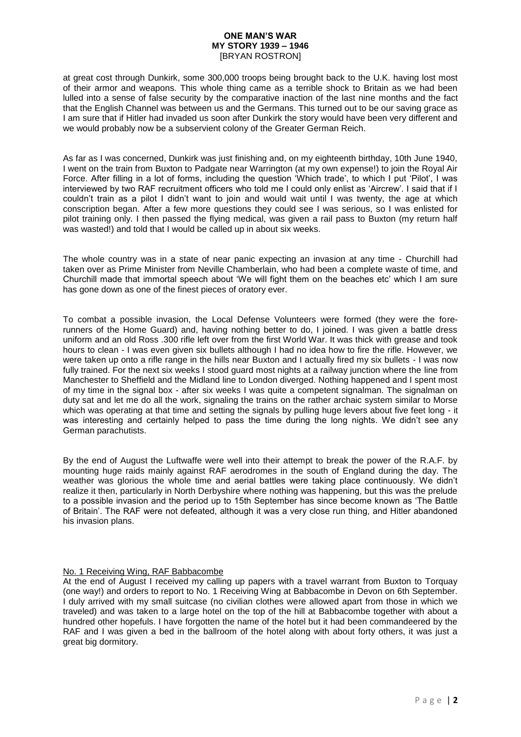at great cost through Dunkirk, some 300,000 troops being brought back to the U.K. having lost most of their armor and weapons. This whole thing came as a terrible shock to Britain as we had been lulled into a sense of false security by the comparative inaction of the last nine months and the fact that the English Channel was between us and the Germans. This turned out to be our saving grace as I am sure that if Hitler had invaded us soon after Dunkirk the story would have been very different and we would probably now be a subservient colony of the Greater German Reich.

As far as I was concerned, Dunkirk was just finishing and, on my eighteenth birthday, 10th June 1940, I went on the train from Buxton to Padgate near Warrington (at my own expense!) to join the Royal Air Force. After filling in a lot of forms, including the question 'Which trade', to which I put 'Pilot', I was interviewed by two RAF recruitment officers who told me I could only enlist as 'Aircrew'. I said that if I couldn't train as a pilot I didn't want to join and would wait until I was twenty, the age at which conscription began. After a few more questions they could see I was serious, so I was enlisted for pilot training only. I then passed the flying medical, was given a rail pass to Buxton (my return half was wasted!) and told that I would be called up in about six weeks.

The whole country was in a state of near panic expecting an invasion at any time - Churchill had taken over as Prime Minister from Neville Chamberlain, who had been a complete waste of time, and Churchill made that immortal speech about 'We will fight them on the beaches etc' which I am sure has gone down as one of the finest pieces of oratory ever.

To combat a possible invasion, the Local Defense Volunteers were formed (they were the forerunners of the Home Guard) and, having nothing better to do, I joined. I was given a battle dress uniform and an old Ross .300 rifle left over from the first World War. It was thick with grease and took hours to clean - I was even given six bullets although I had no idea how to fire the rifle. However, we were taken up onto a rifle range in the hills near Buxton and I actually fired my six bullets - I was now fully trained. For the next six weeks I stood quard most nights at a railway junction where the line from Manchester to Sheffield and the Midland line to London diverged. Nothing happened and I spent most of my time in the signal box - after six weeks I was quite a competent signalman. The signalman on duty sat and let me do all the work, signaling the trains on the rather archaic system similar to Morse which was operating at that time and setting the signals by pulling huge levers about five feet long - it was interesting and certainly helped to pass the time during the long nights. We didn't see any German parachutists.

By the end of August the Luftwaffe were well into their attempt to break the power of the R.A.F. by mounting huge raids mainly against RAF aerodromes in the south of England during the day. The weather was glorious the whole time and aerial battles were taking place continuously. We didn't realize it then, particularly in North Derbyshire where nothing was happening, but this was the prelude to a possible invasion and the period up to 15th September has since become known as 'The Battle of Britain'. The RAF were not defeated, although it was a very close run thing, and Hitler abandoned his invasion plans.

### No. 1 Receiving Wing, RAF Babbacombe

At the end of August I received my calling up papers with a travel warrant from Buxton to Torquay (one way!) and orders to report to No. 1 Receiving Wing at Babbacombe in Devon on 6th September. I duly arrived with my small suitcase (no civilian clothes were allowed apart from those in which we traveled) and was taken to a large hotel on the top of the hill at Babbacombe together with about a hundred other hopefuls. I have forgotten the name of the hotel but it had been commandeered by the RAF and I was given a bed in the ballroom of the hotel along with about forty others, it was just a great big dormitory.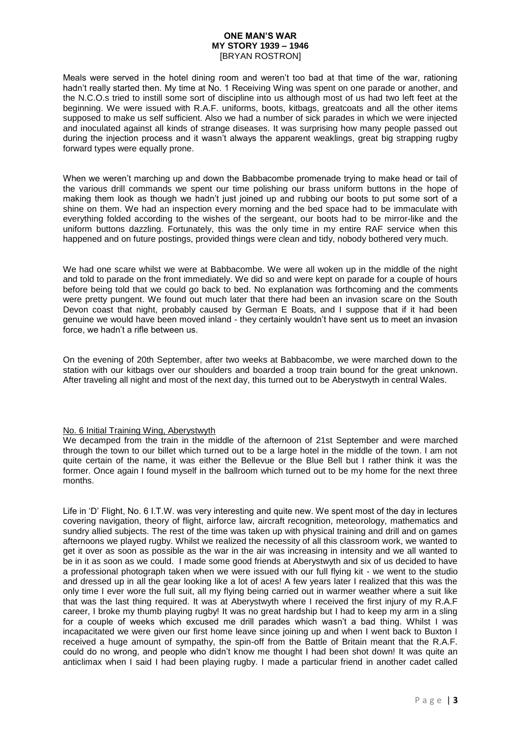Meals were served in the hotel dining room and weren't too bad at that time of the war, rationing hadn't really started then. My time at No. 1 Receiving Wing was spent on one parade or another, and the N.C.O.s tried to instill some sort of discipline into us although most of us had two left feet at the beginning. We were issued with R.A.F. uniforms, boots, kitbags, greatcoats and all the other items supposed to make us self sufficient. Also we had a number of sick parades in which we were injected and inoculated against all kinds of strange diseases. It was surprising how many people passed out during the injection process and it wasn't always the apparent weaklings, great big strapping rugby forward types were equally prone.

When we weren't marching up and down the Babbacombe promenade trying to make head or tail of the various drill commands we spent our time polishing our brass uniform buttons in the hope of making them look as though we hadn't just joined up and rubbing our boots to put some sort of a shine on them. We had an inspection every morning and the bed space had to be immaculate with everything folded according to the wishes of the sergeant, our boots had to be mirror-like and the uniform buttons dazzling. Fortunately, this was the only time in my entire RAF service when this happened and on future postings, provided things were clean and tidy, nobody bothered very much.

We had one scare whilst we were at Babbacombe. We were all woken up in the middle of the night and told to parade on the front immediately. We did so and were kept on parade for a couple of hours before being told that we could go back to bed. No explanation was forthcoming and the comments were pretty pungent. We found out much later that there had been an invasion scare on the South Devon coast that night, probably caused by German E Boats, and I suppose that if it had been genuine we would have been moved inland - they certainly wouldn't have sent us to meet an invasion force, we hadn't a rifle between us.

On the evening of 20th September, after two weeks at Babbacombe, we were marched down to the station with our kitbags over our shoulders and boarded a troop train bound for the great unknown. After traveling all night and most of the next day, this turned out to be Aberystwyth in central Wales.

### No. 6 Initial Training Wing, Aberystwyth

We decamped from the train in the middle of the afternoon of 21st September and were marched through the town to our billet which turned out to be a large hotel in the middle of the town. I am not quite certain of the name, it was either the Bellevue or the Blue Bell but I rather think it was the former. Once again I found myself in the ballroom which turned out to be my home for the next three months.

Life in 'D' Flight, No. 6 I.T.W. was very interesting and quite new. We spent most of the day in lectures covering navigation, theory of flight, airforce law, aircraft recognition, meteorology, mathematics and sundry allied subjects. The rest of the time was taken up with physical training and drill and on games afternoons we played rugby. Whilst we realized the necessity of all this classroom work, we wanted to get it over as soon as possible as the war in the air was increasing in intensity and we all wanted to be in it as soon as we could. I made some good friends at Aberystwyth and six of us decided to have a professional photograph taken when we were issued with our full flying kit - we went to the studio and dressed up in all the gear looking like a lot of aces! A few years later I realized that this was the only time I ever wore the full suit, all my flying being carried out in warmer weather where a suit like that was the last thing required. It was at Aberystwyth where I received the first injury of my R.A.F career, I broke my thumb playing rugby! It was no great hardship but I had to keep my arm in a sling for a couple of weeks which excused me drill parades which wasn't a bad thing. Whilst I was incapacitated we were given our first home leave since joining up and when I went back to Buxton I received a huge amount of sympathy, the spin-off from the Battle of Britain meant that the R.A.F. could do no wrong, and people who didn't know me thought I had been shot down! It was quite an anticlimax when I said I had been playing rugby. I made a particular friend in another cadet called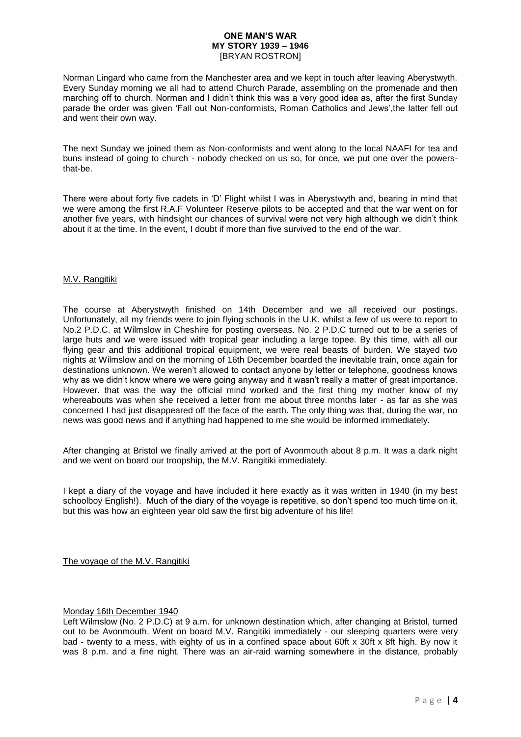Norman Lingard who came from the Manchester area and we kept in touch after leaving Aberystwyth. Every Sunday morning we all had to attend Church Parade, assembling on the promenade and then marching off to church. Norman and I didn't think this was a very good idea as, after the first Sunday parade the order was given 'Fall out Non-conformists, Roman Catholics and Jews',the latter fell out and went their own way.

The next Sunday we joined them as Non-conformists and went along to the local NAAFI for tea and buns instead of going to church - nobody checked on us so, for once, we put one over the powersthat-be.

There were about forty five cadets in 'D' Flight whilst I was in Aberystwyth and, bearing in mind that we were among the first R.A.F Volunteer Reserve pilots to be accepted and that the war went on for another five years, with hindsight our chances of survival were not very high although we didn't think about it at the time. In the event, I doubt if more than five survived to the end of the war.

### M.V. Rangitiki

The course at Aberystwyth finished on 14th December and we all received our postings. Unfortunately, all my friends were to join flying schools in the U.K. whilst a few of us were to report to No.2 P.D.C. at Wilmslow in Cheshire for posting overseas. No. 2 P.D.C turned out to be a series of large huts and we were issued with tropical gear including a large topee. By this time, with all our flying gear and this additional tropical equipment, we were real beasts of burden. We stayed two nights at Wilmslow and on the morning of 16th December boarded the inevitable train, once again for destinations unknown. We weren't allowed to contact anyone by letter or telephone, goodness knows why as we didn't know where we were going anyway and it wasn't really a matter of great importance. However. that was the way the official mind worked and the first thing my mother know of my whereabouts was when she received a letter from me about three months later - as far as she was concerned I had just disappeared off the face of the earth. The only thing was that, during the war, no news was good news and if anything had happened to me she would be informed immediately.

After changing at Bristol we finally arrived at the port of Avonmouth about 8 p.m. It was a dark night and we went on board our troopship, the M.V. Rangitiki immediately.

I kept a diary of the voyage and have included it here exactly as it was written in 1940 (in my best schoolboy English!). Much of the diary of the voyage is repetitive, so don't spend too much time on it, but this was how an eighteen year old saw the first big adventure of his life!

The voyage of the M.V. Rangitiki

### Monday 16th December 1940

Left Wilmslow (No. 2 P.D.C) at 9 a.m. for unknown destination which, after changing at Bristol, turned out to be Avonmouth. Went on board M.V. Rangitiki immediately - our sleeping quarters were very bad - twenty to a mess, with eighty of us in a confined space about 60ft x 30ft x 8ft high. By now it was 8 p.m. and a fine night. There was an air-raid warning somewhere in the distance, probably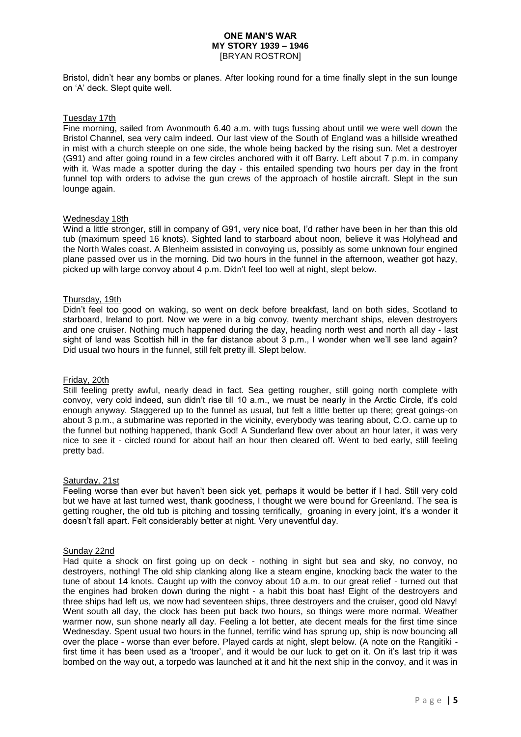Bristol, didn't hear any bombs or planes. After looking round for a time finally slept in the sun lounge on 'A' deck. Slept quite well.

### Tuesday 17th

Fine morning, sailed from Avonmouth 6.40 a.m. with tugs fussing about until we were well down the Bristol Channel, sea very calm indeed. Our last view of the South of England was a hillside wreathed in mist with a church steeple on one side, the whole being backed by the rising sun. Met a destroyer (G91) and after going round in a few circles anchored with it off Barry. Left about 7 p.m. in company with it. Was made a spotter during the day - this entailed spending two hours per day in the front funnel top with orders to advise the gun crews of the approach of hostile aircraft. Slept in the sun lounge again.

#### Wednesday 18th

Wind a little stronger, still in company of G91, very nice boat, I'd rather have been in her than this old tub (maximum speed 16 knots). Sighted land to starboard about noon, believe it was Holyhead and the North Wales coast. A Blenheim assisted in convoying us, possibly as some unknown four engined plane passed over us in the morning. Did two hours in the funnel in the afternoon, weather got hazy, picked up with large convoy about 4 p.m. Didn't feel too well at night, slept below.

### Thursday, 19th

Didn't feel too good on waking, so went on deck before breakfast, land on both sides, Scotland to starboard, Ireland to port. Now we were in a big convoy, twenty merchant ships, eleven destroyers and one cruiser. Nothing much happened during the day, heading north west and north all day - last sight of land was Scottish hill in the far distance about 3 p.m., I wonder when we'll see land again? Did usual two hours in the funnel, still felt pretty ill. Slept below.

#### Friday, 20th

Still feeling pretty awful, nearly dead in fact. Sea getting rougher, still going north complete with convoy, very cold indeed, sun didn't rise till 10 a.m., we must be nearly in the Arctic Circle, it's cold enough anyway. Staggered up to the funnel as usual, but felt a little better up there; great goings-on about 3 p.m., a submarine was reported in the vicinity, everybody was tearing about, C.O. came up to the funnel but nothing happened, thank God! A Sunderland flew over about an hour later, it was very nice to see it - circled round for about half an hour then cleared off. Went to bed early, still feeling pretty bad.

#### Saturday, 21st

Feeling worse than ever but haven't been sick yet, perhaps it would be better if I had. Still very cold but we have at last turned west, thank goodness, I thought we were bound for Greenland. The sea is getting rougher, the old tub is pitching and tossing terrifically, groaning in every joint, it's a wonder it doesn't fall apart. Felt considerably better at night. Very uneventful day.

#### Sunday 22nd

Had quite a shock on first going up on deck - nothing in sight but sea and sky, no convoy, no destroyers, nothing! The old ship clanking along like a steam engine, knocking back the water to the tune of about 14 knots. Caught up with the convoy about 10 a.m. to our great relief - turned out that the engines had broken down during the night - a habit this boat has! Eight of the destroyers and three ships had left us, we now had seventeen ships, three destroyers and the cruiser, good old Navy! Went south all day, the clock has been put back two hours, so things were more normal. Weather warmer now, sun shone nearly all day. Feeling a lot better, ate decent meals for the first time since Wednesday. Spent usual two hours in the funnel, terrific wind has sprung up, ship is now bouncing all over the place - worse than ever before. Played cards at night, slept below. (A note on the Rangitiki first time it has been used as a 'trooper', and it would be our luck to get on it. On it's last trip it was bombed on the way out, a torpedo was launched at it and hit the next ship in the convoy, and it was in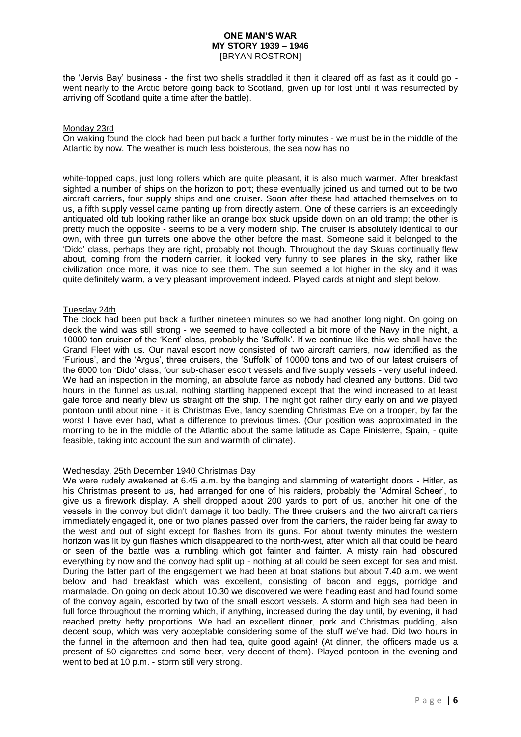the 'Jervis Bay' business - the first two shells straddled it then it cleared off as fast as it could go went nearly to the Arctic before going back to Scotland, given up for lost until it was resurrected by arriving off Scotland quite a time after the battle).

### Monday 23rd

On waking found the clock had been put back a further forty minutes - we must be in the middle of the Atlantic by now. The weather is much less boisterous, the sea now has no

white-topped caps, just long rollers which are quite pleasant, it is also much warmer. After breakfast sighted a number of ships on the horizon to port; these eventually joined us and turned out to be two aircraft carriers, four supply ships and one cruiser. Soon after these had attached themselves on to us, a fifth supply vessel came panting up from directly astern. One of these carriers is an exceedingly antiquated old tub looking rather like an orange box stuck upside down on an old tramp; the other is pretty much the opposite - seems to be a very modern ship. The cruiser is absolutely identical to our own, with three gun turrets one above the other before the mast. Someone said it belonged to the 'Dido' class, perhaps they are right, probably not though. Throughout the day Skuas continually flew about, coming from the modern carrier, it looked very funny to see planes in the sky, rather like civilization once more, it was nice to see them. The sun seemed a lot higher in the sky and it was quite definitely warm, a very pleasant improvement indeed. Played cards at night and slept below.

### Tuesday 24th

The clock had been put back a further nineteen minutes so we had another long night. On going on deck the wind was still strong - we seemed to have collected a bit more of the Navy in the night. a 10000 ton cruiser of the 'Kent' class, probably the 'Suffolk'. If we continue like this we shall have the Grand Fleet with us. Our naval escort now consisted of two aircraft carriers, now identified as the 'Furious', and the 'Argus', three cruisers, the 'Suffolk' of 10000 tons and two of our latest cruisers of the 6000 ton 'Dido' class, four sub-chaser escort vessels and five supply vessels - very useful indeed. We had an inspection in the morning, an absolute farce as nobody had cleaned any buttons. Did two hours in the funnel as usual, nothing startling happened except that the wind increased to at least gale force and nearly blew us straight off the ship. The night got rather dirty early on and we played pontoon until about nine - it is Christmas Eve, fancy spending Christmas Eve on a trooper, by far the worst I have ever had, what a difference to previous times. (Our position was approximated in the morning to be in the middle of the Atlantic about the same latitude as Cape Finisterre, Spain, - quite feasible, taking into account the sun and warmth of climate).

# Wednesday, 25th December 1940 Christmas Day

We were rudely awakened at 6.45 a.m. by the banging and slamming of watertight doors - Hitler, as his Christmas present to us, had arranged for one of his raiders, probably the 'Admiral Scheer', to give us a firework display. A shell dropped about 200 yards to port of us, another hit one of the vessels in the convoy but didn't damage it too badly. The three cruisers and the two aircraft carriers immediately engaged it, one or two planes passed over from the carriers, the raider being far away to the west and out of sight except for flashes from its guns. For about twenty minutes the western horizon was lit by gun flashes which disappeared to the north-west, after which all that could be heard or seen of the battle was a rumbling which got fainter and fainter. A misty rain had obscured everything by now and the convoy had split up - nothing at all could be seen except for sea and mist. During the latter part of the engagement we had been at boat stations but about 7.40 a.m. we went below and had breakfast which was excellent, consisting of bacon and eggs, porridge and marmalade. On going on deck about 10.30 we discovered we were heading east and had found some of the convoy again, escorted by two of the small escort vessels. A storm and high sea had been in full force throughout the morning which, if anything, increased during the day until, by evening, it had reached pretty hefty proportions. We had an excellent dinner, pork and Christmas pudding, also decent soup, which was very acceptable considering some of the stuff we've had. Did two hours in the funnel in the afternoon and then had tea, quite good again! (At dinner, the officers made us a present of 50 cigarettes and some beer, very decent of them). Played pontoon in the evening and went to bed at 10 p.m. - storm still very strong.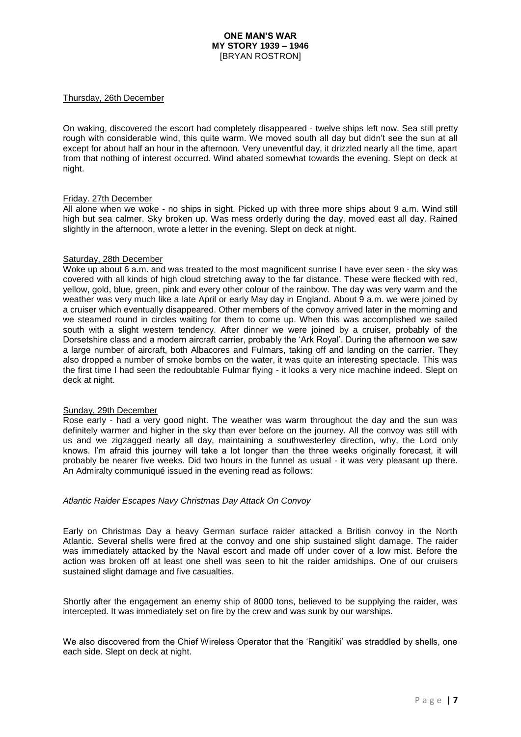### Thursday, 26th December

On waking, discovered the escort had completely disappeared - twelve ships left now. Sea still pretty rough with considerable wind, this quite warm. We moved south all day but didn't see the sun at all except for about half an hour in the afternoon. Very uneventful day, it drizzled nearly all the time, apart from that nothing of interest occurred. Wind abated somewhat towards the evening. Slept on deck at night.

### Friday. 27th December

All alone when we woke - no ships in sight. Picked up with three more ships about 9 a.m. Wind still high but sea calmer. Sky broken up. Was mess orderly during the day, moved east all day. Rained slightly in the afternoon, wrote a letter in the evening. Slept on deck at night.

### Saturday, 28th December

Woke up about 6 a.m. and was treated to the most magnificent sunrise I have ever seen - the sky was covered with all kinds of high cloud stretching away to the far distance. These were flecked with red, yellow, gold, blue, green, pink and every other colour of the rainbow. The day was very warm and the weather was very much like a late April or early May day in England. About 9 a.m. we were joined by a cruiser which eventually disappeared. Other members of the convoy arrived later in the morning and we steamed round in circles waiting for them to come up. When this was accomplished we sailed south with a slight western tendency. After dinner we were joined by a cruiser, probably of the Dorsetshire class and a modern aircraft carrier, probably the 'Ark Royal'. During the afternoon we saw a large number of aircraft, both Albacores and Fulmars, taking off and landing on the carrier. They also dropped a number of smoke bombs on the water, it was quite an interesting spectacle. This was the first time I had seen the redoubtable Fulmar flying - it looks a very nice machine indeed. Slept on deck at night.

#### Sunday, 29th December

Rose early - had a very good night. The weather was warm throughout the day and the sun was definitely warmer and higher in the sky than ever before on the journey. All the convoy was still with us and we zigzagged nearly all day, maintaining a southwesterley direction, why, the Lord only knows. I'm afraid this journey will take a lot longer than the three weeks originally forecast, it will probably be nearer five weeks. Did two hours in the funnel as usual - it was very pleasant up there. An Admiralty communiqué issued in the evening read as follows:

#### *Atlantic Raider Escapes Navy Christmas Day Attack On Convoy*

Early on Christmas Day a heavy German surface raider attacked a British convoy in the North Atlantic. Several shells were fired at the convoy and one ship sustained slight damage. The raider was immediately attacked by the Naval escort and made off under cover of a low mist. Before the action was broken off at least one shell was seen to hit the raider amidships. One of our cruisers sustained slight damage and five casualties.

Shortly after the engagement an enemy ship of 8000 tons, believed to be supplying the raider, was intercepted. It was immediately set on fire by the crew and was sunk by our warships.

We also discovered from the Chief Wireless Operator that the 'Rangitiki' was straddled by shells, one each side. Slept on deck at night.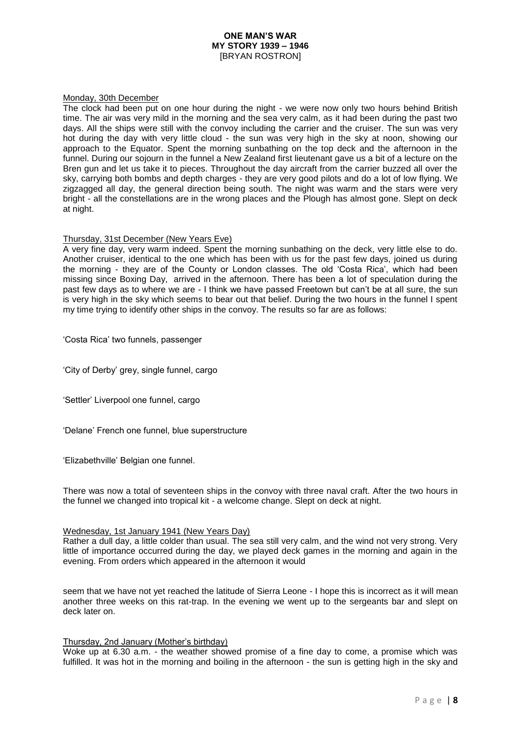### Monday, 30th December

The clock had been put on one hour during the night - we were now only two hours behind British time. The air was very mild in the morning and the sea very calm, as it had been during the past two days. All the ships were still with the convoy including the carrier and the cruiser. The sun was very hot during the day with very little cloud - the sun was very high in the sky at noon, showing our approach to the Equator. Spent the morning sunbathing on the top deck and the afternoon in the funnel. During our sojourn in the funnel a New Zealand first lieutenant gave us a bit of a lecture on the Bren gun and let us take it to pieces. Throughout the day aircraft from the carrier buzzed all over the sky, carrying both bombs and depth charges - they are very good pilots and do a lot of low flying. We zigzagged all day, the general direction being south. The night was warm and the stars were very bright - all the constellations are in the wrong places and the Plough has almost gone. Slept on deck at night.

### Thursday, 31st December (New Years Eve)

A very fine day, very warm indeed. Spent the morning sunbathing on the deck, very little else to do. Another cruiser, identical to the one which has been with us for the past few days, joined us during the morning - they are of the County or London classes. The old 'Costa Rica', which had been missing since Boxing Day, arrived in the afternoon. There has been a lot of speculation during the past few days as to where we are - I think we have passed Freetown but can't be at all sure, the sun is very high in the sky which seems to bear out that belief. During the two hours in the funnel I spent my time trying to identify other ships in the convoy. The results so far are as follows:

'Costa Rica' two funnels, passenger

'City of Derby' grey, single funnel, cargo

'Settler' Liverpool one funnel, cargo

'Delane' French one funnel, blue superstructure

'Elizabethville' Belgian one funnel.

There was now a total of seventeen ships in the convoy with three naval craft. After the two hours in the funnel we changed into tropical kit - a welcome change. Slept on deck at night.

#### Wednesday, 1st January 1941 (New Years Day)

Rather a dull day, a little colder than usual. The sea still very calm, and the wind not very strong. Very little of importance occurred during the day, we played deck games in the morning and again in the evening. From orders which appeared in the afternoon it would

seem that we have not yet reached the latitude of Sierra Leone - I hope this is incorrect as it will mean another three weeks on this rat-trap. In the evening we went up to the sergeants bar and slept on deck later on.

#### Thursday, 2nd January (Mother's birthday)

Woke up at 6.30 a.m. - the weather showed promise of a fine day to come, a promise which was fulfilled. It was hot in the morning and boiling in the afternoon - the sun is getting high in the sky and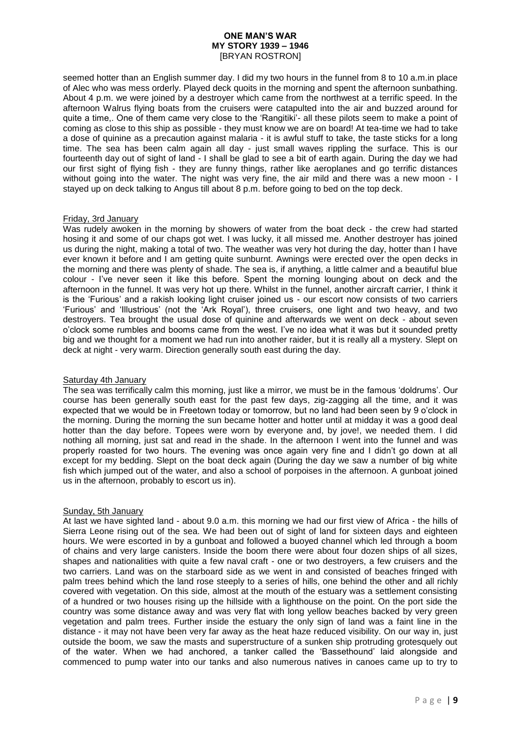seemed hotter than an English summer day. I did my two hours in the funnel from 8 to 10 a.m.in place of Alec who was mess orderly. Played deck quoits in the morning and spent the afternoon sunbathing. About 4 p.m. we were joined by a destroyer which came from the northwest at a terrific speed. In the afternoon Walrus flying boats from the cruisers were catapulted into the air and buzzed around for quite a time,. One of them came very close to the 'Rangitiki'- all these pilots seem to make a point of coming as close to this ship as possible - they must know we are on board! At tea-time we had to take a dose of quinine as a precaution against malaria - it is awful stuff to take, the taste sticks for a long time. The sea has been calm again all day - just small waves rippling the surface. This is our fourteenth day out of sight of land - I shall be glad to see a bit of earth again. During the day we had our first sight of flying fish - they are funny things, rather like aeroplanes and go terrific distances without going into the water. The night was very fine, the air mild and there was a new moon - I stayed up on deck talking to Angus till about 8 p.m. before going to bed on the top deck.

### Friday, 3rd January

Was rudely awoken in the morning by showers of water from the boat deck - the crew had started hosing it and some of our chaps got wet. I was lucky, it all missed me. Another destroyer has joined us during the night, making a total of two. The weather was very hot during the day, hotter than I have ever known it before and I am getting quite sunburnt. Awnings were erected over the open decks in the morning and there was plenty of shade. The sea is, if anything, a little calmer and a beautiful blue colour - I've never seen it like this before. Spent the morning lounging about on deck and the afternoon in the funnel. It was very hot up there. Whilst in the funnel, another aircraft carrier, I think it is the 'Furious' and a rakish looking light cruiser joined us - our escort now consists of two carriers 'Furious' and 'Illustrious' (not the 'Ark Royal'), three cruisers, one light and two heavy, and two destroyers. Tea brought the usual dose of quinine and afterwards we went on deck - about seven o'clock some rumbles and booms came from the west. I've no idea what it was but it sounded pretty big and we thought for a moment we had run into another raider, but it is really all a mystery. Slept on deck at night - very warm. Direction generally south east during the day.

### Saturday 4th January

The sea was terrifically calm this morning, just like a mirror, we must be in the famous 'doldrums'. Our course has been generally south east for the past few days, zig-zagging all the time, and it was expected that we would be in Freetown today or tomorrow, but no land had been seen by 9 o'clock in the morning. During the morning the sun became hotter and hotter until at midday it was a good deal hotter than the day before. Topees were worn by everyone and, by jove!, we needed them. I did nothing all morning, just sat and read in the shade. In the afternoon I went into the funnel and was properly roasted for two hours. The evening was once again very fine and I didn't go down at all except for my bedding. Slept on the boat deck again (During the day we saw a number of big white fish which jumped out of the water, and also a school of porpoises in the afternoon. A gunboat joined us in the afternoon, probably to escort us in).

### Sunday, 5th January

At last we have sighted land - about 9.0 a.m. this morning we had our first view of Africa - the hills of Sierra Leone rising out of the sea. We had been out of sight of land for sixteen days and eighteen hours. We were escorted in by a gunboat and followed a buoyed channel which led through a boom of chains and very large canisters. Inside the boom there were about four dozen ships of all sizes, shapes and nationalities with quite a few naval craft - one or two destroyers, a few cruisers and the two carriers. Land was on the starboard side as we went in and consisted of beaches fringed with palm trees behind which the land rose steeply to a series of hills, one behind the other and all richly covered with vegetation. On this side, almost at the mouth of the estuary was a settlement consisting of a hundred or two houses rising up the hillside with a lighthouse on the point. On the port side the country was some distance away and was very flat with long yellow beaches backed by very green vegetation and palm trees. Further inside the estuary the only sign of land was a faint line in the distance - it may not have been very far away as the heat haze reduced visibility. On our way in, just outside the boom, we saw the masts and superstructure of a sunken ship protruding grotesquely out of the water. When we had anchored, a tanker called the 'Bassethound' laid alongside and commenced to pump water into our tanks and also numerous natives in canoes came up to try to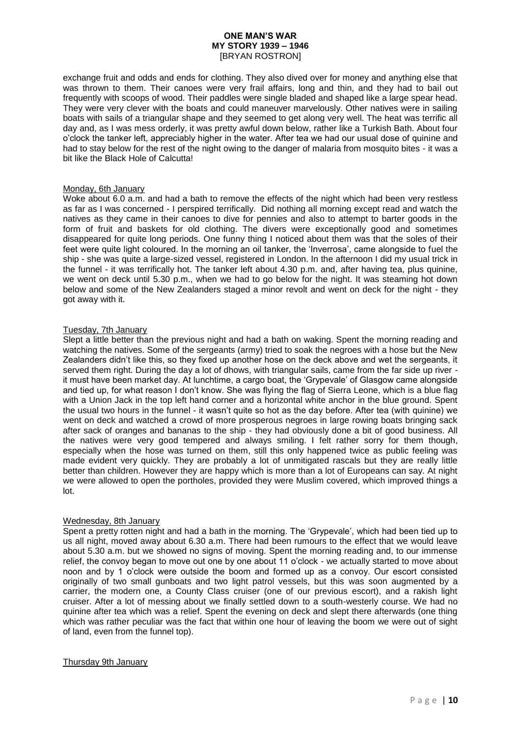exchange fruit and odds and ends for clothing. They also dived over for money and anything else that was thrown to them. Their canoes were very frail affairs, long and thin, and they had to bail out frequently with scoops of wood. Their paddles were single bladed and shaped like a large spear head. They were very clever with the boats and could maneuver marvelously. Other natives were in sailing boats with sails of a triangular shape and they seemed to get along very well. The heat was terrific all day and, as I was mess orderly, it was pretty awful down below, rather like a Turkish Bath. About four o'clock the tanker left, appreciably higher in the water. After tea we had our usual dose of quinine and had to stay below for the rest of the night owing to the danger of malaria from mosquito bites - it was a bit like the Black Hole of Calcutta!

### Monday, 6th January

Woke about 6.0 a.m. and had a bath to remove the effects of the night which had been very restless as far as I was concerned - I perspired terrifically. Did nothing all morning except read and watch the natives as they came in their canoes to dive for pennies and also to attempt to barter goods in the form of fruit and baskets for old clothing. The divers were exceptionally good and sometimes disappeared for quite long periods. One funny thing I noticed about them was that the soles of their feet were quite light coloured. In the morning an oil tanker, the 'Inverrosa', came alongside to fuel the ship - she was quite a large-sized vessel, registered in London. In the afternoon I did my usual trick in the funnel - it was terrifically hot. The tanker left about 4.30 p.m. and, after having tea, plus quinine, we went on deck until 5.30 p.m., when we had to go below for the night. It was steaming hot down below and some of the New Zealanders staged a minor revolt and went on deck for the night - they got away with it.

### Tuesday, 7th January

Slept a little better than the previous night and had a bath on waking. Spent the morning reading and watching the natives. Some of the sergeants (army) tried to soak the negroes with a hose but the New Zealanders didn't like this, so they fixed up another hose on the deck above and wet the sergeants, it served them right. During the day a lot of dhows, with triangular sails, came from the far side up river it must have been market day. At lunchtime, a cargo boat, the 'Grypevale' of Glasgow came alongside and tied up, for what reason I don't know. She was flying the flag of Sierra Leone, which is a blue flag with a Union Jack in the top left hand corner and a horizontal white anchor in the blue ground. Spent the usual two hours in the funnel - it wasn't quite so hot as the day before. After tea (with quinine) we went on deck and watched a crowd of more prosperous negroes in large rowing boats bringing sack after sack of oranges and bananas to the ship - they had obviously done a bit of good business. All the natives were very good tempered and always smiling. I felt rather sorry for them though, especially when the hose was turned on them, still this only happened twice as public feeling was made evident very quickly. They are probably a lot of unmitigated rascals but they are really little better than children. However they are happy which is more than a lot of Europeans can say. At night we were allowed to open the portholes, provided they were Muslim covered, which improved things a lot.

### Wednesday, 8th January

Spent a pretty rotten night and had a bath in the morning. The 'Grypevale', which had been tied up to us all night, moved away about 6.30 a.m. There had been rumours to the effect that we would leave about 5.30 a.m. but we showed no signs of moving. Spent the morning reading and, to our immense relief, the convoy began to move out one by one about 11 o'clock - we actually started to move about noon and by 1 o'clock were outside the boom and formed up as a convoy. Our escort consisted originally of two small gunboats and two light patrol vessels, but this was soon augmented by a carrier, the modern one, a County Class cruiser (one of our previous escort), and a rakish light cruiser. After a lot of messing about we finally settled down to a south-westerly course. We had no quinine after tea which was a relief. Spent the evening on deck and slept there afterwards (one thing which was rather peculiar was the fact that within one hour of leaving the boom we were out of sight of land, even from the funnel top).

### Thursday 9th January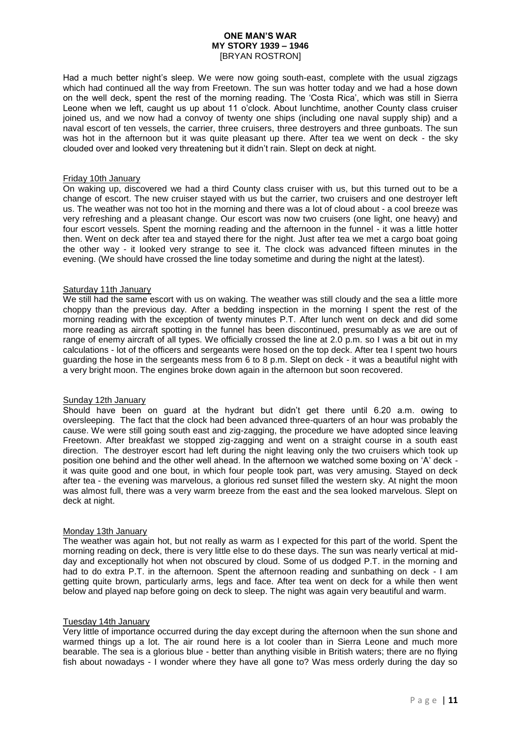Had a much better night's sleep. We were now going south-east, complete with the usual zigzags which had continued all the way from Freetown. The sun was hotter today and we had a hose down on the well deck, spent the rest of the morning reading. The 'Costa Rica', which was still in Sierra Leone when we left, caught us up about 11 o'clock. About lunchtime, another County class cruiser joined us, and we now had a convoy of twenty one ships (including one naval supply ship) and a naval escort of ten vessels, the carrier, three cruisers, three destroyers and three gunboats. The sun was hot in the afternoon but it was quite pleasant up there. After tea we went on deck - the sky clouded over and looked very threatening but it didn't rain. Slept on deck at night.

#### Friday 10th January

On waking up, discovered we had a third County class cruiser with us, but this turned out to be a change of escort. The new cruiser stayed with us but the carrier, two cruisers and one destroyer left us. The weather was not too hot in the morning and there was a lot of cloud about - a cool breeze was very refreshing and a pleasant change. Our escort was now two cruisers (one light, one heavy) and four escort vessels. Spent the morning reading and the afternoon in the funnel - it was a little hotter then. Went on deck after tea and stayed there for the night. Just after tea we met a cargo boat going the other way - it looked very strange to see it. The clock was advanced fifteen minutes in the evening. (We should have crossed the line today sometime and during the night at the latest).

#### Saturday 11th January

We still had the same escort with us on waking. The weather was still cloudy and the sea a little more choppy than the previous day. After a bedding inspection in the morning I spent the rest of the morning reading with the exception of twenty minutes P.T. After lunch went on deck and did some more reading as aircraft spotting in the funnel has been discontinued, presumably as we are out of range of enemy aircraft of all types. We officially crossed the line at 2.0 p.m. so I was a bit out in my calculations - lot of the officers and sergeants were hosed on the top deck. After tea I spent two hours guarding the hose in the sergeants mess from 6 to 8 p.m. Slept on deck - it was a beautiful night with a very bright moon. The engines broke down again in the afternoon but soon recovered.

## Sunday 12th January

Should have been on guard at the hydrant but didn't get there until 6.20 a.m. owing to oversleeping. The fact that the clock had been advanced three-quarters of an hour was probably the cause. We were still going south east and zig-zagging, the procedure we have adopted since leaving Freetown. After breakfast we stopped zig-zagging and went on a straight course in a south east direction. The destroyer escort had left during the night leaving only the two cruisers which took up position one behind and the other well ahead. In the afternoon we watched some boxing on 'A' deck it was quite good and one bout, in which four people took part, was very amusing. Stayed on deck after tea - the evening was marvelous, a glorious red sunset filled the western sky. At night the moon was almost full, there was a very warm breeze from the east and the sea looked marvelous. Slept on deck at night.

#### Monday 13th January

The weather was again hot, but not really as warm as I expected for this part of the world. Spent the morning reading on deck, there is very little else to do these days. The sun was nearly vertical at midday and exceptionally hot when not obscured by cloud. Some of us dodged P.T. in the morning and had to do extra P.T. in the afternoon. Spent the afternoon reading and sunbathing on deck - I am getting quite brown, particularly arms, legs and face. After tea went on deck for a while then went below and played nap before going on deck to sleep. The night was again very beautiful and warm.

#### Tuesday 14th January

Very little of importance occurred during the day except during the afternoon when the sun shone and warmed things up a lot. The air round here is a lot cooler than in Sierra Leone and much more bearable. The sea is a glorious blue - better than anything visible in British waters; there are no flying fish about nowadays - I wonder where they have all gone to? Was mess orderly during the day so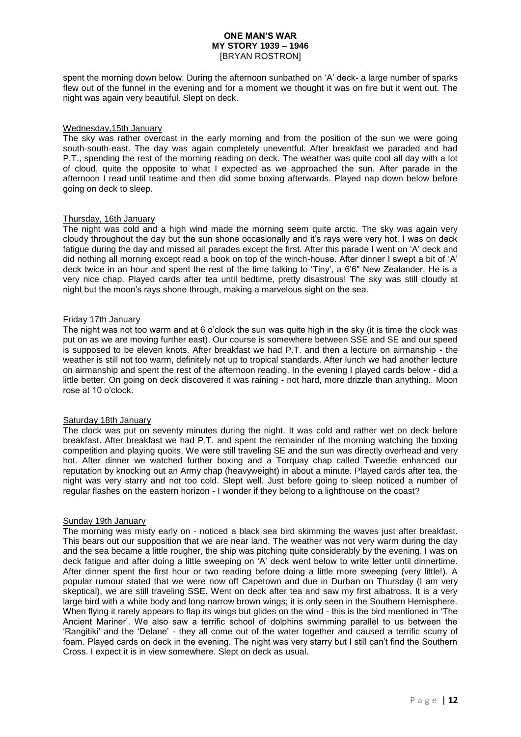spent the morning down below. During the afternoon sunbathed on 'A' deck- a large number of sparks flew out of the funnel in the evening and for a moment we thought it was on fire but it went out. The night was again very beautiful. Slept on deck.

### Wednesday,15th January

The sky was rather overcast in the early morning and from the position of the sun we were going south-south-east. The day was again completely uneventful. After breakfast we paraded and had P.T., spending the rest of the morning reading on deck. The weather was quite cool all day with a lot of cloud, quite the opposite to what I expected as we approached the sun. After parade in the afternoon I read until teatime and then did some boxing afterwards. Played nap down below before going on deck to sleep.

### Thursday, 16th January

The night was cold and a high wind made the morning seem quite arctic. The sky was again very cloudy throughout the day but the sun shone occasionally and it's rays were very hot. I was on deck fatigue during the day and missed all parades except the first. After this parade I went on 'A' deck and did nothing all morning except read a book on top of the winch-house. After dinner I swept a bit of 'A' deck twice in an hour and spent the rest of the time talking to 'Tiny', a 6'6" New Zealander. He is a very nice chap. Played cards after tea until bedtime, pretty disastrous! The sky was still cloudy at night but the moon's rays shone through, making a marvelous sight on the sea.

### Friday 17th January

The night was not too warm and at 6 o'clock the sun was quite high in the sky (it is time the clock was put on as we are moving further east). Our course is somewhere between SSE and SE and our speed is supposed to be eleven knots. After breakfast we had P.T. and then a lecture on airmanship - the weather is still not too warm, definitely not up to tropical standards. After lunch we had another lecture on airmanship and spent the rest of the afternoon reading. In the evening I played cards below - did a little better. On going on deck discovered it was raining - not hard, more drizzle than anything.. Moon rose at 10 o'clock.

## Saturday 18th January

The clock was put on seventy minutes during the night. It was cold and rather wet on deck before breakfast. After breakfast we had P.T. and spent the remainder of the morning watching the boxing competition and playing quoits. We were still traveling SE and the sun was directly overhead and very hot. After dinner we watched further boxing and a Torquay chap called Tweedie enhanced our reputation by knocking out an Army chap (heavyweight) in about a minute. Played cards after tea, the night was very starry and not too cold. Slept well. Just before going to sleep noticed a number of regular flashes on the eastern horizon - I wonder if they belong to a lighthouse on the coast?

### Sunday 19th January

The morning was misty early on - noticed a black sea bird skimming the waves just after breakfast. This bears out our supposition that we are near land. The weather was not very warm during the day and the sea became a little rougher, the ship was pitching quite considerably by the evening. I was on deck fatigue and after doing a little sweeping on 'A' deck went below to write letter until dinnertime. After dinner spent the first hour or two reading before doing a little more sweeping (very little!). A popular rumour stated that we were now off Capetown and due in Durban on Thursday (I am very skeptical), we are still traveling SSE. Went on deck after tea and saw my first albatross. It is a very large bird with a white body and long narrow brown wings; it is only seen in the Southern Hemisphere. When flying it rarely appears to flap its wings but glides on the wind - this is the bird mentioned in 'The Ancient Mariner'. We also saw a terrific school of dolphins swimming parallel to us between the 'Rangitiki' and the 'Delane' - they all come out of the water together and caused a terrific scurry of foam. Played cards on deck in the evening. The night was very starry but I still can't find the Southern Cross. I expect it is in view somewhere. Slept on deck as usual.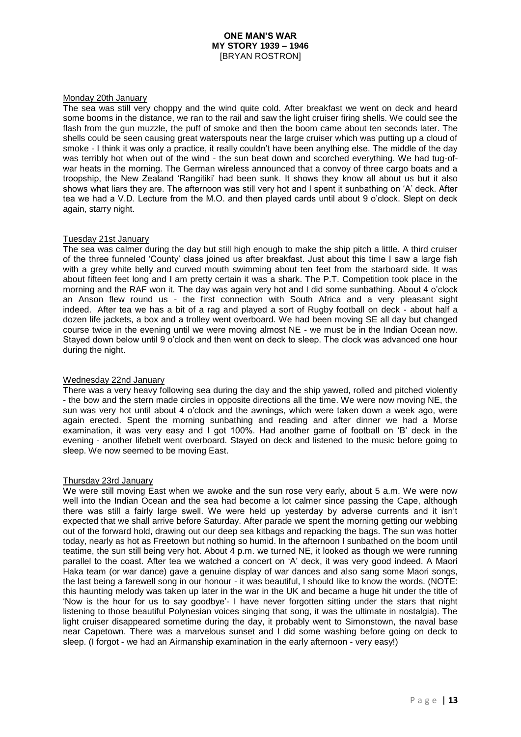#### Monday 20th January

The sea was still very choppy and the wind quite cold. After breakfast we went on deck and heard some booms in the distance, we ran to the rail and saw the light cruiser firing shells. We could see the flash from the gun muzzle, the puff of smoke and then the boom came about ten seconds later. The shells could be seen causing great waterspouts near the large cruiser which was putting up a cloud of smoke - I think it was only a practice, it really couldn't have been anything else. The middle of the day was terribly hot when out of the wind - the sun beat down and scorched everything. We had tug-ofwar heats in the morning. The German wireless announced that a convoy of three cargo boats and a troopship, the New Zealand 'Rangitiki' had been sunk. It shows they know all about us but it also shows what liars they are. The afternoon was still very hot and I spent it sunbathing on 'A' deck. After tea we had a V.D. Lecture from the M.O. and then played cards until about 9 o'clock. Slept on deck again, starry night.

### Tuesday 21st January

The sea was calmer during the day but still high enough to make the ship pitch a little. A third cruiser of the three funneled 'County' class joined us after breakfast. Just about this time I saw a large fish with a grey white belly and curved mouth swimming about ten feet from the starboard side. It was about fifteen feet long and I am pretty certain it was a shark. The P.T. Competition took place in the morning and the RAF won it. The day was again very hot and I did some sunbathing. About 4 o'clock an Anson flew round us - the first connection with South Africa and a very pleasant sight indeed. After tea we has a bit of a rag and played a sort of Rugby football on deck - about half a dozen life jackets, a box and a trolley went overboard. We had been moving SE all day but changed course twice in the evening until we were moving almost NE - we must be in the Indian Ocean now. Stayed down below until 9 o'clock and then went on deck to sleep. The clock was advanced one hour during the night.

### Wednesday 22nd January

There was a very heavy following sea during the day and the ship yawed, rolled and pitched violently - the bow and the stern made circles in opposite directions all the time. We were now moving NE, the sun was very hot until about 4 o'clock and the awnings, which were taken down a week ago, were again erected. Spent the morning sunbathing and reading and after dinner we had a Morse examination, it was very easy and I got 100%. Had another game of football on 'B' deck in the evening - another lifebelt went overboard. Stayed on deck and listened to the music before going to sleep. We now seemed to be moving East.

#### Thursday 23rd January

We were still moving East when we awoke and the sun rose very early, about 5 a.m. We were now well into the Indian Ocean and the sea had become a lot calmer since passing the Cape, although there was still a fairly large swell. We were held up yesterday by adverse currents and it isn't expected that we shall arrive before Saturday. After parade we spent the morning getting our webbing out of the forward hold, drawing out our deep sea kitbags and repacking the bags. The sun was hotter today, nearly as hot as Freetown but nothing so humid. In the afternoon I sunbathed on the boom until teatime, the sun still being very hot. About 4 p.m. we turned NE, it looked as though we were running parallel to the coast. After tea we watched a concert on 'A' deck, it was very good indeed. A Maori Haka team (or war dance) gave a genuine display of war dances and also sang some Maori songs, the last being a farewell song in our honour - it was beautiful, I should like to know the words. (NOTE: this haunting melody was taken up later in the war in the UK and became a huge hit under the title of 'Now is the hour for us to say goodbye'- I have never forgotten sitting under the stars that night listening to those beautiful Polynesian voices singing that song, it was the ultimate in nostalgia). The light cruiser disappeared sometime during the day, it probably went to Simonstown, the naval base near Capetown. There was a marvelous sunset and I did some washing before going on deck to sleep. (I forgot - we had an Airmanship examination in the early afternoon - very easy!)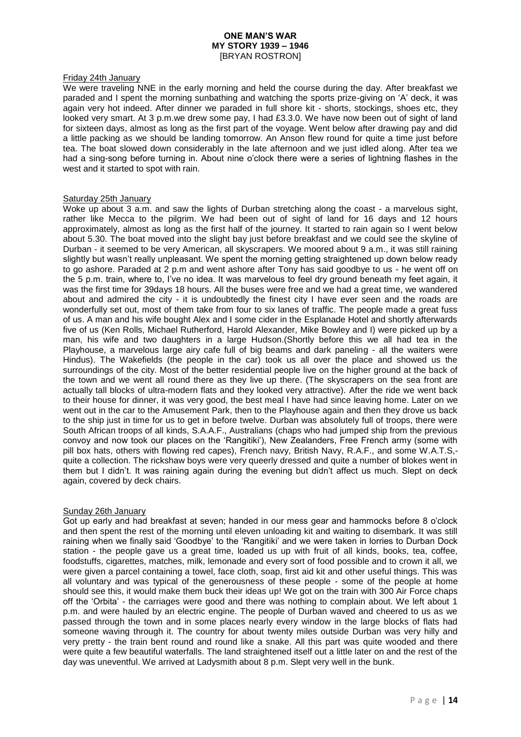### Friday 24th January

We were traveling NNE in the early morning and held the course during the day. After breakfast we paraded and I spent the morning sunbathing and watching the sports prize-giving on 'A' deck, it was again very hot indeed. After dinner we paraded in full shore kit - shorts, stockings, shoes etc, they looked very smart. At 3 p.m.we drew some pay, I had £3.3.0. We have now been out of sight of land for sixteen days, almost as long as the first part of the voyage. Went below after drawing pay and did a little packing as we should be landing tomorrow. An Anson flew round for quite a time just before tea. The boat slowed down considerably in the late afternoon and we just idled along. After tea we had a sing-song before turning in. About nine o'clock there were a series of lightning flashes in the west and it started to spot with rain.

### Saturday 25th January

Woke up about 3 a.m. and saw the lights of Durban stretching along the coast - a marvelous sight, rather like Mecca to the pilgrim. We had been out of sight of land for 16 days and 12 hours approximately, almost as long as the first half of the journey. It started to rain again so I went below about 5.30. The boat moved into the slight bay just before breakfast and we could see the skyline of Durban - it seemed to be very American, all skyscrapers. We moored about 9 a.m., it was still raining slightly but wasn't really unpleasant. We spent the morning getting straightened up down below ready to go ashore. Paraded at 2 p.m and went ashore after Tony has said goodbye to us - he went off on the 5 p.m. train, where to, I've no idea. It was marvelous to feel dry ground beneath my feet again, it was the first time for 39days 18 hours. All the buses were free and we had a great time, we wandered about and admired the city - it is undoubtedly the finest city I have ever seen and the roads are wonderfully set out, most of them take from four to six lanes of traffic. The people made a great fuss of us. A man and his wife bought Alex and I some cider in the Esplanade Hotel and shortly afterwards five of us (Ken Rolls, Michael Rutherford, Harold Alexander, Mike Bowley and I) were picked up by a man, his wife and two daughters in a large Hudson.(Shortly before this we all had tea in the Playhouse, a marvelous large airy cafe full of big beams and dark paneling - all the waiters were Hindus). The Wakefields (the people in the car) took us all over the place and showed us the surroundings of the city. Most of the better residential people live on the higher ground at the back of the town and we went all round there as they live up there. (The skyscrapers on the sea front are actually tall blocks of ultra-modern flats and they looked very attractive). After the ride we went back to their house for dinner, it was very good, the best meal I have had since leaving home. Later on we went out in the car to the Amusement Park, then to the Playhouse again and then they drove us back to the ship just in time for us to get in before twelve. Durban was absolutely full of troops, there were South African troops of all kinds, S.A.A.F., Australians (chaps who had jumped ship from the previous convoy and now took our places on the 'Rangitiki'), New Zealanders, Free French army (some with pill box hats, others with flowing red capes), French navy, British Navy, R.A.F., and some W.A.T.S, quite a collection. The rickshaw boys were very queerly dressed and quite a number of blokes went in them but I didn't. It was raining again during the evening but didn't affect us much. Slept on deck again, covered by deck chairs.

### Sunday 26th January

Got up early and had breakfast at seven; handed in our mess gear and hammocks before 8 o'clock and then spent the rest of the morning until eleven unloading kit and waiting to disembark. It was still raining when we finally said 'Goodbye' to the 'Rangitiki' and we were taken in lorries to Durban Dock station - the people gave us a great time, loaded us up with fruit of all kinds, books, tea, coffee, foodstuffs, cigarettes, matches, milk, lemonade and every sort of food possible and to crown it all, we were given a parcel containing a towel, face cloth, soap, first aid kit and other useful things. This was all voluntary and was typical of the generousness of these people - some of the people at home should see this, it would make them buck their ideas up! We got on the train with 300 Air Force chaps off the 'Orbita' - the carriages were good and there was nothing to complain about. We left about 1 p.m. and were hauled by an electric engine. The people of Durban waved and cheered to us as we passed through the town and in some places nearly every window in the large blocks of flats had someone waving through it. The country for about twenty miles outside Durban was very hilly and very pretty - the train bent round and round like a snake. All this part was quite wooded and there were quite a few beautiful waterfalls. The land straightened itself out a little later on and the rest of the day was uneventful. We arrived at Ladysmith about 8 p.m. Slept very well in the bunk.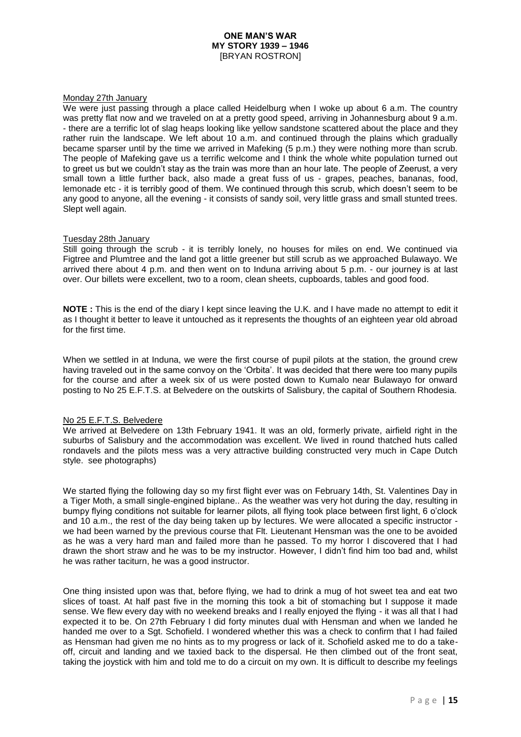### Monday 27th January

We were just passing through a place called Heidelburg when I woke up about 6 a.m. The country was pretty flat now and we traveled on at a pretty good speed, arriving in Johannesburg about 9 a.m. - there are a terrific lot of slag heaps looking like yellow sandstone scattered about the place and they rather ruin the landscape. We left about 10 a.m. and continued through the plains which gradually became sparser until by the time we arrived in Mafeking (5 p.m.) they were nothing more than scrub. The people of Mafeking gave us a terrific welcome and I think the whole white population turned out to greet us but we couldn't stay as the train was more than an hour late. The people of Zeerust, a very small town a little further back, also made a great fuss of us - grapes, peaches, bananas, food, lemonade etc - it is terribly good of them. We continued through this scrub, which doesn't seem to be any good to anyone, all the evening - it consists of sandy soil, very little grass and small stunted trees. Slept well again.

### Tuesday 28th January

Still going through the scrub - it is terribly lonely, no houses for miles on end. We continued via Figtree and Plumtree and the land got a little greener but still scrub as we approached Bulawayo. We arrived there about 4 p.m. and then went on to Induna arriving about 5 p.m. - our journey is at last over. Our billets were excellent, two to a room, clean sheets, cupboards, tables and good food.

**NOTE :** This is the end of the diary I kept since leaving the U.K. and I have made no attempt to edit it as I thought it better to leave it untouched as it represents the thoughts of an eighteen year old abroad for the first time.

When we settled in at Induna, we were the first course of pupil pilots at the station, the ground crew having traveled out in the same convoy on the 'Orbita'. It was decided that there were too many pupils for the course and after a week six of us were posted down to Kumalo near Bulawayo for onward posting to No 25 E.F.T.S. at Belvedere on the outskirts of Salisbury, the capital of Southern Rhodesia.

### No 25 E.F.T.S. Belvedere

We arrived at Belvedere on 13th February 1941. It was an old, formerly private, airfield right in the suburbs of Salisbury and the accommodation was excellent. We lived in round thatched huts called rondavels and the pilots mess was a very attractive building constructed very much in Cape Dutch style. see photographs)

We started flying the following day so my first flight ever was on February 14th, St. Valentines Day in a Tiger Moth, a small single-engined biplane.. As the weather was very hot during the day, resulting in bumpy flying conditions not suitable for learner pilots, all flying took place between first light, 6 o'clock and 10 a.m., the rest of the day being taken up by lectures. We were allocated a specific instructor we had been warned by the previous course that Flt. Lieutenant Hensman was the one to be avoided as he was a very hard man and failed more than he passed. To my horror I discovered that I had drawn the short straw and he was to be my instructor. However, I didn't find him too bad and, whilst he was rather taciturn, he was a good instructor.

One thing insisted upon was that, before flying, we had to drink a mug of hot sweet tea and eat two slices of toast. At half past five in the morning this took a bit of stomaching but I suppose it made sense. We flew every day with no weekend breaks and I really enjoyed the flying - it was all that I had expected it to be. On 27th February I did forty minutes dual with Hensman and when we landed he handed me over to a Sgt. Schofield. I wondered whether this was a check to confirm that I had failed as Hensman had given me no hints as to my progress or lack of it. Schofield asked me to do a takeoff, circuit and landing and we taxied back to the dispersal. He then climbed out of the front seat, taking the joystick with him and told me to do a circuit on my own. It is difficult to describe my feelings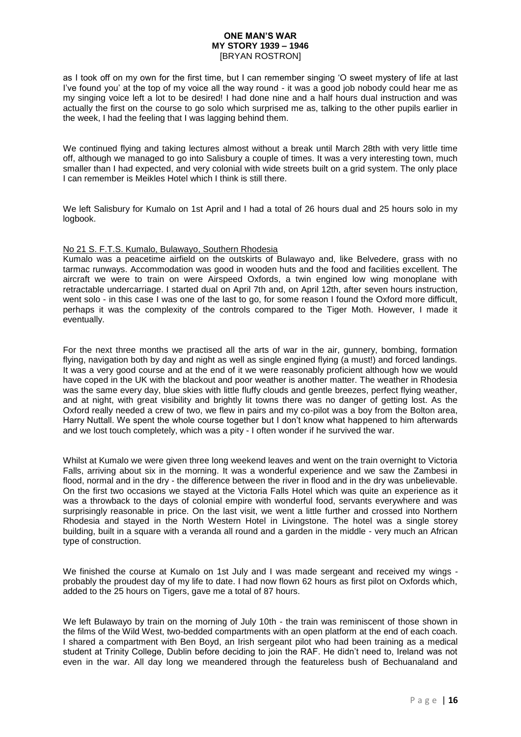as I took off on my own for the first time, but I can remember singing 'O sweet mystery of life at last I've found you' at the top of my voice all the way round - it was a good job nobody could hear me as my singing voice left a lot to be desired! I had done nine and a half hours dual instruction and was actually the first on the course to go solo which surprised me as, talking to the other pupils earlier in the week, I had the feeling that I was lagging behind them.

We continued flying and taking lectures almost without a break until March 28th with very little time off, although we managed to go into Salisbury a couple of times. It was a very interesting town, much smaller than I had expected, and very colonial with wide streets built on a grid system. The only place I can remember is Meikles Hotel which I think is still there.

We left Salisbury for Kumalo on 1st April and I had a total of 26 hours dual and 25 hours solo in my logbook.

# No 21 S. F.T.S. Kumalo, Bulawayo, Southern Rhodesia

Kumalo was a peacetime airfield on the outskirts of Bulawayo and, like Belvedere, grass with no tarmac runways. Accommodation was good in wooden huts and the food and facilities excellent. The aircraft we were to train on were Airspeed Oxfords, a twin engined low wing monoplane with retractable undercarriage. I started dual on April 7th and, on April 12th, after seven hours instruction, went solo - in this case I was one of the last to go, for some reason I found the Oxford more difficult, perhaps it was the complexity of the controls compared to the Tiger Moth. However, I made it eventually.

For the next three months we practised all the arts of war in the air, gunnery, bombing, formation flying, navigation both by day and night as well as single engined flying (a must!) and forced landings. It was a very good course and at the end of it we were reasonably proficient although how we would have coped in the UK with the blackout and poor weather is another matter. The weather in Rhodesia was the same every day, blue skies with little fluffy clouds and gentle breezes, perfect flying weather, and at night, with great visibility and brightly lit towns there was no danger of getting lost. As the Oxford really needed a crew of two, we flew in pairs and my co-pilot was a boy from the Bolton area, Harry Nuttall. We spent the whole course together but I don't know what happened to him afterwards and we lost touch completely, which was a pity - I often wonder if he survived the war.

Whilst at Kumalo we were given three long weekend leaves and went on the train overnight to Victoria Falls, arriving about six in the morning. It was a wonderful experience and we saw the Zambesi in flood, normal and in the dry - the difference between the river in flood and in the dry was unbelievable. On the first two occasions we stayed at the Victoria Falls Hotel which was quite an experience as it was a throwback to the days of colonial empire with wonderful food, servants everywhere and was surprisingly reasonable in price. On the last visit, we went a little further and crossed into Northern Rhodesia and stayed in the North Western Hotel in Livingstone. The hotel was a single storey building, built in a square with a veranda all round and a garden in the middle - very much an African type of construction.

We finished the course at Kumalo on 1st July and I was made sergeant and received my wings probably the proudest day of my life to date. I had now flown 62 hours as first pilot on Oxfords which, added to the 25 hours on Tigers, gave me a total of 87 hours.

We left Bulawayo by train on the morning of July 10th - the train was reminiscent of those shown in the films of the Wild West, two-bedded compartments with an open platform at the end of each coach. I shared a compartment with Ben Boyd, an Irish sergeant pilot who had been training as a medical student at Trinity College, Dublin before deciding to join the RAF. He didn't need to, Ireland was not even in the war. All day long we meandered through the featureless bush of Bechuanaland and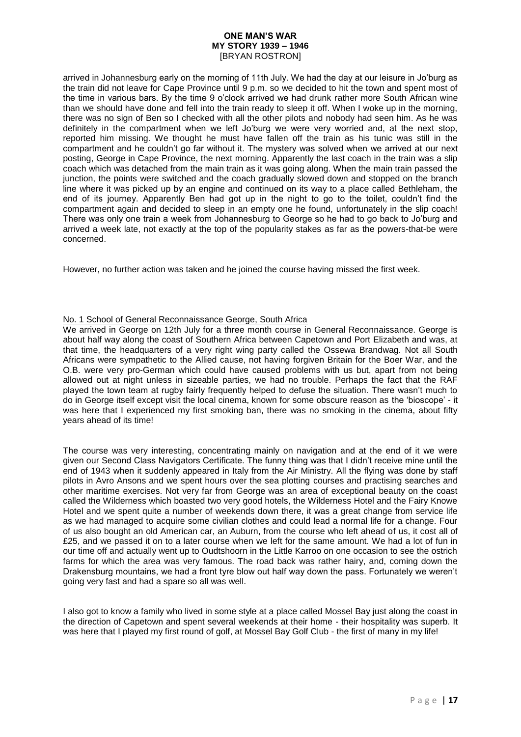arrived in Johannesburg early on the morning of 11th July. We had the day at our leisure in Jo'burg as the train did not leave for Cape Province until 9 p.m. so we decided to hit the town and spent most of the time in various bars. By the time 9 o'clock arrived we had drunk rather more South African wine than we should have done and fell into the train ready to sleep it off. When I woke up in the morning, there was no sign of Ben so I checked with all the other pilots and nobody had seen him. As he was definitely in the compartment when we left Jo'burg we were very worried and, at the next stop, reported him missing. We thought he must have fallen off the train as his tunic was still in the compartment and he couldn't go far without it. The mystery was solved when we arrived at our next posting, George in Cape Province, the next morning. Apparently the last coach in the train was a slip coach which was detached from the main train as it was going along. When the main train passed the junction, the points were switched and the coach gradually slowed down and stopped on the branch line where it was picked up by an engine and continued on its way to a place called Bethleham, the end of its journey. Apparently Ben had got up in the night to go to the toilet, couldn't find the compartment again and decided to sleep in an empty one he found, unfortunately in the slip coach! There was only one train a week from Johannesburg to George so he had to go back to Jo'burg and arrived a week late, not exactly at the top of the popularity stakes as far as the powers-that-be were concerned.

However, no further action was taken and he joined the course having missed the first week.

# No. 1 School of General Reconnaissance George, South Africa

We arrived in George on 12th July for a three month course in General Reconnaissance. George is about half way along the coast of Southern Africa between Capetown and Port Elizabeth and was, at that time, the headquarters of a very right wing party called the Ossewa Brandwag. Not all South Africans were sympathetic to the Allied cause, not having forgiven Britain for the Boer War, and the O.B. were very pro-German which could have caused problems with us but, apart from not being allowed out at night unless in sizeable parties, we had no trouble. Perhaps the fact that the RAF played the town team at rugby fairly frequently helped to defuse the situation. There wasn't much to do in George itself except visit the local cinema, known for some obscure reason as the 'bioscope' - it was here that I experienced my first smoking ban, there was no smoking in the cinema, about fifty years ahead of its time!

The course was very interesting, concentrating mainly on navigation and at the end of it we were given our Second Class Navigators Certificate. The funny thing was that I didn't receive mine until the end of 1943 when it suddenly appeared in Italy from the Air Ministry. All the flying was done by staff pilots in Avro Ansons and we spent hours over the sea plotting courses and practising searches and other maritime exercises. Not very far from George was an area of exceptional beauty on the coast called the Wilderness which boasted two very good hotels, the Wilderness Hotel and the Fairy Knowe Hotel and we spent quite a number of weekends down there, it was a great change from service life as we had managed to acquire some civilian clothes and could lead a normal life for a change. Four of us also bought an old American car, an Auburn, from the course who left ahead of us, it cost all of £25, and we passed it on to a later course when we left for the same amount. We had a lot of fun in our time off and actually went up to Oudtshoorn in the Little Karroo on one occasion to see the ostrich farms for which the area was very famous. The road back was rather hairy, and, coming down the Drakensburg mountains, we had a front tyre blow out half way down the pass. Fortunately we weren't going very fast and had a spare so all was well.

I also got to know a family who lived in some style at a place called Mossel Bay just along the coast in the direction of Capetown and spent several weekends at their home - their hospitality was superb. It was here that I played my first round of golf, at Mossel Bay Golf Club - the first of many in my life!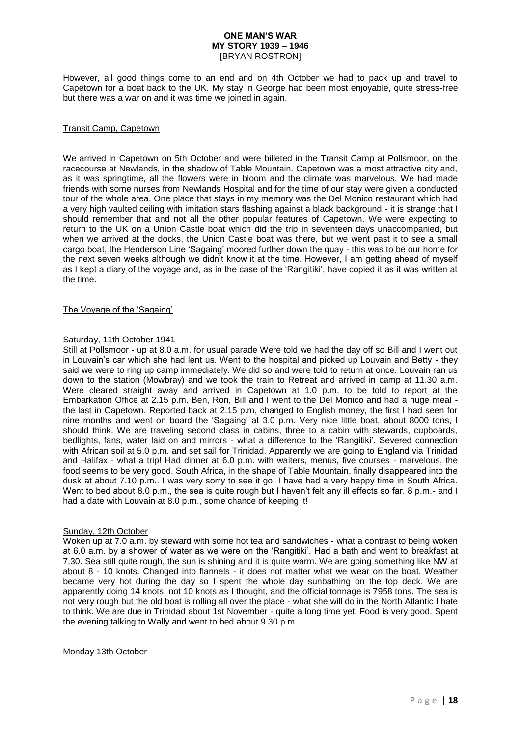However, all good things come to an end and on 4th October we had to pack up and travel to Capetown for a boat back to the UK. My stay in George had been most enjoyable, quite stress-free but there was a war on and it was time we joined in again.

### Transit Camp, Capetown

We arrived in Capetown on 5th October and were billeted in the Transit Camp at Pollsmoor, on the racecourse at Newlands, in the shadow of Table Mountain. Capetown was a most attractive city and, as it was springtime, all the flowers were in bloom and the climate was marvelous. We had made friends with some nurses from Newlands Hospital and for the time of our stay were given a conducted tour of the whole area. One place that stays in my memory was the Del Monico restaurant which had a very high vaulted ceiling with imitation stars flashing against a black background - it is strange that I should remember that and not all the other popular features of Capetown. We were expecting to return to the UK on a Union Castle boat which did the trip in seventeen days unaccompanied, but when we arrived at the docks, the Union Castle boat was there, but we went past it to see a small cargo boat, the Henderson Line 'Sagaing' moored further down the quay - this was to be our home for the next seven weeks although we didn't know it at the time. However, I am getting ahead of myself as I kept a diary of the voyage and, as in the case of the 'Rangitiki', have copied it as it was written at the time.

### The Voyage of the 'Sagaing'

# Saturday, 11th October 1941

Still at Pollsmoor - up at 8.0 a.m. for usual parade Were told we had the day off so Bill and I went out in Louvain's car which she had lent us. Went to the hospital and picked up Louvain and Betty - they said we were to ring up camp immediately. We did so and were told to return at once. Louvain ran us down to the station (Mowbray) and we took the train to Retreat and arrived in camp at 11.30 a.m. Were cleared straight away and arrived in Capetown at 1.0 p.m. to be told to report at the Embarkation Office at 2.15 p.m. Ben, Ron, Bill and I went to the Del Monico and had a huge meal the last in Capetown. Reported back at 2.15 p.m, changed to English money, the first I had seen for nine months and went on board the 'Sagaing' at 3.0 p.m. Very nice little boat, about 8000 tons, I should think. We are traveling second class in cabins, three to a cabin with stewards, cupboards, bedlights, fans, water laid on and mirrors - what a difference to the 'Rangitiki'. Severed connection with African soil at 5.0 p.m. and set sail for Trinidad. Apparently we are going to England via Trinidad and Halifax - what a trip! Had dinner at 6.0 p.m. with waiters, menus, five courses - marvelous, the food seems to be very good. South Africa, in the shape of Table Mountain, finally disappeared into the dusk at about 7.10 p.m.. I was very sorry to see it go, I have had a very happy time in South Africa. Went to bed about 8.0 p.m., the sea is quite rough but I haven't felt any ill effects so far. 8 p.m.- and I had a date with Louvain at 8.0 p.m., some chance of keeping it!

### Sunday, 12th October

Woken up at 7.0 a.m. by steward with some hot tea and sandwiches - what a contrast to being woken at 6.0 a.m. by a shower of water as we were on the 'Rangitiki'. Had a bath and went to breakfast at 7.30. Sea still quite rough, the sun is shining and it is quite warm. We are going something like NW at about 8 - 10 knots. Changed into flannels - it does not matter what we wear on the boat. Weather became very hot during the day so I spent the whole day sunbathing on the top deck. We are apparently doing 14 knots, not 10 knots as I thought, and the official tonnage is 7958 tons. The sea is not very rough but the old boat is rolling all over the place - what she will do in the North Atlantic I hate to think. We are due in Trinidad about 1st November - quite a long time yet. Food is very good. Spent the evening talking to Wally and went to bed about 9.30 p.m.

#### Monday 13th October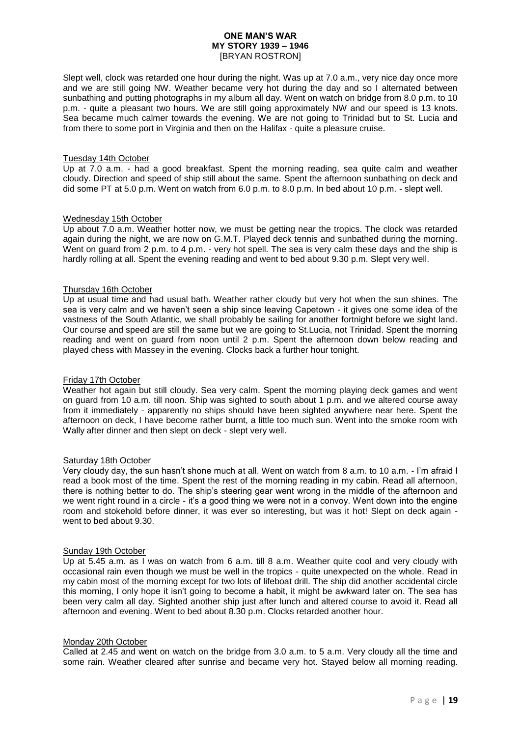Slept well, clock was retarded one hour during the night. Was up at 7.0 a.m., very nice day once more and we are still going NW. Weather became very hot during the day and so I alternated between sunbathing and putting photographs in my album all day. Went on watch on bridge from 8.0 p.m. to 10 p.m. - quite a pleasant two hours. We are still going approximately NW and our speed is 13 knots. Sea became much calmer towards the evening. We are not going to Trinidad but to St. Lucia and from there to some port in Virginia and then on the Halifax - quite a pleasure cruise.

### Tuesday 14th October

Up at 7.0 a.m. - had a good breakfast. Spent the morning reading, sea quite calm and weather cloudy. Direction and speed of ship still about the same. Spent the afternoon sunbathing on deck and did some PT at 5.0 p.m. Went on watch from 6.0 p.m. to 8.0 p.m. In bed about 10 p.m. - slept well.

### Wednesday 15th October

Up about 7.0 a.m. Weather hotter now, we must be getting near the tropics. The clock was retarded again during the night, we are now on G.M.T. Played deck tennis and sunbathed during the morning. Went on guard from 2 p.m. to 4 p.m. - very hot spell. The sea is very calm these days and the ship is hardly rolling at all. Spent the evening reading and went to bed about 9.30 p.m. Slept very well.

### Thursday 16th October

Up at usual time and had usual bath. Weather rather cloudy but very hot when the sun shines. The sea is very calm and we haven't seen a ship since leaving Capetown - it gives one some idea of the vastness of the South Atlantic, we shall probably be sailing for another fortnight before we sight land. Our course and speed are still the same but we are going to St.Lucia, not Trinidad. Spent the morning reading and went on guard from noon until 2 p.m. Spent the afternoon down below reading and played chess with Massey in the evening. Clocks back a further hour tonight.

### Friday 17th October

Weather hot again but still cloudy. Sea very calm. Spent the morning playing deck games and went on guard from 10 a.m. till noon. Ship was sighted to south about 1 p.m. and we altered course away from it immediately - apparently no ships should have been sighted anywhere near here. Spent the afternoon on deck, I have become rather burnt, a little too much sun. Went into the smoke room with Wally after dinner and then slept on deck - slept very well.

#### Saturday 18th October

Very cloudy day, the sun hasn't shone much at all. Went on watch from 8 a.m. to 10 a.m. - I'm afraid I read a book most of the time. Spent the rest of the morning reading in my cabin. Read all afternoon, there is nothing better to do. The ship's steering gear went wrong in the middle of the afternoon and we went right round in a circle - it's a good thing we were not in a convoy. Went down into the engine room and stokehold before dinner, it was ever so interesting, but was it hot! Slept on deck again went to bed about 9.30.

#### Sunday 19th October

Up at 5.45 a.m. as I was on watch from 6 a.m. till 8 a.m. Weather quite cool and very cloudy with occasional rain even though we must be well in the tropics - quite unexpected on the whole. Read in my cabin most of the morning except for two lots of lifeboat drill. The ship did another accidental circle this morning, I only hope it isn't going to become a habit, it might be awkward later on. The sea has been very calm all day. Sighted another ship just after lunch and altered course to avoid it. Read all afternoon and evening. Went to bed about 8.30 p.m. Clocks retarded another hour.

#### Monday 20th October

Called at 2.45 and went on watch on the bridge from 3.0 a.m. to 5 a.m. Very cloudy all the time and some rain. Weather cleared after sunrise and became very hot. Stayed below all morning reading.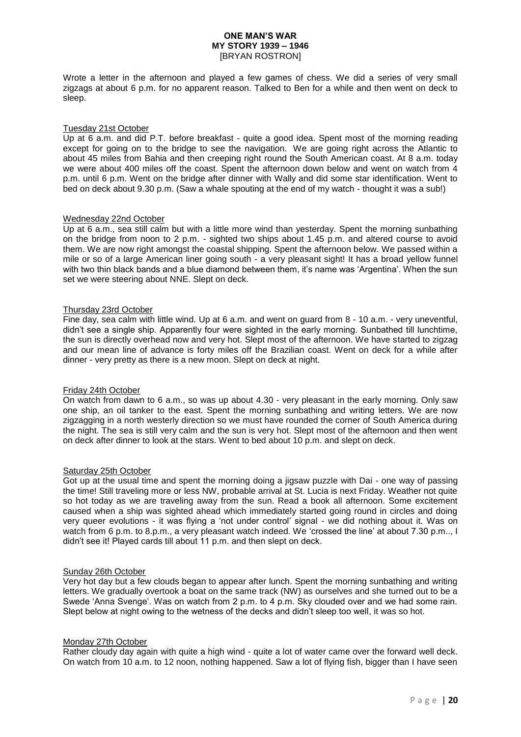Wrote a letter in the afternoon and played a few games of chess. We did a series of very small zigzags at about 6 p.m. for no apparent reason. Talked to Ben for a while and then went on deck to sleep.

### Tuesday 21st October

Up at 6 a.m. and did P.T. before breakfast - quite a good idea. Spent most of the morning reading except for going on to the bridge to see the navigation. We are going right across the Atlantic to about 45 miles from Bahia and then creeping right round the South American coast. At 8 a.m. today we were about 400 miles off the coast. Spent the afternoon down below and went on watch from 4 p.m. until 6 p.m. Went on the bridge after dinner with Wally and did some star identification. Went to bed on deck about 9.30 p.m. (Saw a whale spouting at the end of my watch - thought it was a sub!)

### Wednesday 22nd October

Up at 6 a.m., sea still calm but with a little more wind than yesterday. Spent the morning sunbathing on the bridge from noon to 2 p.m. - sighted two ships about 1.45 p.m. and altered course to avoid them. We are now right amongst the coastal shipping. Spent the afternoon below. We passed within a mile or so of a large American liner going south - a very pleasant sight! It has a broad yellow funnel with two thin black bands and a blue diamond between them, it's name was 'Argentina'. When the sun set we were steering about NNE. Slept on deck.

### Thursday 23rd October

Fine day, sea calm with little wind. Up at 6 a.m. and went on guard from 8 - 10 a.m. - very uneventful, didn't see a single ship. Apparently four were sighted in the early morning. Sunbathed till lunchtime, the sun is directly overhead now and very hot. Slept most of the afternoon. We have started to zigzag and our mean line of advance is forty miles off the Brazilian coast. Went on deck for a while after dinner - very pretty as there is a new moon. Slept on deck at night.

### Friday 24th October

On watch from dawn to 6 a.m., so was up about 4.30 - very pleasant in the early morning. Only saw one ship, an oil tanker to the east. Spent the morning sunbathing and writing letters. We are now zigzagging in a north westerly direction so we must have rounded the corner of South America during the night. The sea is still very calm and the sun is very hot. Slept most of the afternoon and then went on deck after dinner to look at the stars. Went to bed about 10 p.m. and slept on deck.

#### Saturday 25th October

Got up at the usual time and spent the morning doing a jigsaw puzzle with Dai - one way of passing the time! Still traveling more or less NW, probable arrival at St. Lucia is next Friday. Weather not quite so hot today as we are traveling away from the sun. Read a book all afternoon. Some excitement caused when a ship was sighted ahead which immediately started going round in circles and doing very queer evolutions - it was flying a 'not under control' signal - we did nothing about it. Was on watch from 6 p.m. to 8.p.m., a very pleasant watch indeed. We 'crossed the line' at about 7.30 p.m.., I didn't see it! Played cards till about 11 p.m. and then slept on deck.

### Sunday 26th October

Very hot day but a few clouds began to appear after lunch. Spent the morning sunbathing and writing letters. We gradually overtook a boat on the same track (NW) as ourselves and she turned out to be a Swede 'Anna Svenge'. Was on watch from 2 p.m. to 4 p.m. Sky clouded over and we had some rain. Slept below at night owing to the wetness of the decks and didn't sleep too well, it was so hot.

#### Monday 27th October

Rather cloudy day again with quite a high wind - quite a lot of water came over the forward well deck. On watch from 10 a.m. to 12 noon, nothing happened. Saw a lot of flying fish, bigger than I have seen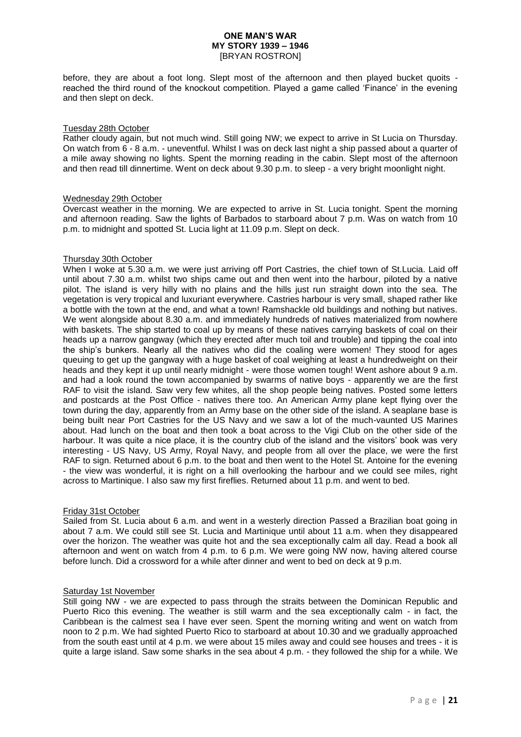before, they are about a foot long. Slept most of the afternoon and then played bucket quoits reached the third round of the knockout competition. Played a game called 'Finance' in the evening and then slept on deck.

### Tuesday 28th October

Rather cloudy again, but not much wind. Still going NW; we expect to arrive in St Lucia on Thursday. On watch from 6 - 8 a.m. - uneventful. Whilst I was on deck last night a ship passed about a quarter of a mile away showing no lights. Spent the morning reading in the cabin. Slept most of the afternoon and then read till dinnertime. Went on deck about 9.30 p.m. to sleep - a very bright moonlight night.

### Wednesday 29th October

Overcast weather in the morning. We are expected to arrive in St. Lucia tonight. Spent the morning and afternoon reading. Saw the lights of Barbados to starboard about 7 p.m. Was on watch from 10 p.m. to midnight and spotted St. Lucia light at 11.09 p.m. Slept on deck.

### Thursday 30th October

When I woke at 5.30 a.m. we were just arriving off Port Castries, the chief town of St.Lucia. Laid off until about 7.30 a.m. whilst two ships came out and then went into the harbour, piloted by a native pilot. The island is very hilly with no plains and the hills just run straight down into the sea. The vegetation is very tropical and luxuriant everywhere. Castries harbour is very small, shaped rather like a bottle with the town at the end, and what a town! Ramshackle old buildings and nothing but natives. We went alongside about 8.30 a.m. and immediately hundreds of natives materialized from nowhere with baskets. The ship started to coal up by means of these natives carrying baskets of coal on their heads up a narrow gangway (which they erected after much toil and trouble) and tipping the coal into the ship's bunkers. Nearly all the natives who did the coaling were women! They stood for ages queuing to get up the gangway with a huge basket of coal weighing at least a hundredweight on their heads and they kept it up until nearly midnight - were those women tough! Went ashore about 9 a.m. and had a look round the town accompanied by swarms of native boys - apparently we are the first RAF to visit the island. Saw very few whites, all the shop people being natives. Posted some letters and postcards at the Post Office - natives there too. An American Army plane kept flying over the town during the day, apparently from an Army base on the other side of the island. A seaplane base is being built near Port Castries for the US Navy and we saw a lot of the much-vaunted US Marines about. Had lunch on the boat and then took a boat across to the Vigi Club on the other side of the harbour. It was quite a nice place, it is the country club of the island and the visitors' book was very interesting - US Navy, US Army, Royal Navy, and people from all over the place, we were the first RAF to sign. Returned about 6 p.m. to the boat and then went to the Hotel St. Antoine for the evening - the view was wonderful, it is right on a hill overlooking the harbour and we could see miles, right across to Martinique. I also saw my first fireflies. Returned about 11 p.m. and went to bed.

### Friday 31st October

Sailed from St. Lucia about 6 a.m. and went in a westerly direction Passed a Brazilian boat going in about 7 a.m. We could still see St. Lucia and Martinique until about 11 a.m. when they disappeared over the horizon. The weather was quite hot and the sea exceptionally calm all day. Read a book all afternoon and went on watch from 4 p.m. to 6 p.m. We were going NW now, having altered course before lunch. Did a crossword for a while after dinner and went to bed on deck at 9 p.m.

### Saturday 1st November

Still going NW - we are expected to pass through the straits between the Dominican Republic and Puerto Rico this evening. The weather is still warm and the sea exceptionally calm - in fact, the Caribbean is the calmest sea I have ever seen. Spent the morning writing and went on watch from noon to 2 p.m. We had sighted Puerto Rico to starboard at about 10.30 and we gradually approached from the south east until at 4 p.m. we were about 15 miles away and could see houses and trees - it is quite a large island. Saw some sharks in the sea about 4 p.m. - they followed the ship for a while. We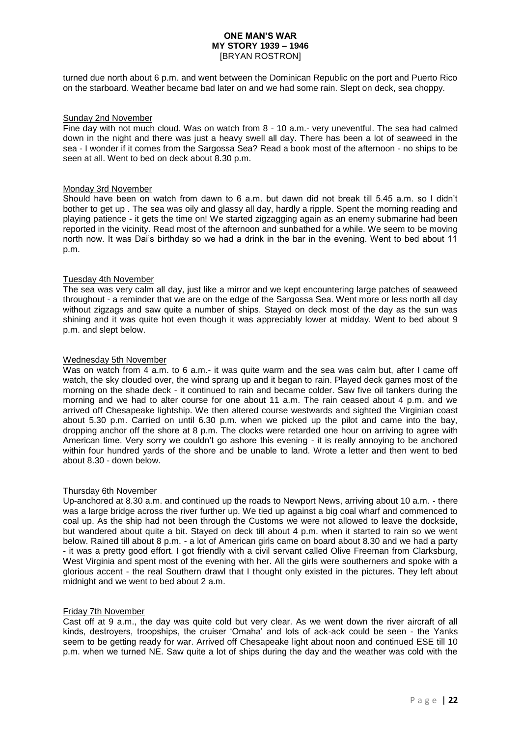turned due north about 6 p.m. and went between the Dominican Republic on the port and Puerto Rico on the starboard. Weather became bad later on and we had some rain. Slept on deck, sea choppy.

### Sunday 2nd November

Fine day with not much cloud. Was on watch from 8 - 10 a.m.- very uneventful. The sea had calmed down in the night and there was just a heavy swell all day. There has been a lot of seaweed in the sea - I wonder if it comes from the Sargossa Sea? Read a book most of the afternoon - no ships to be seen at all. Went to bed on deck about 8.30 p.m.

### Monday 3rd November

Should have been on watch from dawn to 6 a.m. but dawn did not break till 5.45 a.m. so I didn't bother to get up . The sea was oily and glassy all day, hardly a ripple. Spent the morning reading and playing patience - it gets the time on! We started zigzagging again as an enemy submarine had been reported in the vicinity. Read most of the afternoon and sunbathed for a while. We seem to be moving north now. It was Dai's birthday so we had a drink in the bar in the evening. Went to bed about 11 p.m.

### Tuesday 4th November

The sea was very calm all day, just like a mirror and we kept encountering large patches of seaweed throughout - a reminder that we are on the edge of the Sargossa Sea. Went more or less north all day without zigzags and saw quite a number of ships. Stayed on deck most of the day as the sun was shining and it was quite hot even though it was appreciably lower at midday. Went to bed about 9 p.m. and slept below.

### Wednesday 5th November

Was on watch from 4 a.m. to 6 a.m.- it was quite warm and the sea was calm but, after I came off watch, the sky clouded over, the wind sprang up and it began to rain. Played deck games most of the morning on the shade deck - it continued to rain and became colder. Saw five oil tankers during the morning and we had to alter course for one about 11 a.m. The rain ceased about 4 p.m. and we arrived off Chesapeake lightship. We then altered course westwards and sighted the Virginian coast about 5.30 p.m. Carried on until 6.30 p.m. when we picked up the pilot and came into the bay, dropping anchor off the shore at 8 p.m. The clocks were retarded one hour on arriving to agree with American time. Very sorry we couldn't go ashore this evening - it is really annoying to be anchored within four hundred yards of the shore and be unable to land. Wrote a letter and then went to bed about 8.30 - down below.

#### Thursday 6th November

Up-anchored at 8.30 a.m. and continued up the roads to Newport News, arriving about 10 a.m. - there was a large bridge across the river further up. We tied up against a big coal wharf and commenced to coal up. As the ship had not been through the Customs we were not allowed to leave the dockside, but wandered about quite a bit. Stayed on deck till about 4 p.m. when it started to rain so we went below. Rained till about 8 p.m. - a lot of American girls came on board about 8.30 and we had a party - it was a pretty good effort. I got friendly with a civil servant called Olive Freeman from Clarksburg, West Virginia and spent most of the evening with her. All the girls were southerners and spoke with a glorious accent - the real Southern drawl that I thought only existed in the pictures. They left about midnight and we went to bed about 2 a.m.

#### Friday 7th November

Cast off at 9 a.m., the day was quite cold but very clear. As we went down the river aircraft of all kinds, destroyers, troopships, the cruiser 'Omaha' and lots of ack-ack could be seen - the Yanks seem to be getting ready for war. Arrived off Chesapeake light about noon and continued ESE till 10 p.m. when we turned NE. Saw quite a lot of ships during the day and the weather was cold with the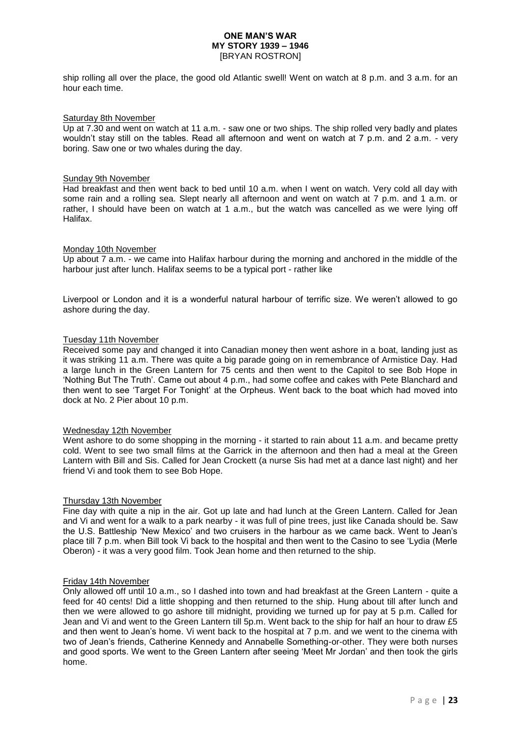ship rolling all over the place, the good old Atlantic swell! Went on watch at 8 p.m. and 3 a.m. for an hour each time.

### Saturday 8th November

Up at 7.30 and went on watch at 11 a.m. - saw one or two ships. The ship rolled very badly and plates wouldn't stay still on the tables. Read all afternoon and went on watch at 7 p.m. and 2 a.m. - very boring. Saw one or two whales during the day.

### Sunday 9th November

Had breakfast and then went back to bed until 10 a.m. when I went on watch. Very cold all day with some rain and a rolling sea. Slept nearly all afternoon and went on watch at 7 p.m. and 1 a.m. or rather, I should have been on watch at 1 a.m., but the watch was cancelled as we were lying off Halifax.

### Monday 10th November

Up about 7 a.m. - we came into Halifax harbour during the morning and anchored in the middle of the harbour just after lunch. Halifax seems to be a typical port - rather like

Liverpool or London and it is a wonderful natural harbour of terrific size. We weren't allowed to go ashore during the day.

### Tuesday 11th November

Received some pay and changed it into Canadian money then went ashore in a boat, landing just as it was striking 11 a.m. There was quite a big parade going on in remembrance of Armistice Day. Had a large lunch in the Green Lantern for 75 cents and then went to the Capitol to see Bob Hope in 'Nothing But The Truth'. Came out about 4 p.m., had some coffee and cakes with Pete Blanchard and then went to see 'Target For Tonight' at the Orpheus. Went back to the boat which had moved into dock at No. 2 Pier about 10 p.m.

#### Wednesday 12th November

Went ashore to do some shopping in the morning - it started to rain about 11 a.m. and became pretty cold. Went to see two small films at the Garrick in the afternoon and then had a meal at the Green Lantern with Bill and Sis. Called for Jean Crockett (a nurse Sis had met at a dance last night) and her friend Vi and took them to see Bob Hope.

### Thursday 13th November

Fine day with quite a nip in the air. Got up late and had lunch at the Green Lantern. Called for Jean and Vi and went for a walk to a park nearby - it was full of pine trees, just like Canada should be. Saw the U.S. Battleship 'New Mexico' and two cruisers in the harbour as we came back. Went to Jean's place till 7 p.m. when Bill took Vi back to the hospital and then went to the Casino to see 'Lydia (Merle Oberon) - it was a very good film. Took Jean home and then returned to the ship.

#### Friday 14th November

Only allowed off until 10 a.m., so I dashed into town and had breakfast at the Green Lantern - quite a feed for 40 cents! Did a little shopping and then returned to the ship. Hung about till after lunch and then we were allowed to go ashore till midnight, providing we turned up for pay at 5 p.m. Called for Jean and Vi and went to the Green Lantern till 5p.m. Went back to the ship for half an hour to draw £5 and then went to Jean's home. Vi went back to the hospital at 7 p.m. and we went to the cinema with two of Jean's friends, Catherine Kennedy and Annabelle Something-or-other. They were both nurses and good sports. We went to the Green Lantern after seeing 'Meet Mr Jordan' and then took the girls home.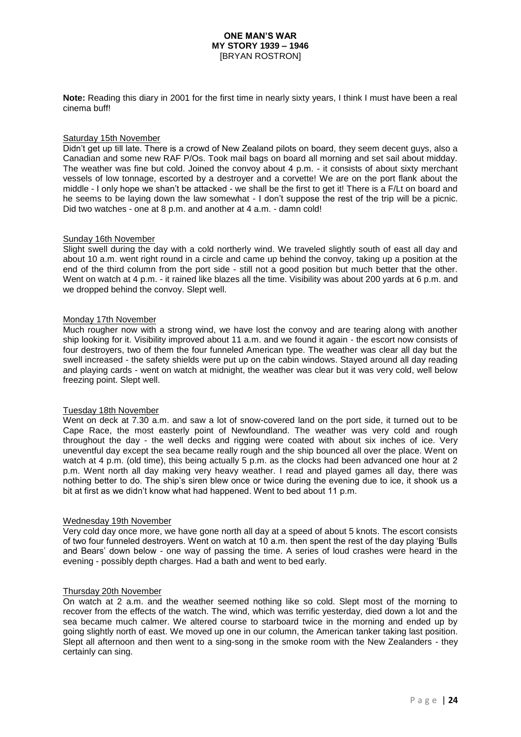**Note:** Reading this diary in 2001 for the first time in nearly sixty years, I think I must have been a real cinema buff!

# Saturday 15th November

Didn't get up till late. There is a crowd of New Zealand pilots on board, they seem decent guys, also a Canadian and some new RAF P/Os. Took mail bags on board all morning and set sail about midday. The weather was fine but cold. Joined the convoy about 4 p.m. - it consists of about sixty merchant vessels of low tonnage, escorted by a destroyer and a corvette! We are on the port flank about the middle - I only hope we shan't be attacked - we shall be the first to get it! There is a F/Lt on board and he seems to be laying down the law somewhat - I don't suppose the rest of the trip will be a picnic. Did two watches - one at 8 p.m. and another at 4 a.m. - damn cold!

### Sunday 16th November

Slight swell during the day with a cold northerly wind. We traveled slightly south of east all day and about 10 a.m. went right round in a circle and came up behind the convoy, taking up a position at the end of the third column from the port side - still not a good position but much better that the other. Went on watch at 4 p.m. - it rained like blazes all the time. Visibility was about 200 yards at 6 p.m. and we dropped behind the convoy. Slept well.

### Monday 17th November

Much rougher now with a strong wind, we have lost the convoy and are tearing along with another ship looking for it. Visibility improved about 11 a.m. and we found it again - the escort now consists of four destroyers, two of them the four funneled American type. The weather was clear all day but the swell increased - the safety shields were put up on the cabin windows. Stayed around all day reading and playing cards - went on watch at midnight, the weather was clear but it was very cold, well below freezing point. Slept well.

### Tuesday 18th November

Went on deck at 7.30 a.m. and saw a lot of snow-covered land on the port side, it turned out to be Cape Race, the most easterly point of Newfoundland. The weather was very cold and rough throughout the day - the well decks and rigging were coated with about six inches of ice. Very uneventful day except the sea became really rough and the ship bounced all over the place. Went on watch at 4 p.m. (old time), this being actually 5 p.m. as the clocks had been advanced one hour at 2 p.m. Went north all day making very heavy weather. I read and played games all day, there was nothing better to do. The ship's siren blew once or twice during the evening due to ice, it shook us a bit at first as we didn't know what had happened. Went to bed about 11 p.m.

#### Wednesday 19th November

Very cold day once more, we have gone north all day at a speed of about 5 knots. The escort consists of two four funneled destroyers. Went on watch at 10 a.m. then spent the rest of the day playing 'Bulls and Bears' down below - one way of passing the time. A series of loud crashes were heard in the evening - possibly depth charges. Had a bath and went to bed early.

#### Thursday 20th November

On watch at 2 a.m. and the weather seemed nothing like so cold. Slept most of the morning to recover from the effects of the watch. The wind, which was terrific yesterday, died down a lot and the sea became much calmer. We altered course to starboard twice in the morning and ended up by going slightly north of east. We moved up one in our column, the American tanker taking last position. Slept all afternoon and then went to a sing-song in the smoke room with the New Zealanders - they certainly can sing.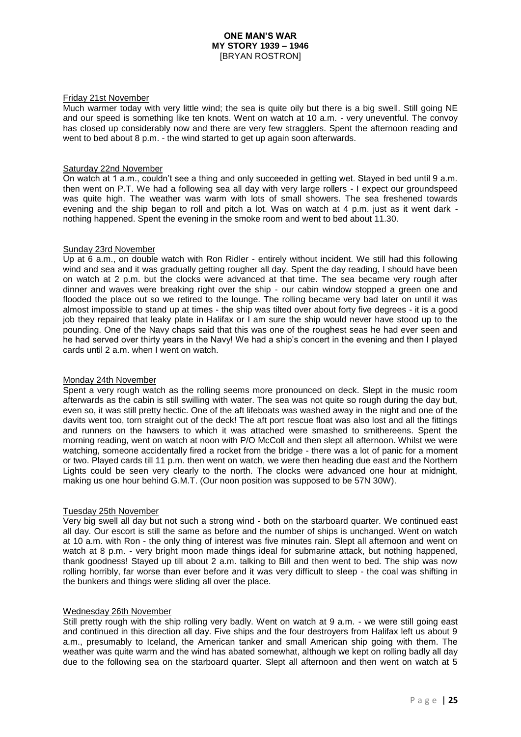### Friday 21st November

Much warmer today with very little wind; the sea is quite oily but there is a big swell. Still going NE and our speed is something like ten knots. Went on watch at 10 a.m. - very uneventful. The convoy has closed up considerably now and there are very few stragglers. Spent the afternoon reading and went to bed about 8 p.m. - the wind started to get up again soon afterwards.

### Saturday 22nd November

On watch at 1 a.m., couldn't see a thing and only succeeded in getting wet. Stayed in bed until 9 a.m. then went on P.T. We had a following sea all day with very large rollers - I expect our groundspeed was quite high. The weather was warm with lots of small showers. The sea freshened towards evening and the ship began to roll and pitch a lot. Was on watch at 4 p.m. just as it went dark nothing happened. Spent the evening in the smoke room and went to bed about 11.30.

### Sunday 23rd November

Up at 6 a.m., on double watch with Ron Ridler - entirely without incident. We still had this following wind and sea and it was gradually getting rougher all day. Spent the day reading, I should have been on watch at 2 p.m. but the clocks were advanced at that time. The sea became very rough after dinner and waves were breaking right over the ship - our cabin window stopped a green one and flooded the place out so we retired to the lounge. The rolling became very bad later on until it was almost impossible to stand up at times - the ship was tilted over about forty five degrees - it is a good job they repaired that leaky plate in Halifax or I am sure the ship would never have stood up to the pounding. One of the Navy chaps said that this was one of the roughest seas he had ever seen and he had served over thirty years in the Navy! We had a ship's concert in the evening and then I played cards until 2 a.m. when I went on watch.

### Monday 24th November

Spent a very rough watch as the rolling seems more pronounced on deck. Slept in the music room afterwards as the cabin is still swilling with water. The sea was not quite so rough during the day but, even so, it was still pretty hectic. One of the aft lifeboats was washed away in the night and one of the davits went too, torn straight out of the deck! The aft port rescue float was also lost and all the fittings and runners on the hawsers to which it was attached were smashed to smithereens. Spent the morning reading, went on watch at noon with P/O McColl and then slept all afternoon. Whilst we were watching, someone accidentally fired a rocket from the bridge - there was a lot of panic for a moment or two. Played cards till 11 p.m. then went on watch, we were then heading due east and the Northern Lights could be seen very clearly to the north. The clocks were advanced one hour at midnight, making us one hour behind G.M.T. (Our noon position was supposed to be 57N 30W).

### Tuesday 25th November

Very big swell all day but not such a strong wind - both on the starboard quarter. We continued east all day. Our escort is still the same as before and the number of ships is unchanged. Went on watch at 10 a.m. with Ron - the only thing of interest was five minutes rain. Slept all afternoon and went on watch at 8 p.m. - very bright moon made things ideal for submarine attack, but nothing happened, thank goodness! Stayed up till about 2 a.m. talking to Bill and then went to bed. The ship was now rolling horribly, far worse than ever before and it was very difficult to sleep - the coal was shifting in the bunkers and things were sliding all over the place.

### Wednesday 26th November

Still pretty rough with the ship rolling very badly. Went on watch at 9 a.m. - we were still going east and continued in this direction all day. Five ships and the four destroyers from Halifax left us about 9 a.m., presumably to Iceland, the American tanker and small American ship going with them. The weather was quite warm and the wind has abated somewhat, although we kept on rolling badly all day due to the following sea on the starboard quarter. Slept all afternoon and then went on watch at 5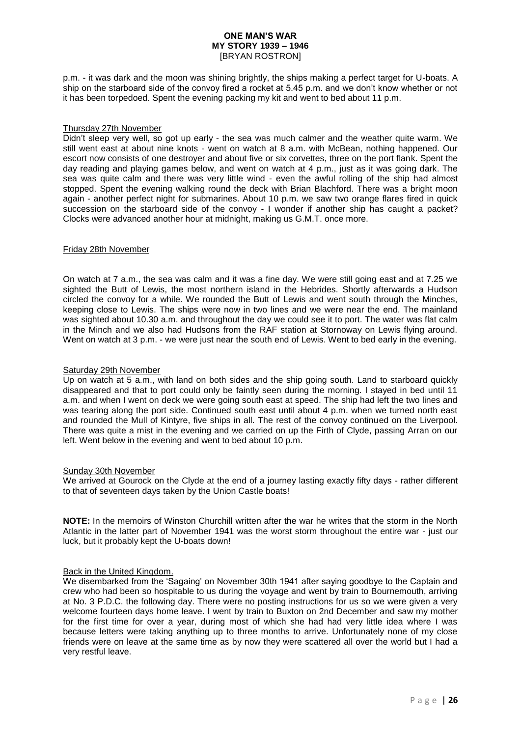p.m. - it was dark and the moon was shining brightly, the ships making a perfect target for U-boats. A ship on the starboard side of the convoy fired a rocket at 5.45 p.m. and we don't know whether or not it has been torpedoed. Spent the evening packing my kit and went to bed about 11 p.m.

### Thursday 27th November

Didn't sleep very well, so got up early - the sea was much calmer and the weather quite warm. We still went east at about nine knots - went on watch at 8 a.m. with McBean, nothing happened. Our escort now consists of one destroyer and about five or six corvettes, three on the port flank. Spent the day reading and playing games below, and went on watch at 4 p.m., just as it was going dark. The sea was quite calm and there was very little wind - even the awful rolling of the ship had almost stopped. Spent the evening walking round the deck with Brian Blachford. There was a bright moon again - another perfect night for submarines. About 10 p.m. we saw two orange flares fired in quick succession on the starboard side of the convoy - I wonder if another ship has caught a packet? Clocks were advanced another hour at midnight, making us G.M.T. once more.

### Friday 28th November

On watch at 7 a.m., the sea was calm and it was a fine day. We were still going east and at 7.25 we sighted the Butt of Lewis, the most northern island in the Hebrides. Shortly afterwards a Hudson circled the convoy for a while. We rounded the Butt of Lewis and went south through the Minches, keeping close to Lewis. The ships were now in two lines and we were near the end. The mainland was sighted about 10.30 a.m. and throughout the day we could see it to port. The water was flat calm in the Minch and we also had Hudsons from the RAF station at Stornoway on Lewis flying around. Went on watch at 3 p.m. - we were just near the south end of Lewis. Went to bed early in the evening.

### Saturday 29th November

Up on watch at 5 a.m., with land on both sides and the ship going south. Land to starboard quickly disappeared and that to port could only be faintly seen during the morning. I stayed in bed until 11 a.m. and when I went on deck we were going south east at speed. The ship had left the two lines and was tearing along the port side. Continued south east until about 4 p.m. when we turned north east and rounded the Mull of Kintyre, five ships in all. The rest of the convoy continued on the Liverpool. There was quite a mist in the evening and we carried on up the Firth of Clyde, passing Arran on our left. Went below in the evening and went to bed about 10 p.m.

#### Sunday 30th November

We arrived at Gourock on the Clyde at the end of a journey lasting exactly fifty days - rather different to that of seventeen days taken by the Union Castle boats!

**NOTE:** In the memoirs of Winston Churchill written after the war he writes that the storm in the North Atlantic in the latter part of November 1941 was the worst storm throughout the entire war - just our luck, but it probably kept the U-boats down!

### Back in the United Kingdom.

We disembarked from the 'Sagaing' on November 30th 1941 after saying goodbye to the Captain and crew who had been so hospitable to us during the voyage and went by train to Bournemouth, arriving at No. 3 P.D.C. the following day. There were no posting instructions for us so we were given a very welcome fourteen days home leave. I went by train to Buxton on 2nd December and saw my mother for the first time for over a year, during most of which she had had very little idea where I was because letters were taking anything up to three months to arrive. Unfortunately none of my close friends were on leave at the same time as by now they were scattered all over the world but I had a very restful leave.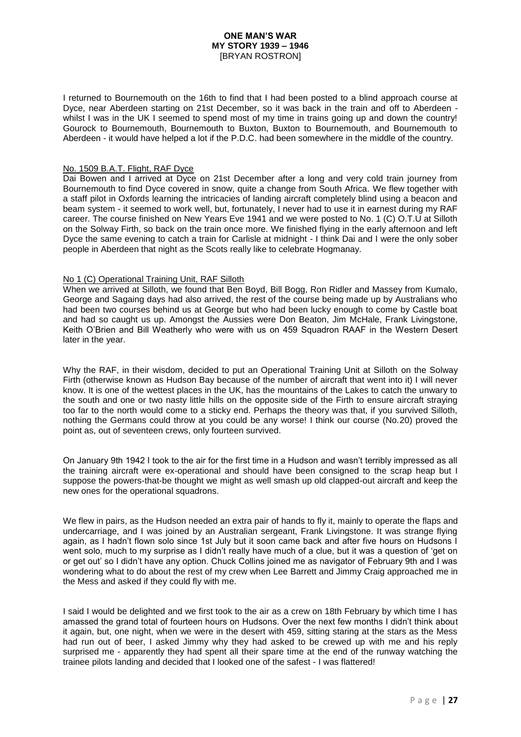I returned to Bournemouth on the 16th to find that I had been posted to a blind approach course at Dyce, near Aberdeen starting on 21st December, so it was back in the train and off to Aberdeen whilst I was in the UK I seemed to spend most of my time in trains going up and down the country! Gourock to Bournemouth, Bournemouth to Buxton, Buxton to Bournemouth, and Bournemouth to Aberdeen - it would have helped a lot if the P.D.C. had been somewhere in the middle of the country.

### No. 1509 B.A.T. Flight, RAF Dyce

Dai Bowen and I arrived at Dyce on 21st December after a long and very cold train journey from Bournemouth to find Dyce covered in snow, quite a change from South Africa. We flew together with a staff pilot in Oxfords learning the intricacies of landing aircraft completely blind using a beacon and beam system - it seemed to work well, but, fortunately, I never had to use it in earnest during my RAF career. The course finished on New Years Eve 1941 and we were posted to No. 1 (C) O.T.U at Silloth on the Solway Firth, so back on the train once more. We finished flying in the early afternoon and left Dyce the same evening to catch a train for Carlisle at midnight - I think Dai and I were the only sober people in Aberdeen that night as the Scots really like to celebrate Hogmanay.

### No 1 (C) Operational Training Unit, RAF Silloth

When we arrived at Silloth, we found that Ben Boyd, Bill Bogg, Ron Ridler and Massey from Kumalo, George and Sagaing days had also arrived, the rest of the course being made up by Australians who had been two courses behind us at George but who had been lucky enough to come by Castle boat and had so caught us up. Amongst the Aussies were Don Beaton, Jim McHale, Frank Livingstone, Keith O'Brien and Bill Weatherly who were with us on 459 Squadron RAAF in the Western Desert later in the year.

Why the RAF, in their wisdom, decided to put an Operational Training Unit at Silloth on the Solway Firth (otherwise known as Hudson Bay because of the number of aircraft that went into it) I will never know. It is one of the wettest places in the UK, has the mountains of the Lakes to catch the unwary to the south and one or two nasty little hills on the opposite side of the Firth to ensure aircraft straying too far to the north would come to a sticky end. Perhaps the theory was that, if you survived Silloth, nothing the Germans could throw at you could be any worse! I think our course (No.20) proved the point as, out of seventeen crews, only fourteen survived.

On January 9th 1942 I took to the air for the first time in a Hudson and wasn't terribly impressed as all the training aircraft were ex-operational and should have been consigned to the scrap heap but I suppose the powers-that-be thought we might as well smash up old clapped-out aircraft and keep the new ones for the operational squadrons.

We flew in pairs, as the Hudson needed an extra pair of hands to fly it, mainly to operate the flaps and undercarriage, and I was joined by an Australian sergeant, Frank Livingstone. It was strange flying again, as I hadn't flown solo since 1st July but it soon came back and after five hours on Hudsons I went solo, much to my surprise as I didn't really have much of a clue, but it was a question of 'get on or get out' so I didn't have any option. Chuck Collins joined me as navigator of February 9th and I was wondering what to do about the rest of my crew when Lee Barrett and Jimmy Craig approached me in the Mess and asked if they could fly with me.

I said I would be delighted and we first took to the air as a crew on 18th February by which time I has amassed the grand total of fourteen hours on Hudsons. Over the next few months I didn't think about it again, but, one night, when we were in the desert with 459, sitting staring at the stars as the Mess had run out of beer, I asked Jimmy why they had asked to be crewed up with me and his reply surprised me - apparently they had spent all their spare time at the end of the runway watching the trainee pilots landing and decided that I looked one of the safest - I was flattered!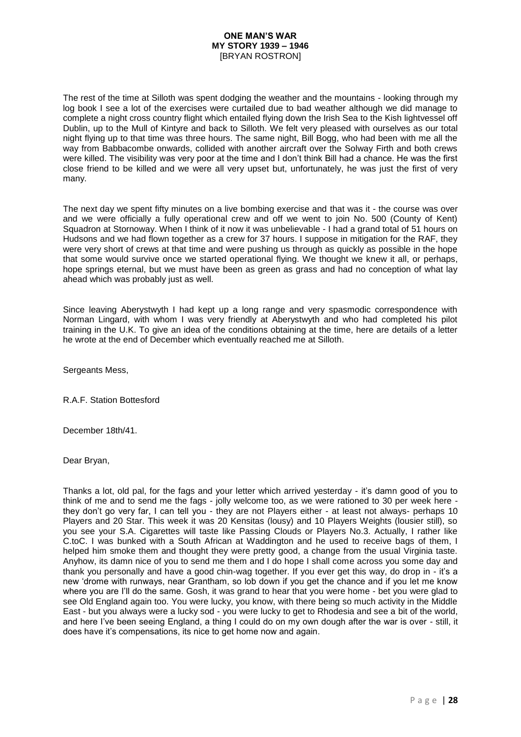The rest of the time at Silloth was spent dodging the weather and the mountains - looking through my log book I see a lot of the exercises were curtailed due to bad weather although we did manage to complete a night cross country flight which entailed flying down the Irish Sea to the Kish lightvessel off Dublin, up to the Mull of Kintyre and back to Silloth. We felt very pleased with ourselves as our total night flying up to that time was three hours. The same night, Bill Bogg, who had been with me all the way from Babbacombe onwards, collided with another aircraft over the Solway Firth and both crews were killed. The visibility was very poor at the time and I don't think Bill had a chance. He was the first close friend to be killed and we were all very upset but, unfortunately, he was just the first of very many.

The next day we spent fifty minutes on a live bombing exercise and that was it - the course was over and we were officially a fully operational crew and off we went to join No. 500 (County of Kent) Squadron at Stornoway. When I think of it now it was unbelievable - I had a grand total of 51 hours on Hudsons and we had flown together as a crew for 37 hours. I suppose in mitigation for the RAF, they were very short of crews at that time and were pushing us through as quickly as possible in the hope that some would survive once we started operational flying. We thought we knew it all, or perhaps, hope springs eternal, but we must have been as green as grass and had no conception of what lay ahead which was probably just as well.

Since leaving Aberystwyth I had kept up a long range and very spasmodic correspondence with Norman Lingard, with whom I was very friendly at Aberystwyth and who had completed his pilot training in the U.K. To give an idea of the conditions obtaining at the time, here are details of a letter he wrote at the end of December which eventually reached me at Silloth.

Sergeants Mess,

R.A.F. Station Bottesford

December 18th/41.

Dear Bryan,

Thanks a lot, old pal, for the fags and your letter which arrived yesterday - it's damn good of you to think of me and to send me the fags - jolly welcome too, as we were rationed to 30 per week here they don't go very far, I can tell you - they are not Players either - at least not always- perhaps 10 Players and 20 Star. This week it was 20 Kensitas (lousy) and 10 Players Weights (lousier still), so you see your S.A. Cigarettes will taste like Passing Clouds or Players No.3. Actually, I rather like C.toC. I was bunked with a South African at Waddington and he used to receive bags of them, I helped him smoke them and thought they were pretty good, a change from the usual Virginia taste. Anyhow, its damn nice of you to send me them and I do hope I shall come across you some day and thank you personally and have a good chin-wag together. If you ever get this way, do drop in - it's a new 'drome with runways, near Grantham, so lob down if you get the chance and if you let me know where you are I'll do the same. Gosh, it was grand to hear that you were home - bet you were glad to see Old England again too. You were lucky, you know, with there being so much activity in the Middle East - but you always were a lucky sod - you were lucky to get to Rhodesia and see a bit of the world, and here I've been seeing England, a thing I could do on my own dough after the war is over - still, it does have it's compensations, its nice to get home now and again.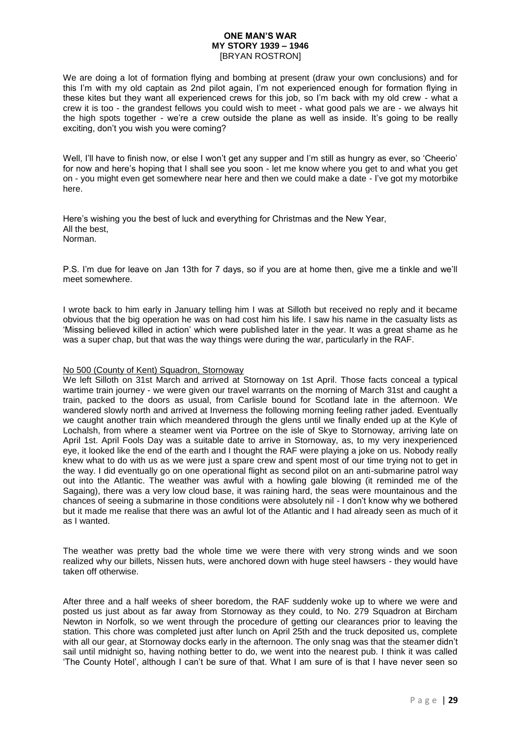We are doing a lot of formation flying and bombing at present (draw your own conclusions) and for this I'm with my old captain as 2nd pilot again, I'm not experienced enough for formation flying in these kites but they want all experienced crews for this job, so I'm back with my old crew - what a crew it is too - the grandest fellows you could wish to meet - what good pals we are - we always hit the high spots together - we're a crew outside the plane as well as inside. It's going to be really exciting, don't you wish you were coming?

Well, I'll have to finish now, or else I won't get any supper and I'm still as hungry as ever, so 'Cheerio' for now and here's hoping that I shall see you soon - let me know where you get to and what you get on - you might even get somewhere near here and then we could make a date - I've got my motorbike here.

Here's wishing you the best of luck and everything for Christmas and the New Year, All the best, Norman.

P.S. I'm due for leave on Jan 13th for 7 days, so if you are at home then, give me a tinkle and we'll meet somewhere.

I wrote back to him early in January telling him I was at Silloth but received no reply and it became obvious that the big operation he was on had cost him his life. I saw his name in the casualty lists as 'Missing believed killed in action' which were published later in the year. It was a great shame as he was a super chap, but that was the way things were during the war, particularly in the RAF.

## No 500 (County of Kent) Squadron, Stornoway

We left Silloth on 31st March and arrived at Stornoway on 1st April. Those facts conceal a typical wartime train journey - we were given our travel warrants on the morning of March 31st and caught a train, packed to the doors as usual, from Carlisle bound for Scotland late in the afternoon. We wandered slowly north and arrived at Inverness the following morning feeling rather jaded. Eventually we caught another train which meandered through the glens until we finally ended up at the Kyle of Lochalsh, from where a steamer went via Portree on the isle of Skye to Stornoway, arriving late on April 1st. April Fools Day was a suitable date to arrive in Stornoway, as, to my very inexperienced eye, it looked like the end of the earth and I thought the RAF were playing a joke on us. Nobody really knew what to do with us as we were just a spare crew and spent most of our time trying not to get in the way. I did eventually go on one operational flight as second pilot on an anti-submarine patrol way out into the Atlantic. The weather was awful with a howling gale blowing (it reminded me of the Sagaing), there was a very low cloud base, it was raining hard, the seas were mountainous and the chances of seeing a submarine in those conditions were absolutely nil - I don't know why we bothered but it made me realise that there was an awful lot of the Atlantic and I had already seen as much of it as I wanted.

The weather was pretty bad the whole time we were there with very strong winds and we soon realized why our billets, Nissen huts, were anchored down with huge steel hawsers - they would have taken off otherwise.

After three and a half weeks of sheer boredom, the RAF suddenly woke up to where we were and posted us just about as far away from Stornoway as they could, to No. 279 Squadron at Bircham Newton in Norfolk, so we went through the procedure of getting our clearances prior to leaving the station. This chore was completed just after lunch on April 25th and the truck deposited us, complete with all our gear, at Stornoway docks early in the afternoon. The only snag was that the steamer didn't sail until midnight so, having nothing better to do, we went into the nearest pub. I think it was called 'The County Hotel', although I can't be sure of that. What I am sure of is that I have never seen so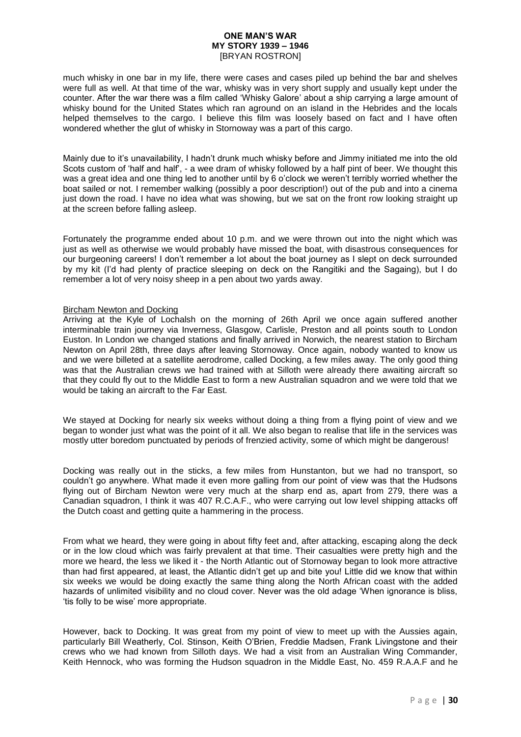much whisky in one bar in my life, there were cases and cases piled up behind the bar and shelves were full as well. At that time of the war, whisky was in very short supply and usually kept under the counter. After the war there was a film called 'Whisky Galore' about a ship carrying a large amount of whisky bound for the United States which ran aground on an island in the Hebrides and the locals helped themselves to the cargo. I believe this film was loosely based on fact and I have often wondered whether the glut of whisky in Stornoway was a part of this cargo.

Mainly due to it's unavailability, I hadn't drunk much whisky before and Jimmy initiated me into the old Scots custom of 'half and half', - a wee dram of whisky followed by a half pint of beer. We thought this was a great idea and one thing led to another until by 6 o'clock we weren't terribly worried whether the boat sailed or not. I remember walking (possibly a poor description!) out of the pub and into a cinema just down the road. I have no idea what was showing, but we sat on the front row looking straight up at the screen before falling asleep.

Fortunately the programme ended about 10 p.m. and we were thrown out into the night which was just as well as otherwise we would probably have missed the boat, with disastrous consequences for our burgeoning careers! I don't remember a lot about the boat journey as I slept on deck surrounded by my kit (I'd had plenty of practice sleeping on deck on the Rangitiki and the Sagaing), but I do remember a lot of very noisy sheep in a pen about two yards away.

### Bircham Newton and Docking

Arriving at the Kyle of Lochalsh on the morning of 26th April we once again suffered another interminable train journey via Inverness, Glasgow, Carlisle, Preston and all points south to London Euston. In London we changed stations and finally arrived in Norwich, the nearest station to Bircham Newton on April 28th, three days after leaving Stornoway. Once again, nobody wanted to know us and we were billeted at a satellite aerodrome, called Docking, a few miles away. The only good thing was that the Australian crews we had trained with at Silloth were already there awaiting aircraft so that they could fly out to the Middle East to form a new Australian squadron and we were told that we would be taking an aircraft to the Far East.

We stayed at Docking for nearly six weeks without doing a thing from a flying point of view and we began to wonder just what was the point of it all. We also began to realise that life in the services was mostly utter boredom punctuated by periods of frenzied activity, some of which might be dangerous!

Docking was really out in the sticks, a few miles from Hunstanton, but we had no transport, so couldn't go anywhere. What made it even more galling from our point of view was that the Hudsons flying out of Bircham Newton were very much at the sharp end as, apart from 279, there was a Canadian squadron, I think it was 407 R.C.A.F., who were carrying out low level shipping attacks off the Dutch coast and getting quite a hammering in the process.

From what we heard, they were going in about fifty feet and, after attacking, escaping along the deck or in the low cloud which was fairly prevalent at that time. Their casualties were pretty high and the more we heard, the less we liked it - the North Atlantic out of Stornoway began to look more attractive than had first appeared, at least, the Atlantic didn't get up and bite you! Little did we know that within six weeks we would be doing exactly the same thing along the North African coast with the added hazards of unlimited visibility and no cloud cover. Never was the old adage 'When ignorance is bliss, 'tis folly to be wise' more appropriate.

However, back to Docking. It was great from my point of view to meet up with the Aussies again, particularly Bill Weatherly, Col. Stinson, Keith O'Brien, Freddie Madsen, Frank Livingstone and their crews who we had known from Silloth days. We had a visit from an Australian Wing Commander, Keith Hennock, who was forming the Hudson squadron in the Middle East, No. 459 R.A.A.F and he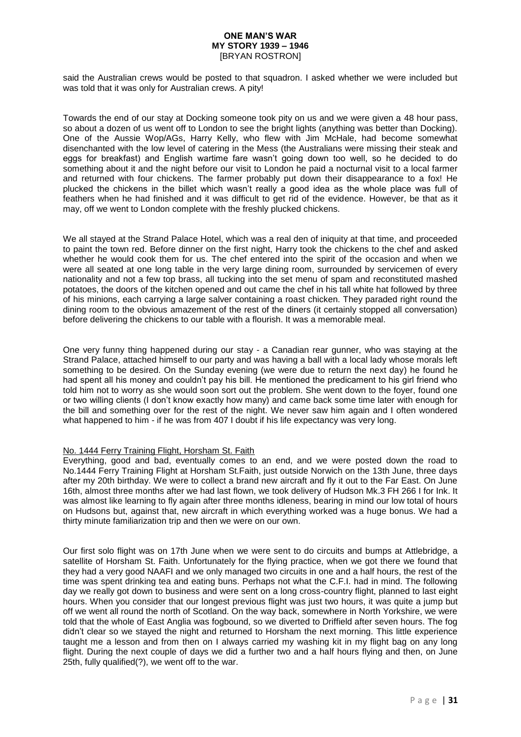said the Australian crews would be posted to that squadron. I asked whether we were included but was told that it was only for Australian crews. A pity!

Towards the end of our stay at Docking someone took pity on us and we were given a 48 hour pass, so about a dozen of us went off to London to see the bright lights (anything was better than Docking). One of the Aussie Wop/AGs, Harry Kelly, who flew with Jim McHale, had become somewhat disenchanted with the low level of catering in the Mess (the Australians were missing their steak and eggs for breakfast) and English wartime fare wasn't going down too well, so he decided to do something about it and the night before our visit to London he paid a nocturnal visit to a local farmer and returned with four chickens. The farmer probably put down their disappearance to a fox! He plucked the chickens in the billet which wasn't really a good idea as the whole place was full of feathers when he had finished and it was difficult to get rid of the evidence. However, be that as it may, off we went to London complete with the freshly plucked chickens.

We all stayed at the Strand Palace Hotel, which was a real den of iniquity at that time, and proceeded to paint the town red. Before dinner on the first night, Harry took the chickens to the chef and asked whether he would cook them for us. The chef entered into the spirit of the occasion and when we were all seated at one long table in the very large dining room, surrounded by servicemen of every nationality and not a few top brass, all tucking into the set menu of spam and reconstituted mashed potatoes, the doors of the kitchen opened and out came the chef in his tall white hat followed by three of his minions, each carrying a large salver containing a roast chicken. They paraded right round the dining room to the obvious amazement of the rest of the diners (it certainly stopped all conversation) before delivering the chickens to our table with a flourish. It was a memorable meal.

One very funny thing happened during our stay - a Canadian rear gunner, who was staying at the Strand Palace, attached himself to our party and was having a ball with a local lady whose morals left something to be desired. On the Sunday evening (we were due to return the next day) he found he had spent all his money and couldn't pay his bill. He mentioned the predicament to his girl friend who told him not to worry as she would soon sort out the problem. She went down to the foyer, found one or two willing clients (I don't know exactly how many) and came back some time later with enough for the bill and something over for the rest of the night. We never saw him again and I often wondered what happened to him - if he was from 407 I doubt if his life expectancy was very long.

### No. 1444 Ferry Training Flight, Horsham St. Faith

Everything, good and bad, eventually comes to an end, and we were posted down the road to No.1444 Ferry Training Flight at Horsham St.Faith, just outside Norwich on the 13th June, three days after my 20th birthday. We were to collect a brand new aircraft and fly it out to the Far East. On June 16th, almost three months after we had last flown, we took delivery of Hudson Mk.3 FH 266 I for Ink. It was almost like learning to fly again after three months idleness, bearing in mind our low total of hours on Hudsons but, against that, new aircraft in which everything worked was a huge bonus. We had a thirty minute familiarization trip and then we were on our own.

Our first solo flight was on 17th June when we were sent to do circuits and bumps at Attlebridge, a satellite of Horsham St. Faith. Unfortunately for the flying practice, when we got there we found that they had a very good NAAFI and we only managed two circuits in one and a half hours, the rest of the time was spent drinking tea and eating buns. Perhaps not what the C.F.I. had in mind. The following day we really got down to business and were sent on a long cross-country flight, planned to last eight hours. When you consider that our longest previous flight was just two hours, it was quite a jump but off we went all round the north of Scotland. On the way back, somewhere in North Yorkshire, we were told that the whole of East Anglia was fogbound, so we diverted to Driffield after seven hours. The fog didn't clear so we stayed the night and returned to Horsham the next morning. This little experience taught me a lesson and from then on I always carried my washing kit in my flight bag on any long flight. During the next couple of days we did a further two and a half hours flying and then, on June 25th, fully qualified(?), we went off to the war.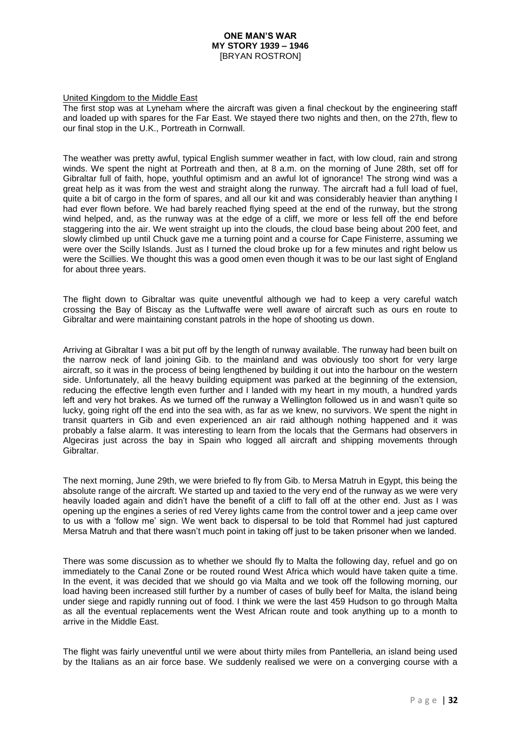### United Kingdom to the Middle East

The first stop was at Lyneham where the aircraft was given a final checkout by the engineering staff and loaded up with spares for the Far East. We stayed there two nights and then, on the 27th, flew to our final stop in the U.K., Portreath in Cornwall.

The weather was pretty awful, typical English summer weather in fact, with low cloud, rain and strong winds. We spent the night at Portreath and then, at 8 a.m. on the morning of June 28th, set off for Gibraltar full of faith, hope, youthful optimism and an awful lot of ignorance! The strong wind was a great help as it was from the west and straight along the runway. The aircraft had a full load of fuel, quite a bit of cargo in the form of spares, and all our kit and was considerably heavier than anything I had ever flown before. We had barely reached flying speed at the end of the runway, but the strong wind helped, and, as the runway was at the edge of a cliff, we more or less fell off the end before staggering into the air. We went straight up into the clouds, the cloud base being about 200 feet, and slowly climbed up until Chuck gave me a turning point and a course for Cape Finisterre, assuming we were over the Scilly Islands. Just as I turned the cloud broke up for a few minutes and right below us were the Scillies. We thought this was a good omen even though it was to be our last sight of England for about three years.

The flight down to Gibraltar was quite uneventful although we had to keep a very careful watch crossing the Bay of Biscay as the Luftwaffe were well aware of aircraft such as ours en route to Gibraltar and were maintaining constant patrols in the hope of shooting us down.

Arriving at Gibraltar I was a bit put off by the length of runway available. The runway had been built on the narrow neck of land joining Gib. to the mainland and was obviously too short for very large aircraft, so it was in the process of being lengthened by building it out into the harbour on the western side. Unfortunately, all the heavy building equipment was parked at the beginning of the extension, reducing the effective length even further and I landed with my heart in my mouth, a hundred yards left and very hot brakes. As we turned off the runway a Wellington followed us in and wasn't quite so lucky, going right off the end into the sea with, as far as we knew, no survivors. We spent the night in transit quarters in Gib and even experienced an air raid although nothing happened and it was probably a false alarm. It was interesting to learn from the locals that the Germans had observers in Algeciras just across the bay in Spain who logged all aircraft and shipping movements through Gibraltar.

The next morning, June 29th, we were briefed to fly from Gib. to Mersa Matruh in Egypt, this being the absolute range of the aircraft. We started up and taxied to the very end of the runway as we were very heavily loaded again and didn't have the benefit of a cliff to fall off at the other end. Just as I was opening up the engines a series of red Verey lights came from the control tower and a jeep came over to us with a 'follow me' sign. We went back to dispersal to be told that Rommel had just captured Mersa Matruh and that there wasn't much point in taking off just to be taken prisoner when we landed.

There was some discussion as to whether we should fly to Malta the following day, refuel and go on immediately to the Canal Zone or be routed round West Africa which would have taken quite a time. In the event, it was decided that we should go via Malta and we took off the following morning, our load having been increased still further by a number of cases of bully beef for Malta, the island being under siege and rapidly running out of food. I think we were the last 459 Hudson to go through Malta as all the eventual replacements went the West African route and took anything up to a month to arrive in the Middle East.

The flight was fairly uneventful until we were about thirty miles from Pantelleria, an island being used by the Italians as an air force base. We suddenly realised we were on a converging course with a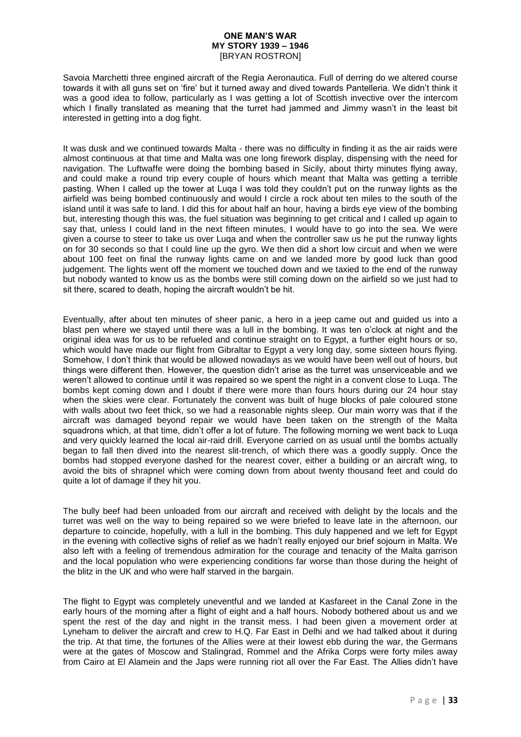Savoia Marchetti three engined aircraft of the Regia Aeronautica. Full of derring do we altered course towards it with all guns set on 'fire' but it turned away and dived towards Pantelleria. We didn't think it was a good idea to follow, particularly as I was getting a lot of Scottish invective over the intercom which I finally translated as meaning that the turret had jammed and Jimmy wasn't in the least bit interested in getting into a dog fight.

It was dusk and we continued towards Malta - there was no difficulty in finding it as the air raids were almost continuous at that time and Malta was one long firework display, dispensing with the need for navigation. The Luftwaffe were doing the bombing based in Sicily, about thirty minutes flying away, and could make a round trip every couple of hours which meant that Malta was getting a terrible pasting. When I called up the tower at Luqa I was told they couldn't put on the runway lights as the airfield was being bombed continuously and would I circle a rock about ten miles to the south of the island until it was safe to land. I did this for about half an hour, having a birds eye view of the bombing but, interesting though this was, the fuel situation was beginning to get critical and I called up again to say that, unless I could land in the next fifteen minutes, I would have to go into the sea. We were given a course to steer to take us over Luqa and when the controller saw us he put the runway lights on for 30 seconds so that I could line up the gyro. We then did a short low circuit and when we were about 100 feet on final the runway lights came on and we landed more by good luck than good judgement. The lights went off the moment we touched down and we taxied to the end of the runway but nobody wanted to know us as the bombs were still coming down on the airfield so we just had to sit there, scared to death, hoping the aircraft wouldn't be hit.

Eventually, after about ten minutes of sheer panic, a hero in a jeep came out and guided us into a blast pen where we stayed until there was a lull in the bombing. It was ten o'clock at night and the original idea was for us to be refueled and continue straight on to Egypt, a further eight hours or so, which would have made our flight from Gibraltar to Egypt a very long day, some sixteen hours flying. Somehow, I don't think that would be allowed nowadays as we would have been well out of hours, but things were different then. However, the question didn't arise as the turret was unserviceable and we weren't allowed to continue until it was repaired so we spent the night in a convent close to Luqa. The bombs kept coming down and I doubt if there were more than fours hours during our 24 hour stay when the skies were clear. Fortunately the convent was built of huge blocks of pale coloured stone with walls about two feet thick, so we had a reasonable nights sleep. Our main worry was that if the aircraft was damaged beyond repair we would have been taken on the strength of the Malta squadrons which, at that time, didn't offer a lot of future. The following morning we went back to Luqa and very quickly learned the local air-raid drill. Everyone carried on as usual until the bombs actually began to fall then dived into the nearest slit-trench, of which there was a goodly supply. Once the bombs had stopped everyone dashed for the nearest cover, either a building or an aircraft wing, to avoid the bits of shrapnel which were coming down from about twenty thousand feet and could do quite a lot of damage if they hit you.

The bully beef had been unloaded from our aircraft and received with delight by the locals and the turret was well on the way to being repaired so we were briefed to leave late in the afternoon, our departure to coincide, hopefully, with a lull in the bombing. This duly happened and we left for Egypt in the evening with collective sighs of relief as we hadn't really enjoyed our brief sojourn in Malta. We also left with a feeling of tremendous admiration for the courage and tenacity of the Malta garrison and the local population who were experiencing conditions far worse than those during the height of the blitz in the UK and who were half starved in the bargain.

The flight to Egypt was completely uneventful and we landed at Kasfareet in the Canal Zone in the early hours of the morning after a flight of eight and a half hours. Nobody bothered about us and we spent the rest of the day and night in the transit mess. I had been given a movement order at Lyneham to deliver the aircraft and crew to H.Q. Far East in Delhi and we had talked about it during the trip. At that time, the fortunes of the Allies were at their lowest ebb during the war, the Germans were at the gates of Moscow and Stalingrad, Rommel and the Afrika Corps were forty miles away from Cairo at El Alamein and the Japs were running riot all over the Far East. The Allies didn't have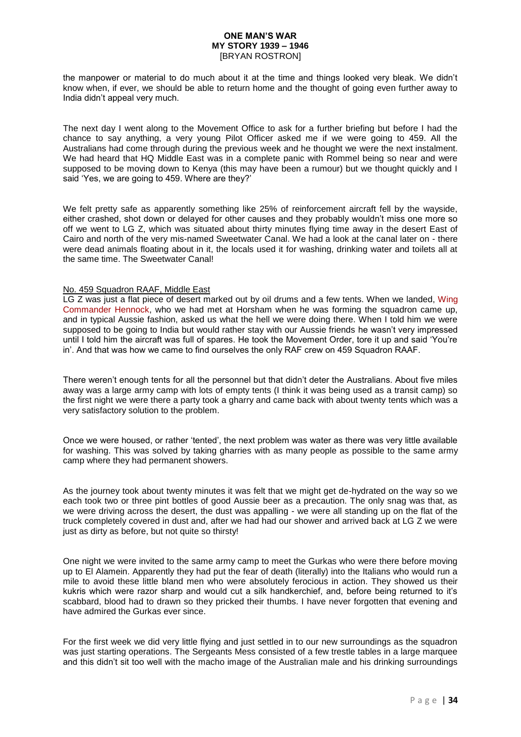the manpower or material to do much about it at the time and things looked very bleak. We didn't know when, if ever, we should be able to return home and the thought of going even further away to India didn't appeal very much.

The next day I went along to the Movement Office to ask for a further briefing but before I had the chance to say anything, a very young Pilot Officer asked me if we were going to 459. All the Australians had come through during the previous week and he thought we were the next instalment. We had heard that HQ Middle East was in a complete panic with Rommel being so near and were supposed to be moving down to Kenya (this may have been a rumour) but we thought quickly and I said 'Yes, we are going to 459. Where are they?'

We felt pretty safe as apparently something like 25% of reinforcement aircraft fell by the wayside. either crashed, shot down or delayed for other causes and they probably wouldn't miss one more so off we went to LG Z, which was situated about thirty minutes flying time away in the desert East of Cairo and north of the very mis-named Sweetwater Canal. We had a look at the canal later on - there were dead animals floating about in it, the locals used it for washing, drinking water and toilets all at the same time. The Sweetwater Canal!

### No. 459 Squadron RAAF, Middle East

LG Z was just a flat piece of desert marked out by oil drums and a few tents. When we landed, [Wing](http://www.454-459squadrons.org.au/459members/hennockks.html)  [Commander Hennock,](http://www.454-459squadrons.org.au/459members/hennockks.html) who we had met at Horsham when he was forming the squadron came up, and in typical Aussie fashion, asked us what the hell we were doing there. When I told him we were supposed to be going to India but would rather stay with our Aussie friends he wasn't very impressed until I told him the aircraft was full of spares. He took the Movement Order, tore it up and said 'You're in'. And that was how we came to find ourselves the only RAF crew on 459 Squadron RAAF.

There weren't enough tents for all the personnel but that didn't deter the Australians. About five miles away was a large army camp with lots of empty tents (I think it was being used as a transit camp) so the first night we were there a party took a gharry and came back with about twenty tents which was a very satisfactory solution to the problem.

Once we were housed, or rather 'tented', the next problem was water as there was very little available for washing. This was solved by taking gharries with as many people as possible to the same army camp where they had permanent showers.

As the journey took about twenty minutes it was felt that we might get de-hydrated on the way so we each took two or three pint bottles of good Aussie beer as a precaution. The only snag was that, as we were driving across the desert, the dust was appalling - we were all standing up on the flat of the truck completely covered in dust and, after we had had our shower and arrived back at LG Z we were just as dirty as before, but not quite so thirsty!

One night we were invited to the same army camp to meet the Gurkas who were there before moving up to El Alamein. Apparently they had put the fear of death (literally) into the Italians who would run a mile to avoid these little bland men who were absolutely ferocious in action. They showed us their kukris which were razor sharp and would cut a silk handkerchief, and, before being returned to it's scabbard, blood had to drawn so they pricked their thumbs. I have never forgotten that evening and have admired the Gurkas ever since.

For the first week we did very little flying and just settled in to our new surroundings as the squadron was just starting operations. The Sergeants Mess consisted of a few trestle tables in a large marquee and this didn't sit too well with the macho image of the Australian male and his drinking surroundings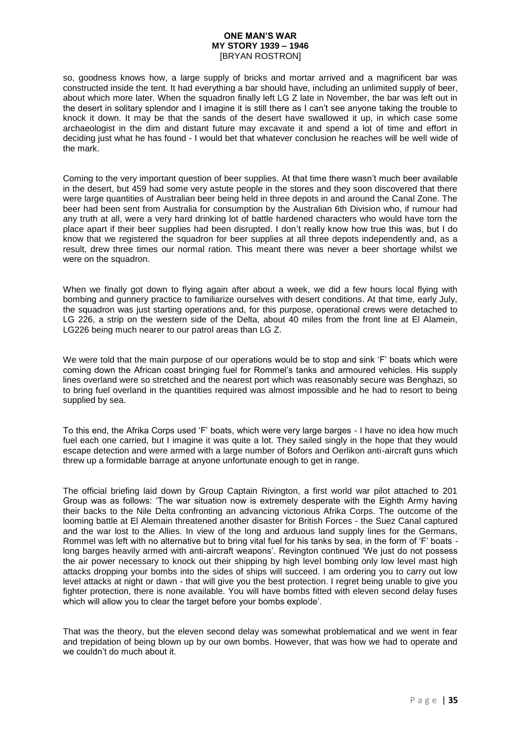so, goodness knows how, a large supply of bricks and mortar arrived and a magnificent bar was constructed inside the tent. It had everything a bar should have, including an unlimited supply of beer, about which more later. When the squadron finally left LG Z late in November, the bar was left out in the desert in solitary splendor and I imagine it is still there as I can't see anyone taking the trouble to knock it down. It may be that the sands of the desert have swallowed it up, in which case some archaeologist in the dim and distant future may excavate it and spend a lot of time and effort in deciding just what he has found - I would bet that whatever conclusion he reaches will be well wide of the mark.

Coming to the very important question of beer supplies. At that time there wasn't much beer available in the desert, but 459 had some very astute people in the stores and they soon discovered that there were large quantities of Australian beer being held in three depots in and around the Canal Zone. The beer had been sent from Australia for consumption by the Australian 6th Division who, if rumour had any truth at all, were a very hard drinking lot of battle hardened characters who would have torn the place apart if their beer supplies had been disrupted. I don't really know how true this was, but I do know that we registered the squadron for beer supplies at all three depots independently and, as a result, drew three times our normal ration. This meant there was never a beer shortage whilst we were on the squadron.

When we finally got down to flying again after about a week, we did a few hours local flying with bombing and gunnery practice to familiarize ourselves with desert conditions. At that time, early July, the squadron was just starting operations and, for this purpose, operational crews were detached to LG 226, a strip on the western side of the Delta, about 40 miles from the front line at El Alamein, LG226 being much nearer to our patrol areas than LG Z.

We were told that the main purpose of our operations would be to stop and sink 'F' boats which were coming down the African coast bringing fuel for Rommel's tanks and armoured vehicles. His supply lines overland were so stretched and the nearest port which was reasonably secure was Benghazi, so to bring fuel overland in the quantities required was almost impossible and he had to resort to being supplied by sea.

To this end, the Afrika Corps used 'F' boats, which were very large barges - I have no idea how much fuel each one carried, but I imagine it was quite a lot. They sailed singly in the hope that they would escape detection and were armed with a large number of Bofors and Oerlikon anti-aircraft guns which threw up a formidable barrage at anyone unfortunate enough to get in range.

The official briefing laid down by Group Captain Rivington, a first world war pilot attached to 201 Group was as follows: 'The war situation now is extremely desperate with the Eighth Army having their backs to the Nile Delta confronting an advancing victorious Afrika Corps. The outcome of the looming battle at El Alemain threatened another disaster for British Forces - the Suez Canal captured and the war lost to the Allies. In view of the long and arduous land supply lines for the Germans, Rommel was left with no alternative but to bring vital fuel for his tanks by sea, in the form of 'F' boats long barges heavily armed with anti-aircraft weapons'. Revington continued 'We just do not possess the air power necessary to knock out their shipping by high level bombing only low level mast high attacks dropping your bombs into the sides of ships will succeed. I am ordering you to carry out low level attacks at night or dawn - that will give you the best protection. I regret being unable to give you fighter protection, there is none available. You will have bombs fitted with eleven second delay fuses which will allow you to clear the target before your bombs explode'.

That was the theory, but the eleven second delay was somewhat problematical and we went in fear and trepidation of being blown up by our own bombs. However, that was how we had to operate and we couldn't do much about it.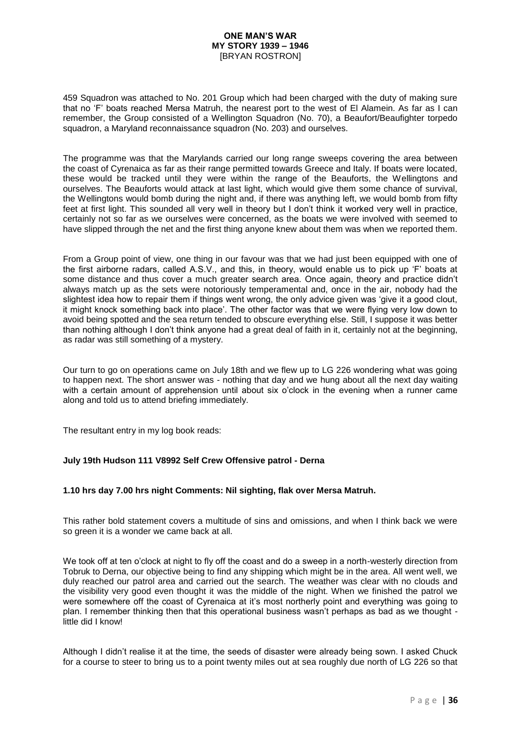459 Squadron was attached to No. 201 Group which had been charged with the duty of making sure that no 'F' boats reached Mersa Matruh, the nearest port to the west of El Alamein. As far as I can remember, the Group consisted of a Wellington Squadron (No. 70), a Beaufort/Beaufighter torpedo squadron, a Maryland reconnaissance squadron (No. 203) and ourselves.

The programme was that the Marylands carried our long range sweeps covering the area between the coast of Cyrenaica as far as their range permitted towards Greece and Italy. If boats were located, these would be tracked until they were within the range of the Beauforts, the Wellingtons and ourselves. The Beauforts would attack at last light, which would give them some chance of survival, the Wellingtons would bomb during the night and, if there was anything left, we would bomb from fifty feet at first light. This sounded all very well in theory but I don't think it worked very well in practice, certainly not so far as we ourselves were concerned, as the boats we were involved with seemed to have slipped through the net and the first thing anyone knew about them was when we reported them.

From a Group point of view, one thing in our favour was that we had just been equipped with one of the first airborne radars, called A.S.V., and this, in theory, would enable us to pick up 'F' boats at some distance and thus cover a much greater search area. Once again, theory and practice didn't always match up as the sets were notoriously temperamental and, once in the air, nobody had the slightest idea how to repair them if things went wrong, the only advice given was 'give it a good clout, it might knock something back into place'. The other factor was that we were flying very low down to avoid being spotted and the sea return tended to obscure everything else. Still, I suppose it was better than nothing although I don't think anyone had a great deal of faith in it, certainly not at the beginning, as radar was still something of a mystery.

Our turn to go on operations came on July 18th and we flew up to LG 226 wondering what was going to happen next. The short answer was - nothing that day and we hung about all the next day waiting with a certain amount of apprehension until about six o'clock in the evening when a runner came along and told us to attend briefing immediately.

The resultant entry in my log book reads:

# **July 19th Hudson 111 V8992 Self Crew Offensive patrol - Derna**

# **1.10 hrs day 7.00 hrs night Comments: Nil sighting, flak over Mersa Matruh.**

This rather bold statement covers a multitude of sins and omissions, and when I think back we were so green it is a wonder we came back at all.

We took off at ten o'clock at night to fly off the coast and do a sweep in a north-westerly direction from Tobruk to Derna, our objective being to find any shipping which might be in the area. All went well, we duly reached our patrol area and carried out the search. The weather was clear with no clouds and the visibility very good even thought it was the middle of the night. When we finished the patrol we were somewhere off the coast of Cyrenaica at it's most northerly point and everything was going to plan. I remember thinking then that this operational business wasn't perhaps as bad as we thought little did I know!

Although I didn't realise it at the time, the seeds of disaster were already being sown. I asked Chuck for a course to steer to bring us to a point twenty miles out at sea roughly due north of LG 226 so that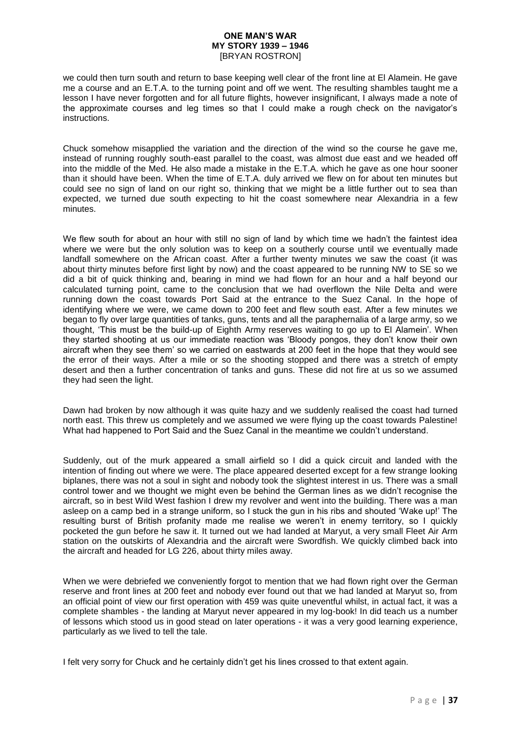we could then turn south and return to base keeping well clear of the front line at El Alamein. He gave me a course and an E.T.A. to the turning point and off we went. The resulting shambles taught me a lesson I have never forgotten and for all future flights, however insignificant, I always made a note of the approximate courses and leg times so that I could make a rough check on the navigator's instructions.

Chuck somehow misapplied the variation and the direction of the wind so the course he gave me, instead of running roughly south-east parallel to the coast, was almost due east and we headed off into the middle of the Med. He also made a mistake in the E.T.A. which he gave as one hour sooner than it should have been. When the time of E.T.A. duly arrived we flew on for about ten minutes but could see no sign of land on our right so, thinking that we might be a little further out to sea than expected, we turned due south expecting to hit the coast somewhere near Alexandria in a few minutes.

We flew south for about an hour with still no sign of land by which time we hadn't the faintest idea where we were but the only solution was to keep on a southerly course until we eventually made landfall somewhere on the African coast. After a further twenty minutes we saw the coast (it was about thirty minutes before first light by now) and the coast appeared to be running NW to SE so we did a bit of quick thinking and, bearing in mind we had flown for an hour and a half beyond our calculated turning point, came to the conclusion that we had overflown the Nile Delta and were running down the coast towards Port Said at the entrance to the Suez Canal. In the hope of identifying where we were, we came down to 200 feet and flew south east. After a few minutes we began to fly over large quantities of tanks, guns, tents and all the paraphernalia of a large army, so we thought, 'This must be the build-up of Eighth Army reserves waiting to go up to El Alamein'. When they started shooting at us our immediate reaction was 'Bloody pongos, they don't know their own aircraft when they see them' so we carried on eastwards at 200 feet in the hope that they would see the error of their ways. After a mile or so the shooting stopped and there was a stretch of empty desert and then a further concentration of tanks and guns. These did not fire at us so we assumed they had seen the light.

Dawn had broken by now although it was quite hazy and we suddenly realised the coast had turned north east. This threw us completely and we assumed we were flying up the coast towards Palestine! What had happened to Port Said and the Suez Canal in the meantime we couldn't understand.

Suddenly, out of the murk appeared a small airfield so I did a quick circuit and landed with the intention of finding out where we were. The place appeared deserted except for a few strange looking biplanes, there was not a soul in sight and nobody took the slightest interest in us. There was a small control tower and we thought we might even be behind the German lines as we didn't recognise the aircraft, so in best Wild West fashion I drew my revolver and went into the building. There was a man asleep on a camp bed in a strange uniform, so I stuck the gun in his ribs and shouted 'Wake up!' The resulting burst of British profanity made me realise we weren't in enemy territory, so I quickly pocketed the gun before he saw it. It turned out we had landed at Maryut, a very small Fleet Air Arm station on the outskirts of Alexandria and the aircraft were Swordfish. We quickly climbed back into the aircraft and headed for LG 226, about thirty miles away.

When we were debriefed we conveniently forgot to mention that we had flown right over the German reserve and front lines at 200 feet and nobody ever found out that we had landed at Maryut so, from an official point of view our first operation with 459 was quite uneventful whilst, in actual fact, it was a complete shambles - the landing at Maryut never appeared in my log-book! In did teach us a number of lessons which stood us in good stead on later operations - it was a very good learning experience, particularly as we lived to tell the tale.

I felt very sorry for Chuck and he certainly didn't get his lines crossed to that extent again.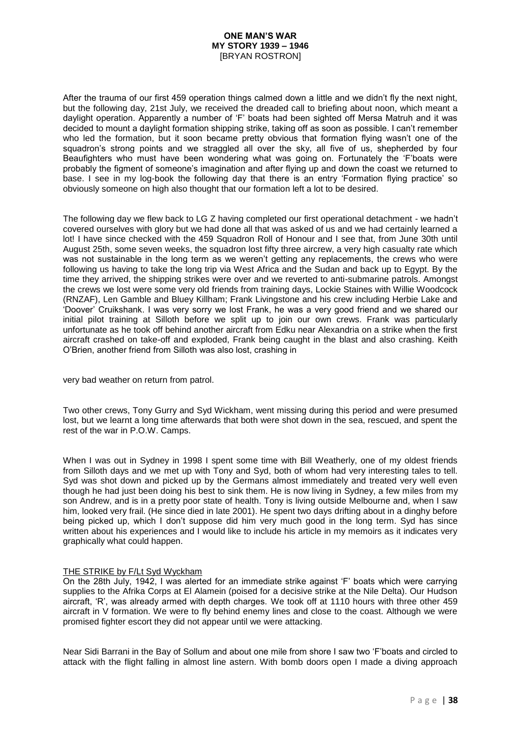After the trauma of our first 459 operation things calmed down a little and we didn't fly the next night, but the following day, 21st July, we received the dreaded call to briefing about noon, which meant a daylight operation. Apparently a number of 'F' boats had been sighted off Mersa Matruh and it was decided to mount a daylight formation shipping strike, taking off as soon as possible. I can't remember who led the formation, but it soon became pretty obvious that formation flying wasn't one of the squadron's strong points and we straggled all over the sky, all five of us, shepherded by four Beaufighters who must have been wondering what was going on. Fortunately the 'F'boats were probably the figment of someone's imagination and after flying up and down the coast we returned to base. I see in my log-book the following day that there is an entry 'Formation flying practice' so obviously someone on high also thought that our formation left a lot to be desired.

The following day we flew back to LG Z having completed our first operational detachment - we hadn't covered ourselves with glory but we had done all that was asked of us and we had certainly learned a lot! I have since checked with the 459 Squadron Roll of Honour and I see that, from June 30th until August 25th, some seven weeks, the squadron lost fifty three aircrew, a very high casualty rate which was not sustainable in the long term as we weren't getting any replacements, the crews who were following us having to take the long trip via West Africa and the Sudan and back up to Egypt. By the time they arrived, the shipping strikes were over and we reverted to anti-submarine patrols. Amongst the crews we lost were some very old friends from training days, Lockie Staines with Willie Woodcock (RNZAF), Len Gamble and Bluey Killham; Frank Livingstone and his crew including Herbie Lake and 'Doover' Cruikshank. I was very sorry we lost Frank, he was a very good friend and we shared our initial pilot training at Silloth before we split up to join our own crews. Frank was particularly unfortunate as he took off behind another aircraft from Edku near Alexandria on a strike when the first aircraft crashed on take-off and exploded, Frank being caught in the blast and also crashing. Keith O'Brien, another friend from Silloth was also lost, crashing in

very bad weather on return from patrol.

Two other crews, Tony Gurry and Syd Wickham, went missing during this period and were presumed lost, but we learnt a long time afterwards that both were shot down in the sea, rescued, and spent the rest of the war in P.O.W. Camps.

When I was out in Sydney in 1998 I spent some time with Bill Weatherly, one of my oldest friends from Silloth days and we met up with Tony and Syd, both of whom had very interesting tales to tell. Syd was shot down and picked up by the Germans almost immediately and treated very well even though he had just been doing his best to sink them. He is now living in Sydney, a few miles from my son Andrew, and is in a pretty poor state of health. Tony is living outside Melbourne and, when I saw him, looked very frail. (He since died in late 2001). He spent two days drifting about in a dinghy before being picked up, which I don't suppose did him very much good in the long term. Syd has since written about his experiences and I would like to include his article in my memoirs as it indicates very graphically what could happen.

### THE STRIKE by F/Lt Syd Wyckham

On the 28th July, 1942, I was alerted for an immediate strike against 'F' boats which were carrying supplies to the Afrika Corps at El Alamein (poised for a decisive strike at the Nile Delta). Our Hudson aircraft, 'R', was already armed with depth charges. We took off at 1110 hours with three other 459 aircraft in V formation. We were to fly behind enemy lines and close to the coast. Although we were promised fighter escort they did not appear until we were attacking.

Near Sidi Barrani in the Bay of Sollum and about one mile from shore I saw two 'F'boats and circled to attack with the flight falling in almost line astern. With bomb doors open I made a diving approach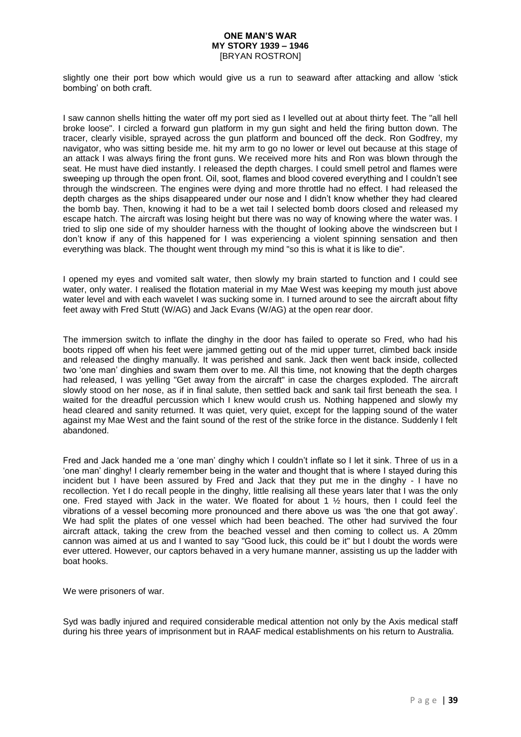slightly one their port bow which would give us a run to seaward after attacking and allow 'stick bombing' on both craft.

I saw cannon shells hitting the water off my port sied as I levelled out at about thirty feet. The "all hell broke loose". I circled a forward gun platform in my gun sight and held the firing button down. The tracer, clearly visible, sprayed across the gun platform and bounced off the deck. Ron Godfrey, my navigator, who was sitting beside me. hit my arm to go no lower or level out because at this stage of an attack I was always firing the front guns. We received more hits and Ron was blown through the seat. He must have died instantly. I released the depth charges. I could smell petrol and flames were sweeping up through the open front. Oil, soot, flames and blood covered everything and I couldn't see through the windscreen. The engines were dying and more throttle had no effect. I had released the depth charges as the ships disappeared under our nose and I didn't know whether they had cleared the bomb bay. Then, knowing it had to be a wet tail I selected bomb doors closed and released my escape hatch. The aircraft was losing height but there was no way of knowing where the water was. I tried to slip one side of my shoulder harness with the thought of looking above the windscreen but I don't know if any of this happened for I was experiencing a violent spinning sensation and then everything was black. The thought went through my mind "so this is what it is like to die".

I opened my eyes and vomited salt water, then slowly my brain started to function and I could see water, only water. I realised the flotation material in my Mae West was keeping my mouth just above water level and with each wavelet I was sucking some in. I turned around to see the aircraft about fifty feet away with Fred Stutt (W/AG) and Jack Evans (W/AG) at the open rear door.

The immersion switch to inflate the dinghy in the door has failed to operate so Fred, who had his boots ripped off when his feet were jammed getting out of the mid upper turret, climbed back inside and released the dinghy manually. It was perished and sank. Jack then went back inside, collected two 'one man' dinghies and swam them over to me. All this time, not knowing that the depth charges had released, I was yelling "Get away from the aircraft" in case the charges exploded. The aircraft slowly stood on her nose, as if in final salute, then settled back and sank tail first beneath the sea. I waited for the dreadful percussion which I knew would crush us. Nothing happened and slowly my head cleared and sanity returned. It was quiet, very quiet, except for the lapping sound of the water against my Mae West and the faint sound of the rest of the strike force in the distance. Suddenly I felt abandoned.

Fred and Jack handed me a 'one man' dinghy which I couldn't inflate so I let it sink. Three of us in a 'one man' dinghy! I clearly remember being in the water and thought that is where I stayed during this incident but I have been assured by Fred and Jack that they put me in the dinghy - I have no recollection. Yet I do recall people in the dinghy, little realising all these years later that I was the only one. Fred stayed with Jack in the water. We floated for about 1  $\frac{1}{2}$  hours, then I could feel the vibrations of a vessel becoming more pronounced and there above us was 'the one that got away'. We had split the plates of one vessel which had been beached. The other had survived the four aircraft attack, taking the crew from the beached vessel and then coming to collect us. A 20mm cannon was aimed at us and I wanted to say "Good luck, this could be it" but I doubt the words were ever uttered. However, our captors behaved in a very humane manner, assisting us up the ladder with boat hooks.

We were prisoners of war.

Syd was badly injured and required considerable medical attention not only by the Axis medical staff during his three years of imprisonment but in RAAF medical establishments on his return to Australia.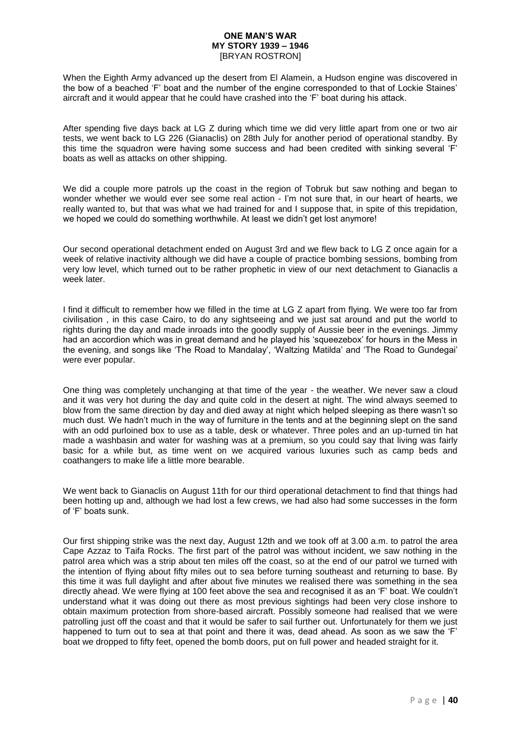When the Eighth Army advanced up the desert from El Alamein, a Hudson engine was discovered in the bow of a beached 'F' boat and the number of the engine corresponded to that of Lockie Staines' aircraft and it would appear that he could have crashed into the 'F' boat during his attack.

After spending five days back at LG Z during which time we did very little apart from one or two air tests, we went back to LG 226 (Gianaclis) on 28th July for another period of operational standby. By this time the squadron were having some success and had been credited with sinking several 'F' boats as well as attacks on other shipping.

We did a couple more patrols up the coast in the region of Tobruk but saw nothing and began to wonder whether we would ever see some real action - I'm not sure that, in our heart of hearts, we really wanted to, but that was what we had trained for and I suppose that, in spite of this trepidation, we hoped we could do something worthwhile. At least we didn't get lost anymore!

Our second operational detachment ended on August 3rd and we flew back to LG Z once again for a week of relative inactivity although we did have a couple of practice bombing sessions, bombing from very low level, which turned out to be rather prophetic in view of our next detachment to Gianaclis a week later.

I find it difficult to remember how we filled in the time at LG Z apart from flying. We were too far from civilisation , in this case Cairo, to do any sightseeing and we just sat around and put the world to rights during the day and made inroads into the goodly supply of Aussie beer in the evenings. Jimmy had an accordion which was in great demand and he played his 'squeezebox' for hours in the Mess in the evening, and songs like 'The Road to Mandalay', 'Waltzing Matilda' and 'The Road to Gundegai' were ever popular.

One thing was completely unchanging at that time of the year - the weather. We never saw a cloud and it was very hot during the day and quite cold in the desert at night. The wind always seemed to blow from the same direction by day and died away at night which helped sleeping as there wasn't so much dust. We hadn't much in the way of furniture in the tents and at the beginning slept on the sand with an odd purloined box to use as a table, desk or whatever. Three poles and an up-turned tin hat made a washbasin and water for washing was at a premium, so you could say that living was fairly basic for a while but, as time went on we acquired various luxuries such as camp beds and coathangers to make life a little more bearable.

We went back to Gianaclis on August 11th for our third operational detachment to find that things had been hotting up and, although we had lost a few crews, we had also had some successes in the form of 'F' boats sunk.

Our first shipping strike was the next day, August 12th and we took off at 3.00 a.m. to patrol the area Cape Azzaz to Taifa Rocks. The first part of the patrol was without incident, we saw nothing in the patrol area which was a strip about ten miles off the coast, so at the end of our patrol we turned with the intention of flying about fifty miles out to sea before turning southeast and returning to base. By this time it was full daylight and after about five minutes we realised there was something in the sea directly ahead. We were flying at 100 feet above the sea and recognised it as an 'F' boat. We couldn't understand what it was doing out there as most previous sightings had been very close inshore to obtain maximum protection from shore-based aircraft. Possibly someone had realised that we were patrolling just off the coast and that it would be safer to sail further out. Unfortunately for them we just happened to turn out to sea at that point and there it was, dead ahead. As soon as we saw the 'F' boat we dropped to fifty feet, opened the bomb doors, put on full power and headed straight for it.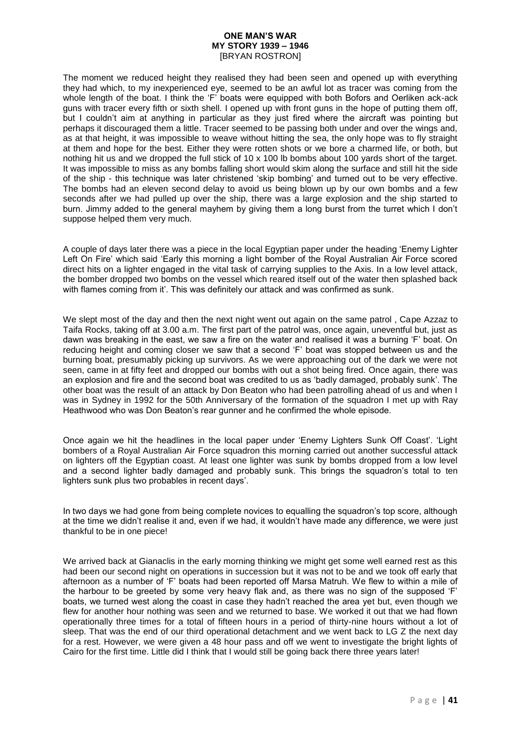The moment we reduced height they realised they had been seen and opened up with everything they had which, to my inexperienced eye, seemed to be an awful lot as tracer was coming from the whole length of the boat. I think the 'F' boats were equipped with both Bofors and Oerliken ack-ack guns with tracer every fifth or sixth shell. I opened up with front guns in the hope of putting them off, but I couldn't aim at anything in particular as they just fired where the aircraft was pointing but perhaps it discouraged them a little. Tracer seemed to be passing both under and over the wings and, as at that height, it was impossible to weave without hitting the sea, the only hope was to fly straight at them and hope for the best. Either they were rotten shots or we bore a charmed life, or both, but nothing hit us and we dropped the full stick of 10 x 100 lb bombs about 100 yards short of the target. It was impossible to miss as any bombs falling short would skim along the surface and still hit the side of the ship - this technique was later christened 'skip bombing' and turned out to be very effective. The bombs had an eleven second delay to avoid us being blown up by our own bombs and a few seconds after we had pulled up over the ship, there was a large explosion and the ship started to burn. Jimmy added to the general mayhem by giving them a long burst from the turret which I don't suppose helped them very much.

A couple of days later there was a piece in the local Egyptian paper under the heading 'Enemy Lighter Left On Fire' which said 'Early this morning a light bomber of the Royal Australian Air Force scored direct hits on a lighter engaged in the vital task of carrying supplies to the Axis. In a low level attack, the bomber dropped two bombs on the vessel which reared itself out of the water then splashed back with flames coming from it'. This was definitely our attack and was confirmed as sunk.

We slept most of the day and then the next night went out again on the same patrol, Cape Azzaz to Taifa Rocks, taking off at 3.00 a.m. The first part of the patrol was, once again, uneventful but, just as dawn was breaking in the east, we saw a fire on the water and realised it was a burning 'F' boat. On reducing height and coming closer we saw that a second 'F' boat was stopped between us and the burning boat, presumably picking up survivors. As we were approaching out of the dark we were not seen, came in at fifty feet and dropped our bombs with out a shot being fired. Once again, there was an explosion and fire and the second boat was credited to us as 'badly damaged, probably sunk'. The other boat was the result of an attack by Don Beaton who had been patrolling ahead of us and when I was in Sydney in 1992 for the 50th Anniversary of the formation of the squadron I met up with Ray Heathwood who was Don Beaton's rear gunner and he confirmed the whole episode.

Once again we hit the headlines in the local paper under 'Enemy Lighters Sunk Off Coast'. 'Light bombers of a Royal Australian Air Force squadron this morning carried out another successful attack on lighters off the Egyptian coast. At least one lighter was sunk by bombs dropped from a low level and a second lighter badly damaged and probably sunk. This brings the squadron's total to ten lighters sunk plus two probables in recent days'.

In two days we had gone from being complete novices to equalling the squadron's top score, although at the time we didn't realise it and, even if we had, it wouldn't have made any difference, we were just thankful to be in one piece!

We arrived back at Gianaclis in the early morning thinking we might get some well earned rest as this had been our second night on operations in succession but it was not to be and we took off early that afternoon as a number of 'F' boats had been reported off Marsa Matruh. We flew to within a mile of the harbour to be greeted by some very heavy flak and, as there was no sign of the supposed 'F' boats, we turned west along the coast in case they hadn't reached the area yet but, even though we flew for another hour nothing was seen and we returned to base. We worked it out that we had flown operationally three times for a total of fifteen hours in a period of thirty-nine hours without a lot of sleep. That was the end of our third operational detachment and we went back to LG Z the next day for a rest. However, we were given a 48 hour pass and off we went to investigate the bright lights of Cairo for the first time. Little did I think that I would still be going back there three years later!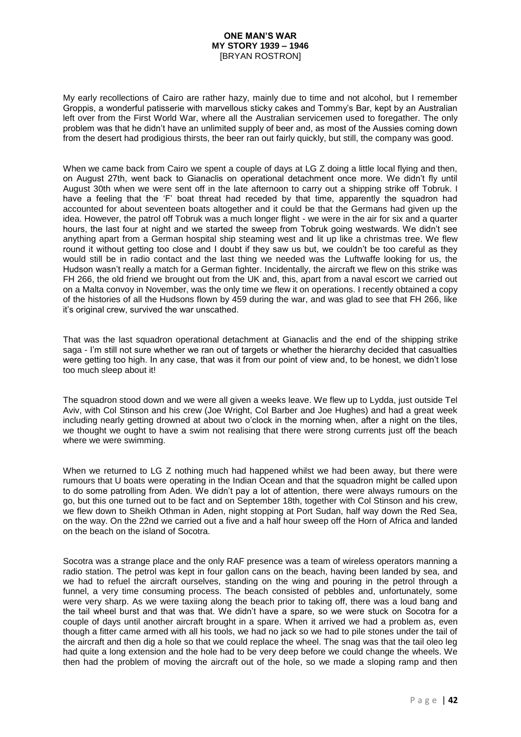My early recollections of Cairo are rather hazy, mainly due to time and not alcohol, but I remember Groppis, a wonderful patisserie with marvellous sticky cakes and Tommy's Bar, kept by an Australian left over from the First World War, where all the Australian servicemen used to foregather. The only problem was that he didn't have an unlimited supply of beer and, as most of the Aussies coming down from the desert had prodigious thirsts, the beer ran out fairly quickly, but still, the company was good.

When we came back from Cairo we spent a couple of days at LG Z doing a little local flying and then, on August 27th, went back to Gianaclis on operational detachment once more. We didn't fly until August 30th when we were sent off in the late afternoon to carry out a shipping strike off Tobruk. I have a feeling that the 'F' boat threat had receded by that time, apparently the squadron had accounted for about seventeen boats altogether and it could be that the Germans had given up the idea. However, the patrol off Tobruk was a much longer flight - we were in the air for six and a quarter hours, the last four at night and we started the sweep from Tobruk going westwards. We didn't see anything apart from a German hospital ship steaming west and lit up like a christmas tree. We flew round it without getting too close and I doubt if they saw us but, we couldn't be too careful as they would still be in radio contact and the last thing we needed was the Luftwaffe looking for us, the Hudson wasn't really a match for a German fighter. Incidentally, the aircraft we flew on this strike was FH 266, the old friend we brought out from the UK and, this, apart from a naval escort we carried out on a Malta convoy in November, was the only time we flew it on operations. I recently obtained a copy of the histories of all the Hudsons flown by 459 during the war, and was glad to see that FH 266, like it's original crew, survived the war unscathed.

That was the last squadron operational detachment at Gianaclis and the end of the shipping strike saga - I'm still not sure whether we ran out of targets or whether the hierarchy decided that casualties were getting too high. In any case, that was it from our point of view and, to be honest, we didn't lose too much sleep about it!

The squadron stood down and we were all given a weeks leave. We flew up to Lydda, just outside Tel Aviv, with Col Stinson and his crew (Joe Wright, Col Barber and Joe Hughes) and had a great week including nearly getting drowned at about two o'clock in the morning when, after a night on the tiles, we thought we ought to have a swim not realising that there were strong currents just off the beach where we were swimming.

When we returned to LG Z nothing much had happened whilst we had been away, but there were rumours that U boats were operating in the Indian Ocean and that the squadron might be called upon to do some patrolling from Aden. We didn't pay a lot of attention, there were always rumours on the go, but this one turned out to be fact and on September 18th, together with Col Stinson and his crew, we flew down to Sheikh Othman in Aden, night stopping at Port Sudan, half way down the Red Sea, on the way. On the 22nd we carried out a five and a half hour sweep off the Horn of Africa and landed on the beach on the island of Socotra.

Socotra was a strange place and the only RAF presence was a team of wireless operators manning a radio station. The petrol was kept in four gallon cans on the beach, having been landed by sea, and we had to refuel the aircraft ourselves, standing on the wing and pouring in the petrol through a funnel, a very time consuming process. The beach consisted of pebbles and, unfortunately, some were very sharp. As we were taxiing along the beach prior to taking off, there was a loud bang and the tail wheel burst and that was that. We didn't have a spare, so we were stuck on Socotra for a couple of days until another aircraft brought in a spare. When it arrived we had a problem as, even though a fitter came armed with all his tools, we had no jack so we had to pile stones under the tail of the aircraft and then dig a hole so that we could replace the wheel. The snag was that the tail oleo leg had quite a long extension and the hole had to be very deep before we could change the wheels. We then had the problem of moving the aircraft out of the hole, so we made a sloping ramp and then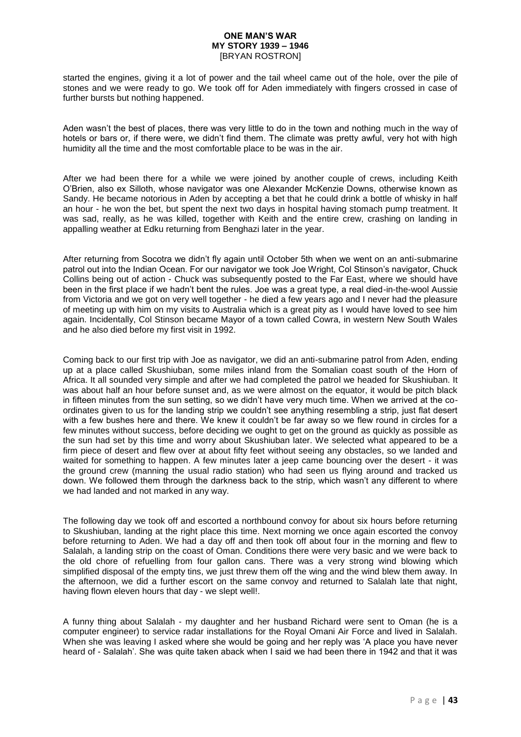started the engines, giving it a lot of power and the tail wheel came out of the hole, over the pile of stones and we were ready to go. We took off for Aden immediately with fingers crossed in case of further bursts but nothing happened.

Aden wasn't the best of places, there was very little to do in the town and nothing much in the way of hotels or bars or, if there were, we didn't find them. The climate was pretty awful, very hot with high humidity all the time and the most comfortable place to be was in the air.

After we had been there for a while we were joined by another couple of crews, including Keith O'Brien, also ex Silloth, whose navigator was one Alexander McKenzie Downs, otherwise known as Sandy. He became notorious in Aden by accepting a bet that he could drink a bottle of whisky in half an hour - he won the bet, but spent the next two days in hospital having stomach pump treatment. It was sad, really, as he was killed, together with Keith and the entire crew, crashing on landing in appalling weather at Edku returning from Benghazi later in the year.

After returning from Socotra we didn't fly again until October 5th when we went on an anti-submarine patrol out into the Indian Ocean. For our navigator we took Joe Wright, Col Stinson's navigator, Chuck Collins being out of action - Chuck was subsequently posted to the Far East, where we should have been in the first place if we hadn't bent the rules. Joe was a great type, a real died-in-the-wool Aussie from Victoria and we got on very well together - he died a few years ago and I never had the pleasure of meeting up with him on my visits to Australia which is a great pity as I would have loved to see him again. Incidentally, Col Stinson became Mayor of a town called Cowra, in western New South Wales and he also died before my first visit in 1992.

Coming back to our first trip with Joe as navigator, we did an anti-submarine patrol from Aden, ending up at a place called Skushiuban, some miles inland from the Somalian coast south of the Horn of Africa. It all sounded very simple and after we had completed the patrol we headed for Skushiuban. It was about half an hour before sunset and, as we were almost on the equator, it would be pitch black in fifteen minutes from the sun setting, so we didn't have very much time. When we arrived at the coordinates given to us for the landing strip we couldn't see anything resembling a strip, just flat desert with a few bushes here and there. We knew it couldn't be far away so we flew round in circles for a few minutes without success, before deciding we ought to get on the ground as quickly as possible as the sun had set by this time and worry about Skushiuban later. We selected what appeared to be a firm piece of desert and flew over at about fifty feet without seeing any obstacles, so we landed and waited for something to happen. A few minutes later a jeep came bouncing over the desert - it was the ground crew (manning the usual radio station) who had seen us flying around and tracked us down. We followed them through the darkness back to the strip, which wasn't any different to where we had landed and not marked in any way.

The following day we took off and escorted a northbound convoy for about six hours before returning to Skushiuban, landing at the right place this time. Next morning we once again escorted the convoy before returning to Aden. We had a day off and then took off about four in the morning and flew to Salalah, a landing strip on the coast of Oman. Conditions there were very basic and we were back to the old chore of refuelling from four gallon cans. There was a very strong wind blowing which simplified disposal of the empty tins, we just threw them off the wing and the wind blew them away. In the afternoon, we did a further escort on the same convoy and returned to Salalah late that night, having flown eleven hours that day - we slept well!.

A funny thing about Salalah - my daughter and her husband Richard were sent to Oman (he is a computer engineer) to service radar installations for the Royal Omani Air Force and lived in Salalah. When she was leaving I asked where she would be going and her reply was 'A place you have never heard of - Salalah'. She was quite taken aback when I said we had been there in 1942 and that it was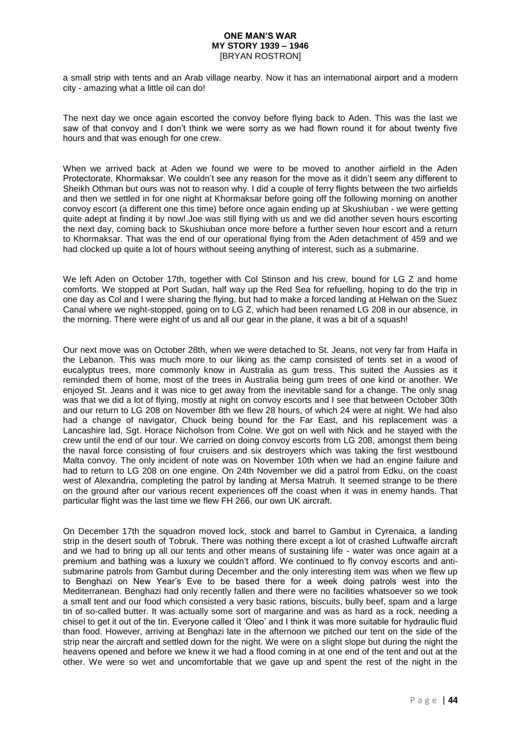a small strip with tents and an Arab village nearby. Now it has an international airport and a modern city - amazing what a little oil can do!

The next day we once again escorted the convoy before flying back to Aden. This was the last we saw of that convoy and I don't think we were sorry as we had flown round it for about twenty five hours and that was enough for one crew.

When we arrived back at Aden we found we were to be moved to another airfield in the Aden Protectorate, Khormaksar. We couldn't see any reason for the move as it didn't seem any different to Sheikh Othman but ours was not to reason why. I did a couple of ferry flights between the two airfields and then we settled in for one night at Khormaksar before going off the following morning on another convoy escort (a different one this time) before once again ending up at Skushiuban - we were getting quite adept at finding it by now!.Joe was still flying with us and we did another seven hours escorting the next day, coming back to Skushiuban once more before a further seven hour escort and a return to Khormaksar. That was the end of our operational flying from the Aden detachment of 459 and we had clocked up quite a lot of hours without seeing anything of interest, such as a submarine.

We left Aden on October 17th, together with Col Stinson and his crew, bound for LG Z and home comforts. We stopped at Port Sudan, half way up the Red Sea for refuelling, hoping to do the trip in one day as Col and I were sharing the flying, but had to make a forced landing at Helwan on the Suez Canal where we night-stopped, going on to LG Z, which had been renamed LG 208 in our absence, in the morning. There were eight of us and all our gear in the plane, it was a bit of a squash!

Our next move was on October 28th, when we were detached to St. Jeans, not very far from Haifa in the Lebanon. This was much more to our liking as the camp consisted of tents set in a wood of eucalyptus trees, more commonly know in Australia as gum tress. This suited the Aussies as it reminded them of home, most of the trees in Australia being gum trees of one kind or another. We enjoyed St. Jeans and it was nice to get away from the inevitable sand for a change. The only snag was that we did a lot of flying, mostly at night on convoy escorts and I see that between October 30th and our return to LG 208 on November 8th we flew 28 hours, of which 24 were at night. We had also had a change of navigator, Chuck being bound for the Far East, and his replacement was a Lancashire lad, Sgt. Horace Nicholson from Colne. We got on well with Nick and he stayed with the crew until the end of our tour. We carried on doing convoy escorts from LG 208, amongst them being the naval force consisting of four cruisers and six destroyers which was taking the first westbound Malta convoy. The only incident of note was on November 10th when we had an engine failure and had to return to LG 208 on one engine. On 24th November we did a patrol from Edku, on the coast west of Alexandria, completing the patrol by landing at Mersa Matruh. It seemed strange to be there on the ground after our various recent experiences off the coast when it was in enemy hands. That particular flight was the last time we flew FH 266, our own UK aircraft.

On December 17th the squadron moved lock, stock and barrel to Gambut in Cyrenaica, a landing strip in the desert south of Tobruk. There was nothing there except a lot of crashed Luftwaffe aircraft and we had to bring up all our tents and other means of sustaining life - water was once again at a premium and bathing was a luxury we couldn't afford. We continued to fly convoy escorts and antisubmarine patrols from Gambut during December and the only interesting item was when we flew up to Benghazi on New Year's Eve to be based there for a week doing patrols west into the Mediterranean. Benghazi had only recently fallen and there were no facilities whatsoever so we took a small tent and our food which consisted a very basic rations, biscuits, bully beef, spam and a large tin of so-called butter. It was actually some sort of margarine and was as hard as a rock, needing a chisel to get it out of the tin. Everyone called it 'Oleo' and I think it was more suitable for hydraulic fluid than food. However, arriving at Benghazi late in the afternoon we pitched our tent on the side of the strip near the aircraft and settled down for the night. We were on a slight slope but during the night the heavens opened and before we knew it we had a flood coming in at one end of the tent and out at the other. We were so wet and uncomfortable that we gave up and spent the rest of the night in the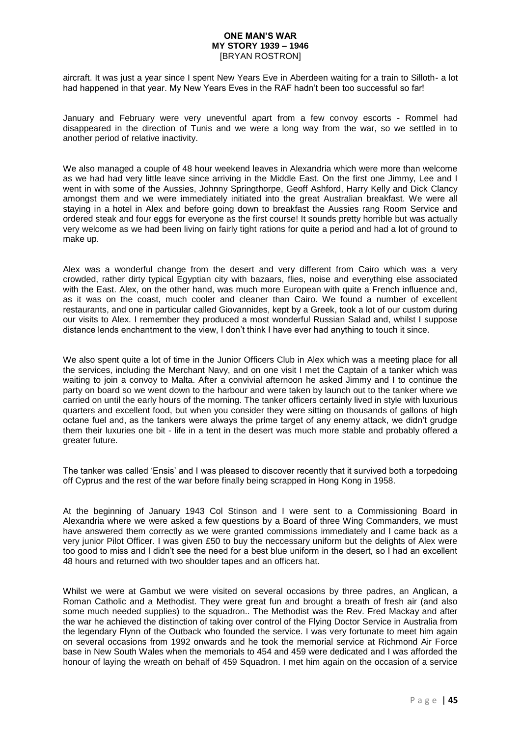aircraft. It was just a year since I spent New Years Eve in Aberdeen waiting for a train to Silloth- a lot had happened in that year. My New Years Eves in the RAF hadn't been too successful so far!

January and February were very uneventful apart from a few convoy escorts - Rommel had disappeared in the direction of Tunis and we were a long way from the war, so we settled in to another period of relative inactivity.

We also managed a couple of 48 hour weekend leaves in Alexandria which were more than welcome as we had had very little leave since arriving in the Middle East. On the first one Jimmy, Lee and I went in with some of the Aussies, Johnny Springthorpe, Geoff Ashford, Harry Kelly and Dick Clancy amongst them and we were immediately initiated into the great Australian breakfast. We were all staying in a hotel in Alex and before going down to breakfast the Aussies rang Room Service and ordered steak and four eggs for everyone as the first course! It sounds pretty horrible but was actually very welcome as we had been living on fairly tight rations for quite a period and had a lot of ground to make up.

Alex was a wonderful change from the desert and very different from Cairo which was a very crowded, rather dirty typical Egyptian city with bazaars, flies, noise and everything else associated with the East. Alex, on the other hand, was much more European with quite a French influence and, as it was on the coast, much cooler and cleaner than Cairo. We found a number of excellent restaurants, and one in particular called Giovannides, kept by a Greek, took a lot of our custom during our visits to Alex. I remember they produced a most wonderful Russian Salad and, whilst I suppose distance lends enchantment to the view, I don't think I have ever had anything to touch it since.

We also spent quite a lot of time in the Junior Officers Club in Alex which was a meeting place for all the services, including the Merchant Navy, and on one visit I met the Captain of a tanker which was waiting to join a convoy to Malta. After a convivial afternoon he asked Jimmy and I to continue the party on board so we went down to the harbour and were taken by launch out to the tanker where we carried on until the early hours of the morning. The tanker officers certainly lived in style with luxurious quarters and excellent food, but when you consider they were sitting on thousands of gallons of high octane fuel and, as the tankers were always the prime target of any enemy attack, we didn't grudge them their luxuries one bit - life in a tent in the desert was much more stable and probably offered a greater future.

The tanker was called 'Ensis' and I was pleased to discover recently that it survived both a torpedoing off Cyprus and the rest of the war before finally being scrapped in Hong Kong in 1958.

At the beginning of January 1943 Col Stinson and I were sent to a Commissioning Board in Alexandria where we were asked a few questions by a Board of three Wing Commanders, we must have answered them correctly as we were granted commissions immediately and I came back as a very junior Pilot Officer. I was given £50 to buy the neccessary uniform but the delights of Alex were too good to miss and I didn't see the need for a best blue uniform in the desert, so I had an excellent 48 hours and returned with two shoulder tapes and an officers hat.

Whilst we were at Gambut we were visited on several occasions by three padres, an Anglican, a Roman Catholic and a Methodist. They were great fun and brought a breath of fresh air (and also some much needed supplies) to the squadron.. The Methodist was the Rev. Fred Mackay and after the war he achieved the distinction of taking over control of the Flying Doctor Service in Australia from the legendary Flynn of the Outback who founded the service. I was very fortunate to meet him again on several occasions from 1992 onwards and he took the memorial service at Richmond Air Force base in New South Wales when the memorials to 454 and 459 were dedicated and I was afforded the honour of laying the wreath on behalf of 459 Squadron. I met him again on the occasion of a service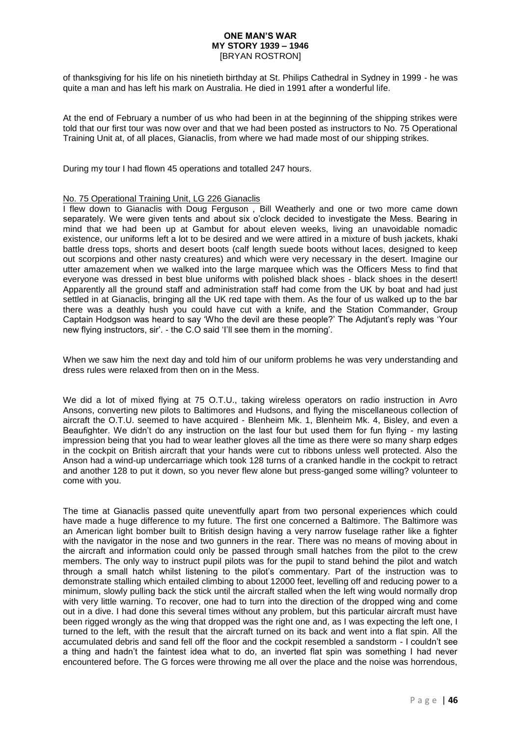of thanksgiving for his life on his ninetieth birthday at St. Philips Cathedral in Sydney in 1999 - he was quite a man and has left his mark on Australia. He died in 1991 after a wonderful life.

At the end of February a number of us who had been in at the beginning of the shipping strikes were told that our first tour was now over and that we had been posted as instructors to No. 75 Operational Training Unit at, of all places, Gianaclis, from where we had made most of our shipping strikes.

During my tour I had flown 45 operations and totalled 247 hours.

### No. 75 Operational Training Unit, LG 226 Gianaclis

I flew down to Gianaclis with Doug Ferguson , Bill Weatherly and one or two more came down separately. We were given tents and about six o'clock decided to investigate the Mess. Bearing in mind that we had been up at Gambut for about eleven weeks, living an unavoidable nomadic existence, our uniforms left a lot to be desired and we were attired in a mixture of bush jackets, khaki battle dress tops, shorts and desert boots (calf length suede boots without laces, designed to keep out scorpions and other nasty creatures) and which were very necessary in the desert. Imagine our utter amazement when we walked into the large marquee which was the Officers Mess to find that everyone was dressed in best blue uniforms with polished black shoes - black shoes in the desert! Apparently all the ground staff and administration staff had come from the UK by boat and had just settled in at Gianaclis, bringing all the UK red tape with them. As the four of us walked up to the bar there was a deathly hush you could have cut with a knife, and the Station Commander, Group Captain Hodgson was heard to say 'Who the devil are these people?' The Adjutant's reply was 'Your new flying instructors, sir'. - the C.O said 'I'll see them in the morning'.

When we saw him the next day and told him of our uniform problems he was very understanding and dress rules were relaxed from then on in the Mess.

We did a lot of mixed flying at 75 O.T.U., taking wireless operators on radio instruction in Avro Ansons, converting new pilots to Baltimores and Hudsons, and flying the miscellaneous collection of aircraft the O.T.U. seemed to have acquired - Blenheim Mk. 1, Blenheim Mk. 4, Bisley, and even a Beaufighter. We didn't do any instruction on the last four but used them for fun flying - my lasting impression being that you had to wear leather gloves all the time as there were so many sharp edges in the cockpit on British aircraft that your hands were cut to ribbons unless well protected. Also the Anson had a wind-up undercarriage which took 128 turns of a cranked handle in the cockpit to retract and another 128 to put it down, so you never flew alone but press-ganged some willing? volunteer to come with you.

The time at Gianaclis passed quite uneventfully apart from two personal experiences which could have made a huge difference to my future. The first one concerned a Baltimore. The Baltimore was an American light bomber built to British design having a very narrow fuselage rather like a fighter with the navigator in the nose and two gunners in the rear. There was no means of moving about in the aircraft and information could only be passed through small hatches from the pilot to the crew members. The only way to instruct pupil pilots was for the pupil to stand behind the pilot and watch through a small hatch whilst listening to the pilot's commentary. Part of the instruction was to demonstrate stalling which entailed climbing to about 12000 feet, levelling off and reducing power to a minimum, slowly pulling back the stick until the aircraft stalled when the left wing would normally drop with very little warning. To recover, one had to turn into the direction of the dropped wing and come out in a dive. I had done this several times without any problem, but this particular aircraft must have been rigged wrongly as the wing that dropped was the right one and, as I was expecting the left one, I turned to the left, with the result that the aircraft turned on its back and went into a flat spin. All the accumulated debris and sand fell off the floor and the cockpit resembled a sandstorm - I couldn't see a thing and hadn't the faintest idea what to do, an inverted flat spin was something I had never encountered before. The G forces were throwing me all over the place and the noise was horrendous,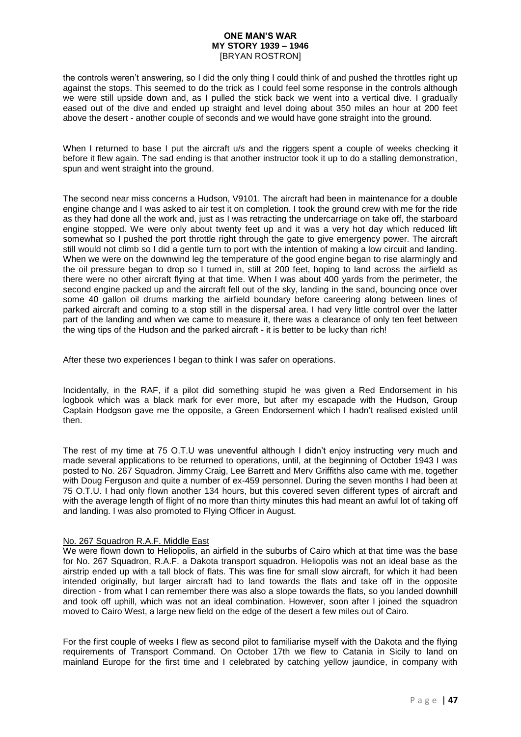the controls weren't answering, so I did the only thing I could think of and pushed the throttles right up against the stops. This seemed to do the trick as I could feel some response in the controls although we were still upside down and, as I pulled the stick back we went into a vertical dive. I gradually eased out of the dive and ended up straight and level doing about 350 miles an hour at 200 feet above the desert - another couple of seconds and we would have gone straight into the ground.

When I returned to base I put the aircraft u/s and the riggers spent a couple of weeks checking it before it flew again. The sad ending is that another instructor took it up to do a stalling demonstration, spun and went straight into the ground.

The second near miss concerns a Hudson, V9101. The aircraft had been in maintenance for a double engine change and I was asked to air test it on completion. I took the ground crew with me for the ride as they had done all the work and, just as I was retracting the undercarriage on take off, the starboard engine stopped. We were only about twenty feet up and it was a very hot day which reduced lift somewhat so I pushed the port throttle right through the gate to give emergency power. The aircraft still would not climb so I did a gentle turn to port with the intention of making a low circuit and landing. When we were on the downwind leg the temperature of the good engine began to rise alarmingly and the oil pressure began to drop so I turned in, still at 200 feet, hoping to land across the airfield as there were no other aircraft flying at that time. When I was about 400 yards from the perimeter, the second engine packed up and the aircraft fell out of the sky, landing in the sand, bouncing once over some 40 gallon oil drums marking the airfield boundary before careering along between lines of parked aircraft and coming to a stop still in the dispersal area. I had very little control over the latter part of the landing and when we came to measure it, there was a clearance of only ten feet between the wing tips of the Hudson and the parked aircraft - it is better to be lucky than rich!

After these two experiences I began to think I was safer on operations.

Incidentally, in the RAF, if a pilot did something stupid he was given a Red Endorsement in his logbook which was a black mark for ever more, but after my escapade with the Hudson, Group Captain Hodgson gave me the opposite, a Green Endorsement which I hadn't realised existed until then.

The rest of my time at 75 O.T.U was uneventful although I didn't enjoy instructing very much and made several applications to be returned to operations, until, at the beginning of October 1943 I was posted to No. 267 Squadron. Jimmy Craig, Lee Barrett and Merv Griffiths also came with me, together with Doug Ferguson and quite a number of ex-459 personnel. During the seven months I had been at 75 O.T.U. I had only flown another 134 hours, but this covered seven different types of aircraft and with the average length of flight of no more than thirty minutes this had meant an awful lot of taking off and landing. I was also promoted to Flying Officer in August.

# No. 267 Squadron R.A.F. Middle East

We were flown down to Heliopolis, an airfield in the suburbs of Cairo which at that time was the base for No. 267 Squadron, R.A.F. a Dakota transport squadron. Heliopolis was not an ideal base as the airstrip ended up with a tall block of flats. This was fine for small slow aircraft, for which it had been intended originally, but larger aircraft had to land towards the flats and take off in the opposite direction - from what I can remember there was also a slope towards the flats, so you landed downhill and took off uphill, which was not an ideal combination. However, soon after I joined the squadron moved to Cairo West, a large new field on the edge of the desert a few miles out of Cairo.

For the first couple of weeks I flew as second pilot to familiarise myself with the Dakota and the flying requirements of Transport Command. On October 17th we flew to Catania in Sicily to land on mainland Europe for the first time and I celebrated by catching yellow jaundice, in company with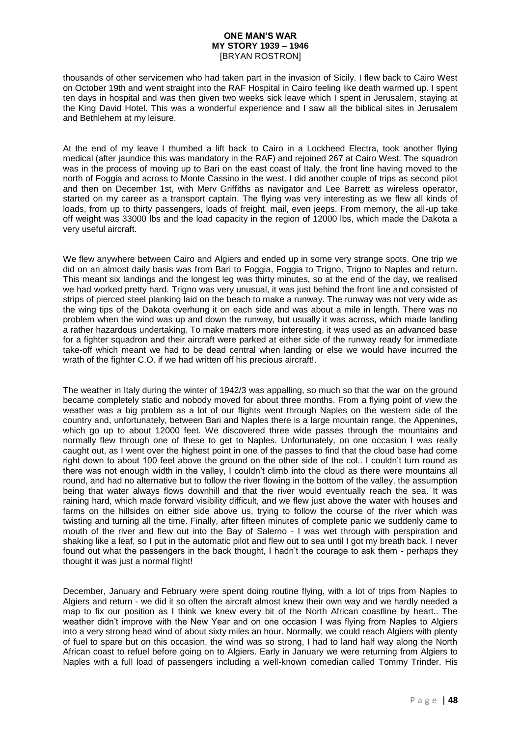thousands of other servicemen who had taken part in the invasion of Sicily. I flew back to Cairo West on October 19th and went straight into the RAF Hospital in Cairo feeling like death warmed up. I spent ten days in hospital and was then given two weeks sick leave which I spent in Jerusalem, staying at the King David Hotel. This was a wonderful experience and I saw all the biblical sites in Jerusalem and Bethlehem at my leisure.

At the end of my leave I thumbed a lift back to Cairo in a Lockheed Electra, took another flying medical (after jaundice this was mandatory in the RAF) and rejoined 267 at Cairo West. The squadron was in the process of moving up to Bari on the east coast of Italy, the front line having moved to the north of Foggia and across to Monte Cassino in the west. I did another couple of trips as second pilot and then on December 1st, with Merv Griffiths as navigator and Lee Barrett as wireless operator, started on my career as a transport captain. The flying was very interesting as we flew all kinds of loads, from up to thirty passengers, loads of freight, mail, even jeeps. From memory, the all-up take off weight was 33000 lbs and the load capacity in the region of 12000 lbs, which made the Dakota a very useful aircraft.

We flew anywhere between Cairo and Algiers and ended up in some very strange spots. One trip we did on an almost daily basis was from Bari to Foggia, Foggia to Trigno, Trigno to Naples and return. This meant six landings and the longest leg was thirty minutes, so at the end of the day, we realised we had worked pretty hard. Trigno was very unusual, it was just behind the front line and consisted of strips of pierced steel planking laid on the beach to make a runway. The runway was not very wide as the wing tips of the Dakota overhung it on each side and was about a mile in length. There was no problem when the wind was up and down the runway, but usually it was across, which made landing a rather hazardous undertaking. To make matters more interesting, it was used as an advanced base for a fighter squadron and their aircraft were parked at either side of the runway ready for immediate take-off which meant we had to be dead central when landing or else we would have incurred the wrath of the fighter C.O. if we had written off his precious aircraft!.

The weather in Italy during the winter of 1942/3 was appalling, so much so that the war on the ground became completely static and nobody moved for about three months. From a flying point of view the weather was a big problem as a lot of our flights went through Naples on the western side of the country and, unfortunately, between Bari and Naples there is a large mountain range, the Appenines, which go up to about 12000 feet. We discovered three wide passes through the mountains and normally flew through one of these to get to Naples. Unfortunately, on one occasion I was really caught out, as I went over the highest point in one of the passes to find that the cloud base had come right down to about 100 feet above the ground on the other side of the col.. I couldn't turn round as there was not enough width in the valley, I couldn't climb into the cloud as there were mountains all round, and had no alternative but to follow the river flowing in the bottom of the valley, the assumption being that water always flows downhill and that the river would eventually reach the sea. It was raining hard, which made forward visibility difficult, and we flew just above the water with houses and farms on the hillsides on either side above us, trying to follow the course of the river which was twisting and turning all the time. Finally, after fifteen minutes of complete panic we suddenly came to mouth of the river and flew out into the Bay of Salerno - I was wet through with perspiration and shaking like a leaf, so I put in the automatic pilot and flew out to sea until I got my breath back. I never found out what the passengers in the back thought, I hadn't the courage to ask them - perhaps they thought it was just a normal flight!

December, January and February were spent doing routine flying, with a lot of trips from Naples to Algiers and return - we did it so often the aircraft almost knew their own way and we hardly needed a map to fix our position as I think we knew every bit of the North African coastline by heart.. The weather didn't improve with the New Year and on one occasion I was flying from Naples to Algiers into a very strong head wind of about sixty miles an hour. Normally, we could reach Algiers with plenty of fuel to spare but on this occasion, the wind was so strong, I had to land half way along the North African coast to refuel before going on to Algiers. Early in January we were returning from Algiers to Naples with a full load of passengers including a well-known comedian called Tommy Trinder. His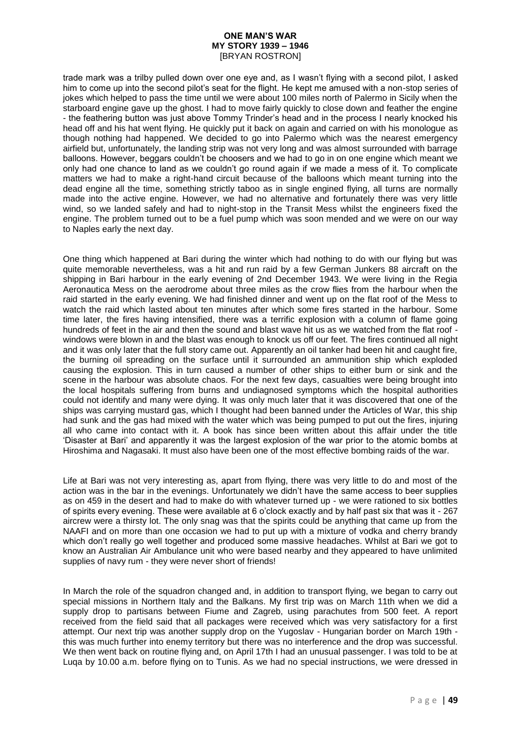trade mark was a trilby pulled down over one eye and, as I wasn't flying with a second pilot, I asked him to come up into the second pilot's seat for the flight. He kept me amused with a non-stop series of jokes which helped to pass the time until we were about 100 miles north of Palermo in Sicily when the starboard engine gave up the ghost. I had to move fairly quickly to close down and feather the engine - the feathering button was just above Tommy Trinder's head and in the process I nearly knocked his head off and his hat went flying. He quickly put it back on again and carried on with his monologue as though nothing had happened. We decided to go into Palermo which was the nearest emergency airfield but, unfortunately, the landing strip was not very long and was almost surrounded with barrage balloons. However, beggars couldn't be choosers and we had to go in on one engine which meant we only had one chance to land as we couldn't go round again if we made a mess of it. To complicate matters we had to make a right-hand circuit because of the balloons which meant turning into the dead engine all the time, something strictly taboo as in single engined flying, all turns are normally made into the active engine. However, we had no alternative and fortunately there was very little wind, so we landed safely and had to night-stop in the Transit Mess whilst the engineers fixed the engine. The problem turned out to be a fuel pump which was soon mended and we were on our way to Naples early the next day.

One thing which happened at Bari during the winter which had nothing to do with our flying but was quite memorable nevertheless, was a hit and run raid by a few German Junkers 88 aircraft on the shipping in Bari harbour in the early evening of 2nd December 1943. We were living in the Regia Aeronautica Mess on the aerodrome about three miles as the crow flies from the harbour when the raid started in the early evening. We had finished dinner and went up on the flat roof of the Mess to watch the raid which lasted about ten minutes after which some fires started in the harbour. Some time later, the fires having intensified, there was a terrific explosion with a column of flame going hundreds of feet in the air and then the sound and blast wave hit us as we watched from the flat roof windows were blown in and the blast was enough to knock us off our feet. The fires continued all night and it was only later that the full story came out. Apparently an oil tanker had been hit and caught fire, the burning oil spreading on the surface until it surrounded an ammunition ship which exploded causing the explosion. This in turn caused a number of other ships to either burn or sink and the scene in the harbour was absolute chaos. For the next few days, casualties were being brought into the local hospitals suffering from burns and undiagnosed symptoms which the hospital authorities could not identify and many were dying. It was only much later that it was discovered that one of the ships was carrying mustard gas, which I thought had been banned under the Articles of War, this ship had sunk and the gas had mixed with the water which was being pumped to put out the fires, injuring all who came into contact with it. A book has since been written about this affair under the title 'Disaster at Bari' and apparently it was the largest explosion of the war prior to the atomic bombs at Hiroshima and Nagasaki. It must also have been one of the most effective bombing raids of the war.

Life at Bari was not very interesting as, apart from flying, there was very little to do and most of the action was in the bar in the evenings. Unfortunately we didn't have the same access to beer supplies as on 459 in the desert and had to make do with whatever turned up - we were rationed to six bottles of spirits every evening. These were available at 6 o'clock exactly and by half past six that was it - 267 aircrew were a thirsty lot. The only snag was that the spirits could be anything that came up from the NAAFI and on more than one occasion we had to put up with a mixture of vodka and cherry brandy which don't really go well together and produced some massive headaches. Whilst at Bari we got to know an Australian Air Ambulance unit who were based nearby and they appeared to have unlimited supplies of navy rum - they were never short of friends!

In March the role of the squadron changed and, in addition to transport flying, we began to carry out special missions in Northern Italy and the Balkans. My first trip was on March 11th when we did a supply drop to partisans between Fiume and Zagreb, using parachutes from 500 feet. A report received from the field said that all packages were received which was very satisfactory for a first attempt. Our next trip was another supply drop on the Yugoslav - Hungarian border on March 19th this was much further into enemy territory but there was no interference and the drop was successful. We then went back on routine flying and, on April 17th I had an unusual passenger. I was told to be at Luqa by 10.00 a.m. before flying on to Tunis. As we had no special instructions, we were dressed in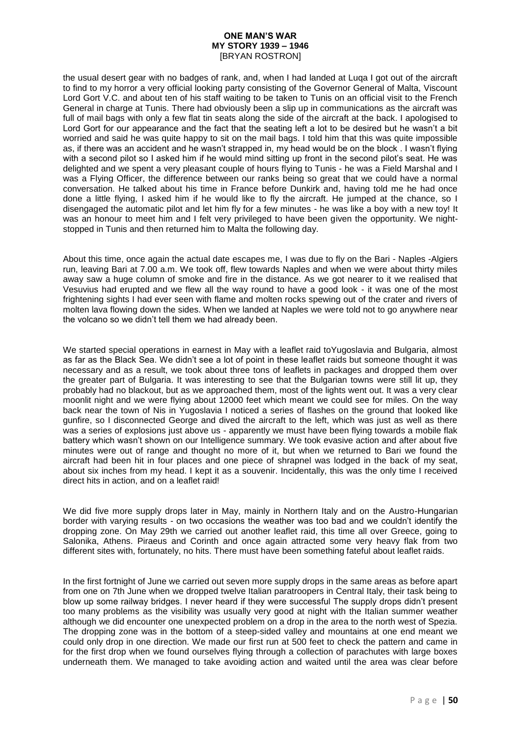the usual desert gear with no badges of rank, and, when I had landed at Luqa I got out of the aircraft to find to my horror a very official looking party consisting of the Governor General of Malta, Viscount Lord Gort V.C. and about ten of his staff waiting to be taken to Tunis on an official visit to the French General in charge at Tunis. There had obviously been a slip up in communications as the aircraft was full of mail bags with only a few flat tin seats along the side of the aircraft at the back. I apologised to Lord Gort for our appearance and the fact that the seating left a lot to be desired but he wasn't a bit worried and said he was quite happy to sit on the mail bags. I told him that this was quite impossible as, if there was an accident and he wasn't strapped in, my head would be on the block . I wasn't flying with a second pilot so I asked him if he would mind sitting up front in the second pilot's seat. He was delighted and we spent a very pleasant couple of hours flying to Tunis - he was a Field Marshal and I was a Flying Officer, the difference between our ranks being so great that we could have a normal conversation. He talked about his time in France before Dunkirk and, having told me he had once done a little flying, I asked him if he would like to fly the aircraft. He jumped at the chance, so I disengaged the automatic pilot and let him fly for a few minutes - he was like a boy with a new toy! It was an honour to meet him and I felt very privileged to have been given the opportunity. We nightstopped in Tunis and then returned him to Malta the following day.

About this time, once again the actual date escapes me, I was due to fly on the Bari - Naples -Algiers run, leaving Bari at 7.00 a.m. We took off, flew towards Naples and when we were about thirty miles away saw a huge column of smoke and fire in the distance. As we got nearer to it we realised that Vesuvius had erupted and we flew all the way round to have a good look - it was one of the most frightening sights I had ever seen with flame and molten rocks spewing out of the crater and rivers of molten lava flowing down the sides. When we landed at Naples we were told not to go anywhere near the volcano so we didn't tell them we had already been.

We started special operations in earnest in May with a leaflet raid toYugoslavia and Bulgaria, almost as far as the Black Sea. We didn't see a lot of point in these leaflet raids but someone thought it was necessary and as a result, we took about three tons of leaflets in packages and dropped them over the greater part of Bulgaria. It was interesting to see that the Bulgarian towns were still lit up, they probably had no blackout, but as we approached them, most of the lights went out. It was a very clear moonlit night and we were flying about 12000 feet which meant we could see for miles. On the way back near the town of Nis in Yugoslavia I noticed a series of flashes on the ground that looked like gunfire, so I disconnected George and dived the aircraft to the left, which was just as well as there was a series of explosions just above us - apparently we must have been flying towards a mobile flak battery which wasn't shown on our Intelligence summary. We took evasive action and after about five minutes were out of range and thought no more of it, but when we returned to Bari we found the aircraft had been hit in four places and one piece of shrapnel was lodged in the back of my seat, about six inches from my head. I kept it as a souvenir. Incidentally, this was the only time I received direct hits in action, and on a leaflet raid!

We did five more supply drops later in May, mainly in Northern Italy and on the Austro-Hungarian border with varying results - on two occasions the weather was too bad and we couldn't identify the dropping zone. On May 29th we carried out another leaflet raid, this time all over Greece, going to Salonika, Athens. Piraeus and Corinth and once again attracted some very heavy flak from two different sites with, fortunately, no hits. There must have been something fateful about leaflet raids.

In the first fortnight of June we carried out seven more supply drops in the same areas as before apart from one on 7th June when we dropped twelve Italian paratroopers in Central Italy, their task being to blow up some railway bridges. I never heard if they were successful The supply drops didn't present too many problems as the visibility was usually very good at night with the Italian summer weather although we did encounter one unexpected problem on a drop in the area to the north west of Spezia. The dropping zone was in the bottom of a steep-sided valley and mountains at one end meant we could only drop in one direction. We made our first run at 500 feet to check the pattern and came in for the first drop when we found ourselves flying through a collection of parachutes with large boxes underneath them. We managed to take avoiding action and waited until the area was clear before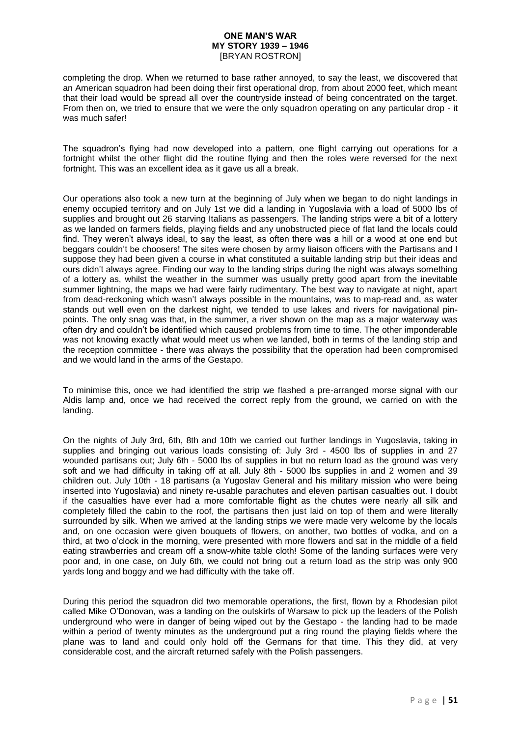completing the drop. When we returned to base rather annoyed, to say the least, we discovered that an American squadron had been doing their first operational drop, from about 2000 feet, which meant that their load would be spread all over the countryside instead of being concentrated on the target. From then on, we tried to ensure that we were the only squadron operating on any particular drop - it was much safer!

The squadron's flying had now developed into a pattern, one flight carrying out operations for a fortnight whilst the other flight did the routine flying and then the roles were reversed for the next fortnight. This was an excellent idea as it gave us all a break.

Our operations also took a new turn at the beginning of July when we began to do night landings in enemy occupied territory and on July 1st we did a landing in Yugoslavia with a load of 5000 lbs of supplies and brought out 26 starving Italians as passengers. The landing strips were a bit of a lottery as we landed on farmers fields, playing fields and any unobstructed piece of flat land the locals could find. They weren't always ideal, to say the least, as often there was a hill or a wood at one end but beggars couldn't be choosers! The sites were chosen by army liaison officers with the Partisans and I suppose they had been given a course in what constituted a suitable landing strip but their ideas and ours didn't always agree. Finding our way to the landing strips during the night was always something of a lottery as, whilst the weather in the summer was usually pretty good apart from the inevitable summer lightning, the maps we had were fairly rudimentary. The best way to navigate at night, apart from dead-reckoning which wasn't always possible in the mountains, was to map-read and, as water stands out well even on the darkest night, we tended to use lakes and rivers for navigational pinpoints. The only snag was that, in the summer, a river shown on the map as a major waterway was often dry and couldn't be identified which caused problems from time to time. The other imponderable was not knowing exactly what would meet us when we landed, both in terms of the landing strip and the reception committee - there was always the possibility that the operation had been compromised and we would land in the arms of the Gestapo.

To minimise this, once we had identified the strip we flashed a pre-arranged morse signal with our Aldis lamp and, once we had received the correct reply from the ground, we carried on with the landing.

On the nights of July 3rd, 6th, 8th and 10th we carried out further landings in Yugoslavia, taking in supplies and bringing out various loads consisting of: July 3rd - 4500 lbs of supplies in and 27 wounded partisans out; July 6th - 5000 lbs of supplies in but no return load as the ground was very soft and we had difficulty in taking off at all. July 8th - 5000 lbs supplies in and 2 women and 39 children out. July 10th - 18 partisans (a Yugoslav General and his military mission who were being inserted into Yugoslavia) and ninety re-usable parachutes and eleven partisan casualties out. I doubt if the casualties have ever had a more comfortable flight as the chutes were nearly all silk and completely filled the cabin to the roof, the partisans then just laid on top of them and were literally surrounded by silk. When we arrived at the landing strips we were made very welcome by the locals and, on one occasion were given bouquets of flowers, on another, two bottles of vodka, and on a third, at two o'clock in the morning, were presented with more flowers and sat in the middle of a field eating strawberries and cream off a snow-white table cloth! Some of the landing surfaces were very poor and, in one case, on July 6th, we could not bring out a return load as the strip was only 900 yards long and boggy and we had difficulty with the take off.

During this period the squadron did two memorable operations, the first, flown by a Rhodesian pilot called Mike O'Donovan, was a landing on the outskirts of Warsaw to pick up the leaders of the Polish underground who were in danger of being wiped out by the Gestapo - the landing had to be made within a period of twenty minutes as the underground put a ring round the playing fields where the plane was to land and could only hold off the Germans for that time. This they did, at very considerable cost, and the aircraft returned safely with the Polish passengers.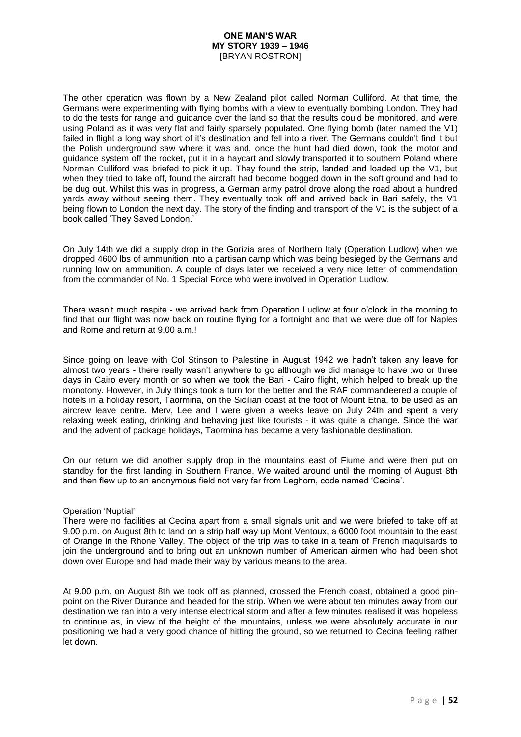The other operation was flown by a New Zealand pilot called Norman Culliford. At that time, the Germans were experimenting with flying bombs with a view to eventually bombing London. They had to do the tests for range and guidance over the land so that the results could be monitored, and were using Poland as it was very flat and fairly sparsely populated. One flying bomb (later named the V1) failed in flight a long way short of it's destination and fell into a river. The Germans couldn't find it but the Polish underground saw where it was and, once the hunt had died down, took the motor and guidance system off the rocket, put it in a haycart and slowly transported it to southern Poland where Norman Culliford was briefed to pick it up. They found the strip, landed and loaded up the V1, but when they tried to take off, found the aircraft had become bogged down in the soft ground and had to be dug out. Whilst this was in progress, a German army patrol drove along the road about a hundred yards away without seeing them. They eventually took off and arrived back in Bari safely, the V1 being flown to London the next day. The story of the finding and transport of the V1 is the subject of a book called 'They Saved London.'

On July 14th we did a supply drop in the Gorizia area of Northern Italy (Operation Ludlow) when we dropped 4600 lbs of ammunition into a partisan camp which was being besieged by the Germans and running low on ammunition. A couple of days later we received a very nice letter of commendation from the commander of No. 1 Special Force who were involved in Operation Ludlow.

There wasn't much respite - we arrived back from Operation Ludlow at four o'clock in the morning to find that our flight was now back on routine flying for a fortnight and that we were due off for Naples and Rome and return at 9.00 a.m.!

Since going on leave with Col Stinson to Palestine in August 1942 we hadn't taken any leave for almost two years - there really wasn't anywhere to go although we did manage to have two or three days in Cairo every month or so when we took the Bari - Cairo flight, which helped to break up the monotony. However, in July things took a turn for the better and the RAF commandeered a couple of hotels in a holiday resort, Taormina, on the Sicilian coast at the foot of Mount Etna, to be used as an aircrew leave centre. Merv, Lee and I were given a weeks leave on July 24th and spent a very relaxing week eating, drinking and behaving just like tourists - it was quite a change. Since the war and the advent of package holidays, Taormina has became a very fashionable destination.

On our return we did another supply drop in the mountains east of Fiume and were then put on standby for the first landing in Southern France. We waited around until the morning of August 8th and then flew up to an anonymous field not very far from Leghorn, code named 'Cecina'.

### Operation 'Nuptial'

There were no facilities at Cecina apart from a small signals unit and we were briefed to take off at 9.00 p.m. on August 8th to land on a strip half way up Mont Ventoux, a 6000 foot mountain to the east of Orange in the Rhone Valley. The object of the trip was to take in a team of French maquisards to join the underground and to bring out an unknown number of American airmen who had been shot down over Europe and had made their way by various means to the area.

At 9.00 p.m. on August 8th we took off as planned, crossed the French coast, obtained a good pinpoint on the River Durance and headed for the strip. When we were about ten minutes away from our destination we ran into a very intense electrical storm and after a few minutes realised it was hopeless to continue as, in view of the height of the mountains, unless we were absolutely accurate in our positioning we had a very good chance of hitting the ground, so we returned to Cecina feeling rather let down.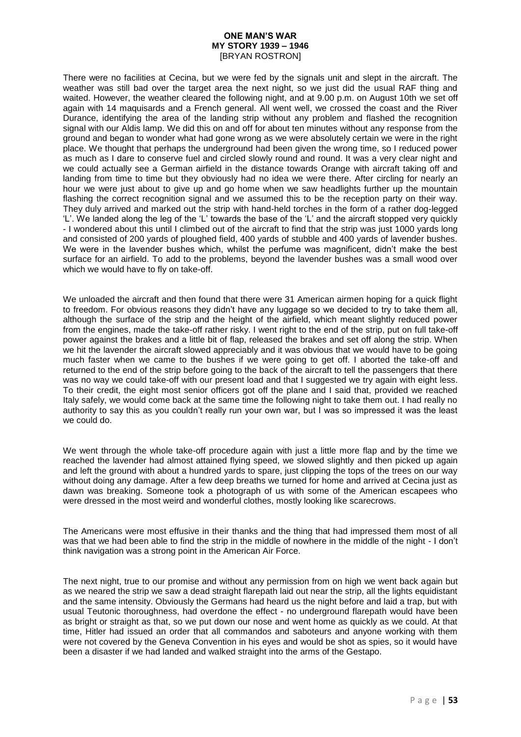There were no facilities at Cecina, but we were fed by the signals unit and slept in the aircraft. The weather was still bad over the target area the next night, so we just did the usual RAF thing and waited. However, the weather cleared the following night, and at 9.00 p.m. on August 10th we set off again with 14 maquisards and a French general. All went well, we crossed the coast and the River Durance, identifying the area of the landing strip without any problem and flashed the recognition signal with our Aldis lamp. We did this on and off for about ten minutes without any response from the ground and began to wonder what had gone wrong as we were absolutely certain we were in the right place. We thought that perhaps the underground had been given the wrong time, so I reduced power as much as I dare to conserve fuel and circled slowly round and round. It was a very clear night and we could actually see a German airfield in the distance towards Orange with aircraft taking off and landing from time to time but they obviously had no idea we were there. After circling for nearly an hour we were just about to give up and go home when we saw headlights further up the mountain flashing the correct recognition signal and we assumed this to be the reception party on their way. They duly arrived and marked out the strip with hand-held torches in the form of a rather dog-legged 'L'. We landed along the leg of the 'L' towards the base of the 'L' and the aircraft stopped very quickly - I wondered about this until I climbed out of the aircraft to find that the strip was just 1000 yards long and consisted of 200 yards of ploughed field, 400 yards of stubble and 400 yards of lavender bushes. We were in the lavender bushes which, whilst the perfume was magnificent, didn't make the best surface for an airfield. To add to the problems, beyond the lavender bushes was a small wood over which we would have to fly on take-off.

We unloaded the aircraft and then found that there were 31 American airmen hoping for a quick flight to freedom. For obvious reasons they didn't have any luggage so we decided to try to take them all, although the surface of the strip and the height of the airfield, which meant slightly reduced power from the engines, made the take-off rather risky. I went right to the end of the strip, put on full take-off power against the brakes and a little bit of flap, released the brakes and set off along the strip. When we hit the lavender the aircraft slowed appreciably and it was obvious that we would have to be going much faster when we came to the bushes if we were going to get off. I aborted the take-off and returned to the end of the strip before going to the back of the aircraft to tell the passengers that there was no way we could take-off with our present load and that I suggested we try again with eight less. To their credit, the eight most senior officers got off the plane and I said that, provided we reached Italy safely, we would come back at the same time the following night to take them out. I had really no authority to say this as you couldn't really run your own war, but I was so impressed it was the least we could do.

We went through the whole take-off procedure again with just a little more flap and by the time we reached the lavender had almost attained flying speed, we slowed slightly and then picked up again and left the ground with about a hundred yards to spare, just clipping the tops of the trees on our way without doing any damage. After a few deep breaths we turned for home and arrived at Cecina just as dawn was breaking. Someone took a photograph of us with some of the American escapees who were dressed in the most weird and wonderful clothes, mostly looking like scarecrows.

The Americans were most effusive in their thanks and the thing that had impressed them most of all was that we had been able to find the strip in the middle of nowhere in the middle of the night - I don't think navigation was a strong point in the American Air Force.

The next night, true to our promise and without any permission from on high we went back again but as we neared the strip we saw a dead straight flarepath laid out near the strip, all the lights equidistant and the same intensity. Obviously the Germans had heard us the night before and laid a trap, but with usual Teutonic thoroughness, had overdone the effect - no underground flarepath would have been as bright or straight as that, so we put down our nose and went home as quickly as we could. At that time, Hitler had issued an order that all commandos and saboteurs and anyone working with them were not covered by the Geneva Convention in his eyes and would be shot as spies, so it would have been a disaster if we had landed and walked straight into the arms of the Gestapo.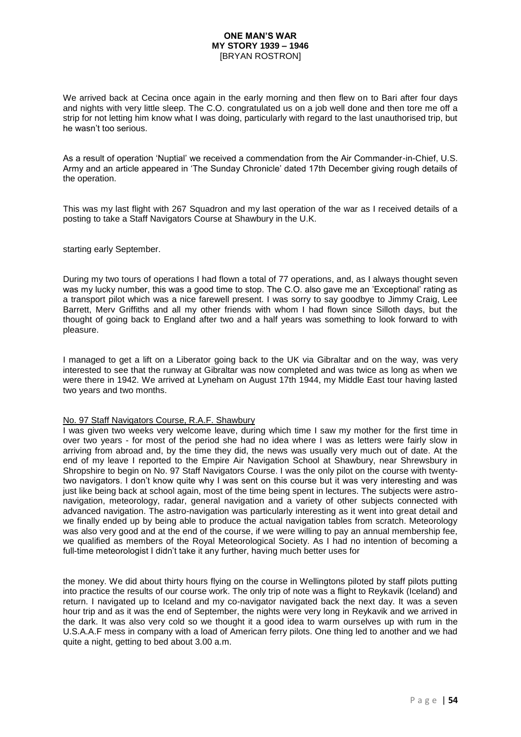We arrived back at Cecina once again in the early morning and then flew on to Bari after four days and nights with very little sleep. The C.O. congratulated us on a job well done and then tore me off a strip for not letting him know what I was doing, particularly with regard to the last unauthorised trip, but he wasn't too serious.

As a result of operation 'Nuptial' we received a commendation from the Air Commander-in-Chief, U.S. Army and an article appeared in 'The Sunday Chronicle' dated 17th December giving rough details of the operation.

This was my last flight with 267 Squadron and my last operation of the war as I received details of a posting to take a Staff Navigators Course at Shawbury in the U.K.

starting early September.

During my two tours of operations I had flown a total of 77 operations, and, as I always thought seven was my lucky number, this was a good time to stop. The C.O. also gave me an 'Exceptional' rating as a transport pilot which was a nice farewell present. I was sorry to say goodbye to Jimmy Craig, Lee Barrett, Merv Griffiths and all my other friends with whom I had flown since Silloth days, but the thought of going back to England after two and a half years was something to look forward to with pleasure.

I managed to get a lift on a Liberator going back to the UK via Gibraltar and on the way, was very interested to see that the runway at Gibraltar was now completed and was twice as long as when we were there in 1942. We arrived at Lyneham on August 17th 1944, my Middle East tour having lasted two years and two months.

#### No. 97 Staff Navigators Course, R.A.F. Shawbury

I was given two weeks very welcome leave, during which time I saw my mother for the first time in over two years - for most of the period she had no idea where I was as letters were fairly slow in arriving from abroad and, by the time they did, the news was usually very much out of date. At the end of my leave I reported to the Empire Air Navigation School at Shawbury, near Shrewsbury in Shropshire to begin on No. 97 Staff Navigators Course. I was the only pilot on the course with twentytwo navigators. I don't know quite why I was sent on this course but it was very interesting and was just like being back at school again, most of the time being spent in lectures. The subjects were astronavigation, meteorology, radar, general navigation and a variety of other subjects connected with advanced navigation. The astro-navigation was particularly interesting as it went into great detail and we finally ended up by being able to produce the actual navigation tables from scratch. Meteorology was also very good and at the end of the course, if we were willing to pay an annual membership fee, we qualified as members of the Royal Meteorological Society. As I had no intention of becoming a full-time meteorologist I didn't take it any further, having much better uses for

the money. We did about thirty hours flying on the course in Wellingtons piloted by staff pilots putting into practice the results of our course work. The only trip of note was a flight to Reykavik (Iceland) and return. I navigated up to Iceland and my co-navigator navigated back the next day. It was a seven hour trip and as it was the end of September, the nights were very long in Reykavik and we arrived in the dark. It was also very cold so we thought it a good idea to warm ourselves up with rum in the U.S.A.A.F mess in company with a load of American ferry pilots. One thing led to another and we had quite a night, getting to bed about 3.00 a.m.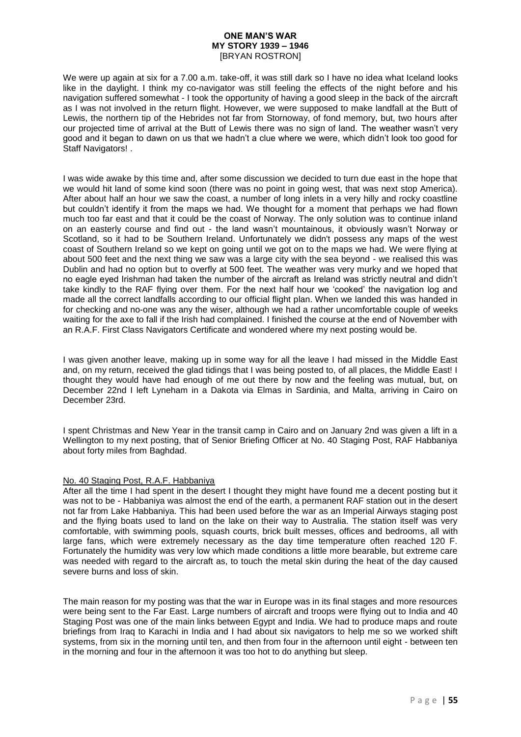We were up again at six for a 7.00 a.m. take-off, it was still dark so I have no idea what Iceland looks like in the daylight. I think my co-navigator was still feeling the effects of the night before and his navigation suffered somewhat - I took the opportunity of having a good sleep in the back of the aircraft as I was not involved in the return flight. However, we were supposed to make landfall at the Butt of Lewis, the northern tip of the Hebrides not far from Stornoway, of fond memory, but, two hours after our projected time of arrival at the Butt of Lewis there was no sign of land. The weather wasn't very good and it began to dawn on us that we hadn't a clue where we were, which didn't look too good for Staff Navigators! .

I was wide awake by this time and, after some discussion we decided to turn due east in the hope that we would hit land of some kind soon (there was no point in going west, that was next stop America). After about half an hour we saw the coast, a number of long inlets in a very hilly and rocky coastline but couldn't identify it from the maps we had. We thought for a moment that perhaps we had flown much too far east and that it could be the coast of Norway. The only solution was to continue inland on an easterly course and find out - the land wasn't mountainous, it obviously wasn't Norway or Scotland, so it had to be Southern Ireland. Unfortunately we didn't possess any maps of the west coast of Southern Ireland so we kept on going until we got on to the maps we had. We were flying at about 500 feet and the next thing we saw was a large city with the sea beyond - we realised this was Dublin and had no option but to overfly at 500 feet. The weather was very murky and we hoped that no eagle eyed Irishman had taken the number of the aircraft as Ireland was strictly neutral and didn't take kindly to the RAF flying over them. For the next half hour we 'cooked' the navigation log and made all the correct landfalls according to our official flight plan. When we landed this was handed in for checking and no-one was any the wiser, although we had a rather uncomfortable couple of weeks waiting for the axe to fall if the Irish had complained. I finished the course at the end of November with an R.A.F. First Class Navigators Certificate and wondered where my next posting would be.

I was given another leave, making up in some way for all the leave I had missed in the Middle East and, on my return, received the glad tidings that I was being posted to, of all places, the Middle East! I thought they would have had enough of me out there by now and the feeling was mutual, but, on December 22nd I left Lyneham in a Dakota via Elmas in Sardinia, and Malta, arriving in Cairo on December 23rd.

I spent Christmas and New Year in the transit camp in Cairo and on January 2nd was given a lift in a Wellington to my next posting, that of Senior Briefing Officer at No. 40 Staging Post, RAF Habbaniya about forty miles from Baghdad.

### No. 40 Staging Post, R.A.F. Habbaniya

After all the time I had spent in the desert I thought they might have found me a decent posting but it was not to be - Habbaniya was almost the end of the earth, a permanent RAF station out in the desert not far from Lake Habbaniya. This had been used before the war as an Imperial Airways staging post and the flying boats used to land on the lake on their way to Australia. The station itself was very comfortable, with swimming pools, squash courts, brick built messes, offices and bedrooms, all with large fans, which were extremely necessary as the day time temperature often reached 120 F. Fortunately the humidity was very low which made conditions a little more bearable, but extreme care was needed with regard to the aircraft as, to touch the metal skin during the heat of the day caused severe burns and loss of skin.

The main reason for my posting was that the war in Europe was in its final stages and more resources were being sent to the Far East. Large numbers of aircraft and troops were flying out to India and 40 Staging Post was one of the main links between Egypt and India. We had to produce maps and route briefings from Iraq to Karachi in India and I had about six navigators to help me so we worked shift systems, from six in the morning until ten, and then from four in the afternoon until eight - between ten in the morning and four in the afternoon it was too hot to do anything but sleep.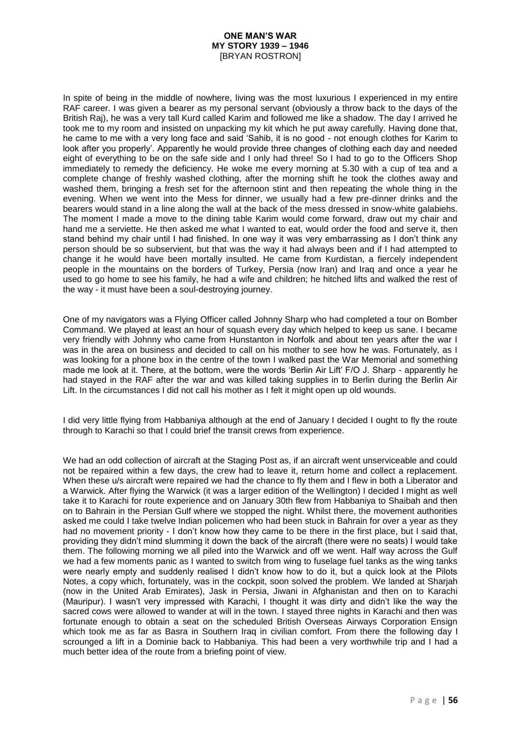In spite of being in the middle of nowhere, living was the most luxurious I experienced in my entire RAF career. I was given a bearer as my personal servant (obviously a throw back to the days of the British Raj), he was a very tall Kurd called Karim and followed me like a shadow. The day I arrived he took me to my room and insisted on unpacking my kit which he put away carefully. Having done that, he came to me with a very long face and said 'Sahib, it is no good - not enough clothes for Karim to look after you properly'. Apparently he would provide three changes of clothing each day and needed eight of everything to be on the safe side and I only had three! So I had to go to the Officers Shop immediately to remedy the deficiency. He woke me every morning at 5.30 with a cup of tea and a complete change of freshly washed clothing, after the morning shift he took the clothes away and washed them, bringing a fresh set for the afternoon stint and then repeating the whole thing in the evening. When we went into the Mess for dinner, we usually had a few pre-dinner drinks and the bearers would stand in a line along the wall at the back of the mess dressed in snow-white galabiehs. The moment I made a move to the dining table Karim would come forward, draw out my chair and hand me a serviette. He then asked me what I wanted to eat, would order the food and serve it, then stand behind my chair until I had finished. In one way it was very embarrassing as I don't think any person should be so subservient, but that was the way it had always been and if I had attempted to change it he would have been mortally insulted. He came from Kurdistan, a fiercely independent people in the mountains on the borders of Turkey, Persia (now Iran) and Iraq and once a year he used to go home to see his family, he had a wife and children; he hitched lifts and walked the rest of the way - it must have been a soul-destroying journey.

One of my navigators was a Flying Officer called Johnny Sharp who had completed a tour on Bomber Command. We played at least an hour of squash every day which helped to keep us sane. I became very friendly with Johnny who came from Hunstanton in Norfolk and about ten years after the war I was in the area on business and decided to call on his mother to see how he was. Fortunately, as I was looking for a phone box in the centre of the town I walked past the War Memorial and something made me look at it. There, at the bottom, were the words 'Berlin Air Lift' F/O J. Sharp - apparently he had staved in the RAF after the war and was killed taking supplies in to Berlin during the Berlin Air Lift. In the circumstances I did not call his mother as I felt it might open up old wounds.

I did very little flying from Habbaniya although at the end of January I decided I ought to fly the route through to Karachi so that I could brief the transit crews from experience.

We had an odd collection of aircraft at the Staging Post as, if an aircraft went unserviceable and could not be repaired within a few days, the crew had to leave it, return home and collect a replacement. When these u/s aircraft were repaired we had the chance to fly them and I flew in both a Liberator and a Warwick. After flying the Warwick (it was a larger edition of the Wellington) I decided I might as well take it to Karachi for route experience and on January 30th flew from Habbaniya to Shaibah and then on to Bahrain in the Persian Gulf where we stopped the night. Whilst there, the movement authorities asked me could I take twelve Indian policemen who had been stuck in Bahrain for over a year as they had no movement priority - I don't know how they came to be there in the first place, but I said that, providing they didn't mind slumming it down the back of the aircraft (there were no seats) I would take them. The following morning we all piled into the Warwick and off we went. Half way across the Gulf we had a few moments panic as I wanted to switch from wing to fuselage fuel tanks as the wing tanks were nearly empty and suddenly realised I didn't know how to do it, but a quick look at the Pilots Notes, a copy which, fortunately, was in the cockpit, soon solved the problem. We landed at Sharjah (now in the United Arab Emirates), Jask in Persia, Jiwani in Afghanistan and then on to Karachi (Mauripur). I wasn't very impressed with Karachi, I thought it was dirty and didn't like the way the sacred cows were allowed to wander at will in the town. I stayed three nights in Karachi and then was fortunate enough to obtain a seat on the scheduled British Overseas Airways Corporation Ensign which took me as far as Basra in Southern Iraq in civilian comfort. From there the following day I scrounged a lift in a Dominie back to Habbaniya. This had been a very worthwhile trip and I had a much better idea of the route from a briefing point of view.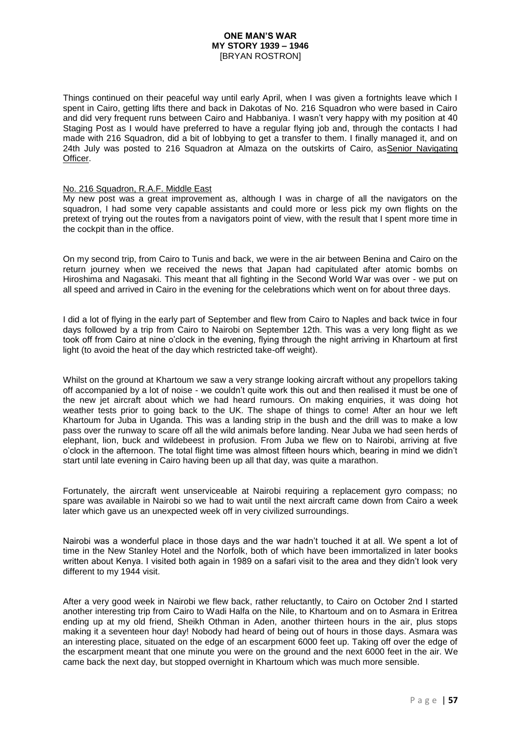Things continued on their peaceful way until early April, when I was given a fortnights leave which I spent in Cairo, getting lifts there and back in Dakotas of No. 216 Squadron who were based in Cairo and did very frequent runs between Cairo and Habbaniya. I wasn't very happy with my position at 40 Staging Post as I would have preferred to have a regular flying job and, through the contacts I had made with 216 Squadron, did a bit of lobbying to get a transfer to them. I finally managed it, and on 24th July was posted to 216 Squadron at Almaza on the outskirts of Cairo, asSenior Navigating Officer.

### No. 216 Squadron, R.A.F. Middle East

My new post was a great improvement as, although I was in charge of all the navigators on the squadron, I had some very capable assistants and could more or less pick my own flights on the pretext of trying out the routes from a navigators point of view, with the result that I spent more time in the cockpit than in the office.

On my second trip, from Cairo to Tunis and back, we were in the air between Benina and Cairo on the return journey when we received the news that Japan had capitulated after atomic bombs on Hiroshima and Nagasaki. This meant that all fighting in the Second World War was over - we put on all speed and arrived in Cairo in the evening for the celebrations which went on for about three days.

I did a lot of flying in the early part of September and flew from Cairo to Naples and back twice in four days followed by a trip from Cairo to Nairobi on September 12th. This was a very long flight as we took off from Cairo at nine o'clock in the evening, flying through the night arriving in Khartoum at first light (to avoid the heat of the day which restricted take-off weight).

Whilst on the ground at Khartoum we saw a very strange looking aircraft without any propellors taking off accompanied by a lot of noise - we couldn't quite work this out and then realised it must be one of the new jet aircraft about which we had heard rumours. On making enquiries, it was doing hot weather tests prior to going back to the UK. The shape of things to come! After an hour we left Khartoum for Juba in Uganda. This was a landing strip in the bush and the drill was to make a low pass over the runway to scare off all the wild animals before landing. Near Juba we had seen herds of elephant, lion, buck and wildebeest in profusion. From Juba we flew on to Nairobi, arriving at five o'clock in the afternoon. The total flight time was almost fifteen hours which, bearing in mind we didn't start until late evening in Cairo having been up all that day, was quite a marathon.

Fortunately, the aircraft went unserviceable at Nairobi requiring a replacement gyro compass; no spare was available in Nairobi so we had to wait until the next aircraft came down from Cairo a week later which gave us an unexpected week off in very civilized surroundings.

Nairobi was a wonderful place in those days and the war hadn't touched it at all. We spent a lot of time in the New Stanley Hotel and the Norfolk, both of which have been immortalized in later books written about Kenya. I visited both again in 1989 on a safari visit to the area and they didn't look very different to my 1944 visit.

After a very good week in Nairobi we flew back, rather reluctantly, to Cairo on October 2nd I started another interesting trip from Cairo to Wadi Halfa on the Nile, to Khartoum and on to Asmara in Eritrea ending up at my old friend, Sheikh Othman in Aden, another thirteen hours in the air, plus stops making it a seventeen hour day! Nobody had heard of being out of hours in those days. Asmara was an interesting place, situated on the edge of an escarpment 6000 feet up. Taking off over the edge of the escarpment meant that one minute you were on the ground and the next 6000 feet in the air. We came back the next day, but stopped overnight in Khartoum which was much more sensible.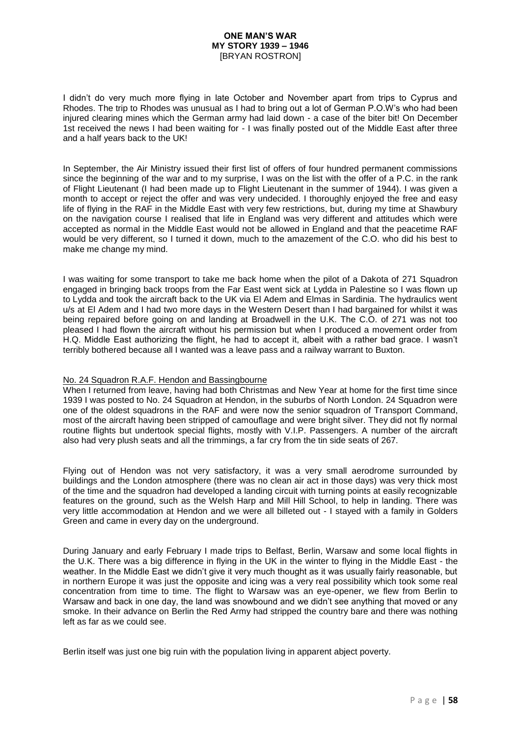I didn't do very much more flying in late October and November apart from trips to Cyprus and Rhodes. The trip to Rhodes was unusual as I had to bring out a lot of German P.O.W's who had been injured clearing mines which the German army had laid down - a case of the biter bit! On December 1st received the news I had been waiting for - I was finally posted out of the Middle East after three and a half years back to the UK!

In September, the Air Ministry issued their first list of offers of four hundred permanent commissions since the beginning of the war and to my surprise, I was on the list with the offer of a P.C. in the rank of Flight Lieutenant (I had been made up to Flight Lieutenant in the summer of 1944). I was given a month to accept or reject the offer and was very undecided. I thoroughly enjoyed the free and easy life of flying in the RAF in the Middle East with very few restrictions, but, during my time at Shawbury on the navigation course I realised that life in England was very different and attitudes which were accepted as normal in the Middle East would not be allowed in England and that the peacetime RAF would be very different, so I turned it down, much to the amazement of the C.O. who did his best to make me change my mind.

I was waiting for some transport to take me back home when the pilot of a Dakota of 271 Squadron engaged in bringing back troops from the Far East went sick at Lydda in Palestine so I was flown up to Lydda and took the aircraft back to the UK via El Adem and Elmas in Sardinia. The hydraulics went u/s at El Adem and I had two more days in the Western Desert than I had bargained for whilst it was being repaired before going on and landing at Broadwell in the U.K. The C.O. of 271 was not too pleased I had flown the aircraft without his permission but when I produced a movement order from H.Q. Middle East authorizing the flight, he had to accept it, albeit with a rather bad grace. I wasn't terribly bothered because all I wanted was a leave pass and a railway warrant to Buxton.

### No. 24 Squadron R.A.F. Hendon and Bassingbourne

When I returned from leave, having had both Christmas and New Year at home for the first time since 1939 I was posted to No. 24 Squadron at Hendon, in the suburbs of North London. 24 Squadron were one of the oldest squadrons in the RAF and were now the senior squadron of Transport Command, most of the aircraft having been stripped of camouflage and were bright silver. They did not fly normal routine flights but undertook special flights, mostly with V.I.P. Passengers. A number of the aircraft also had very plush seats and all the trimmings, a far cry from the tin side seats of 267.

Flying out of Hendon was not very satisfactory, it was a very small aerodrome surrounded by buildings and the London atmosphere (there was no clean air act in those days) was very thick most of the time and the squadron had developed a landing circuit with turning points at easily recognizable features on the ground, such as the Welsh Harp and Mill Hill School, to help in landing. There was very little accommodation at Hendon and we were all billeted out - I stayed with a family in Golders Green and came in every day on the underground.

During January and early February I made trips to Belfast, Berlin, Warsaw and some local flights in the U.K. There was a big difference in flying in the UK in the winter to flying in the Middle East - the weather. In the Middle East we didn't give it very much thought as it was usually fairly reasonable, but in northern Europe it was just the opposite and icing was a very real possibility which took some real concentration from time to time. The flight to Warsaw was an eye-opener, we flew from Berlin to Warsaw and back in one day, the land was snowbound and we didn't see anything that moved or any smoke. In their advance on Berlin the Red Army had stripped the country bare and there was nothing left as far as we could see.

Berlin itself was just one big ruin with the population living in apparent abject poverty.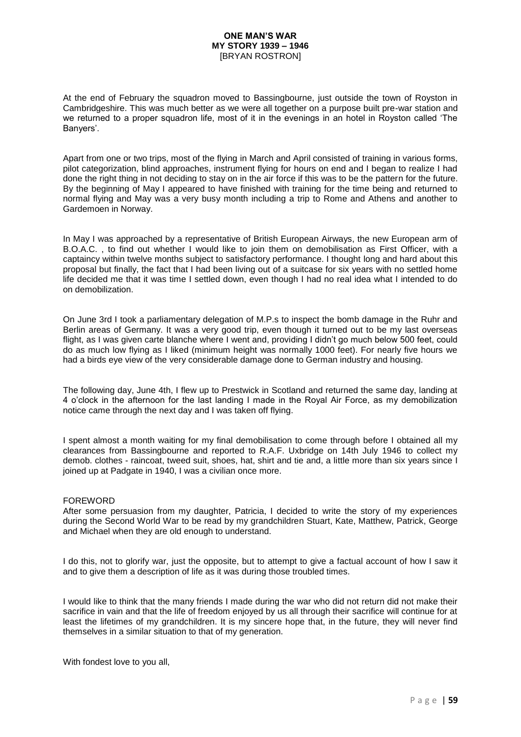At the end of February the squadron moved to Bassingbourne, just outside the town of Royston in Cambridgeshire. This was much better as we were all together on a purpose built pre-war station and we returned to a proper squadron life, most of it in the evenings in an hotel in Royston called 'The Banyers'.

Apart from one or two trips, most of the flying in March and April consisted of training in various forms, pilot categorization, blind approaches, instrument flying for hours on end and I began to realize I had done the right thing in not deciding to stay on in the air force if this was to be the pattern for the future. By the beginning of May I appeared to have finished with training for the time being and returned to normal flying and May was a very busy month including a trip to Rome and Athens and another to Gardemoen in Norway.

In May I was approached by a representative of British European Airways, the new European arm of B.O.A.C. , to find out whether I would like to join them on demobilisation as First Officer, with a captaincy within twelve months subject to satisfactory performance. I thought long and hard about this proposal but finally, the fact that I had been living out of a suitcase for six years with no settled home life decided me that it was time I settled down, even though I had no real idea what I intended to do on demobilization.

On June 3rd I took a parliamentary delegation of M.P.s to inspect the bomb damage in the Ruhr and Berlin areas of Germany. It was a very good trip, even though it turned out to be my last overseas flight, as I was given carte blanche where I went and, providing I didn't go much below 500 feet, could do as much low flying as I liked (minimum height was normally 1000 feet). For nearly five hours we had a birds eye view of the very considerable damage done to German industry and housing.

The following day, June 4th, I flew up to Prestwick in Scotland and returned the same day, landing at 4 o'clock in the afternoon for the last landing I made in the Royal Air Force, as my demobilization notice came through the next day and I was taken off flying.

I spent almost a month waiting for my final demobilisation to come through before I obtained all my clearances from Bassingbourne and reported to R.A.F. Uxbridge on 14th July 1946 to collect my demob. clothes - raincoat, tweed suit, shoes, hat, shirt and tie and, a little more than six years since I joined up at Padgate in 1940, I was a civilian once more.

### FOREWORD

After some persuasion from my daughter, Patricia, I decided to write the story of my experiences during the Second World War to be read by my grandchildren Stuart, Kate, Matthew, Patrick, George and Michael when they are old enough to understand.

I do this, not to glorify war, just the opposite, but to attempt to give a factual account of how I saw it and to give them a description of life as it was during those troubled times.

I would like to think that the many friends I made during the war who did not return did not make their sacrifice in vain and that the life of freedom enjoyed by us all through their sacrifice will continue for at least the lifetimes of my grandchildren. It is my sincere hope that, in the future, they will never find themselves in a similar situation to that of my generation.

With fondest love to you all,